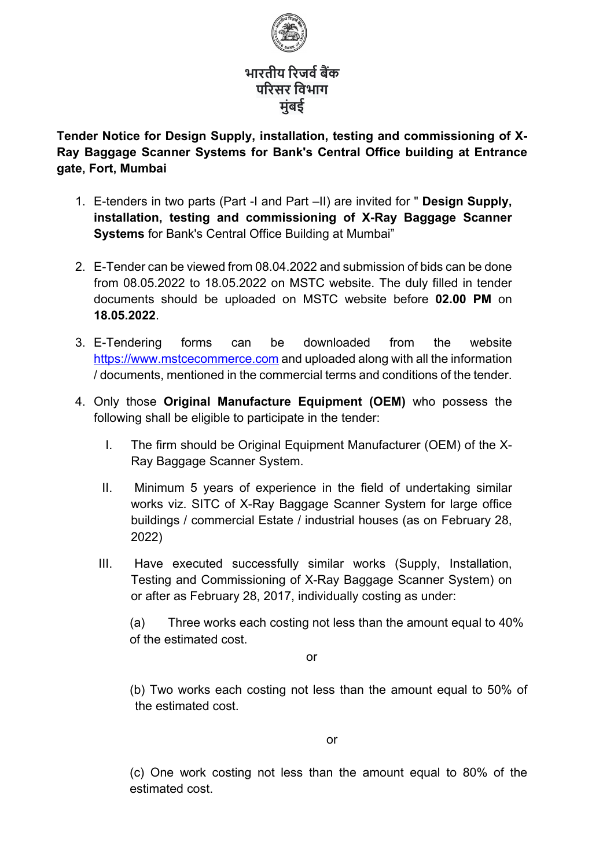

# **भारतीय �रजव�ब�क प�रसर िवभाग मुंबई**

**Tender Notice for Design Supply, installation, testing and commissioning of X-Ray Baggage Scanner Systems for Bank's Central Office building at Entrance gate, Fort, Mumbai** 

- 1. E-tenders in two parts (Part -I and Part –II) are invited for " **Design Supply, installation, testing and commissioning of X-Ray Baggage Scanner Systems** for Bank's Central Office Building at Mumbai"
- 2. E-Tender can be viewed from 08.04.2022 and submission of bids can be done from 08.05.2022 to 18.05.2022 on MSTC website. The duly filled in tender documents should be uploaded on MSTC website before **02.00 PM** on **18.05.2022**.
- 3. E-Tendering forms can be downloaded from the website [https://www.mstcecommerce.com](https://www.mstcecommerce.com/) and uploaded along with all the information / documents, mentioned in the commercial terms and conditions of the tender.
- 4. Only those **Original Manufacture Equipment (OEM)** who possess the following shall be eligible to participate in the tender:
	- I. The firm should be Original Equipment Manufacturer (OEM) of the X-Ray Baggage Scanner System.
	- II. Minimum 5 years of experience in the field of undertaking similar works viz. SITC of X-Ray Baggage Scanner System for large office buildings / commercial Estate / industrial houses (as on February 28, 2022)
	- III. Have executed successfully similar works (Supply, Installation, Testing and Commissioning of X-Ray Baggage Scanner System) on or after as February 28, 2017, individually costing as under:

(a) Three works each costing not less than the amount equal to 40% of the estimated cost.

or

(b) Two works each costing not less than the amount equal to 50% of the estimated cost.

(c) One work costing not less than the amount equal to 80% of the estimated cost.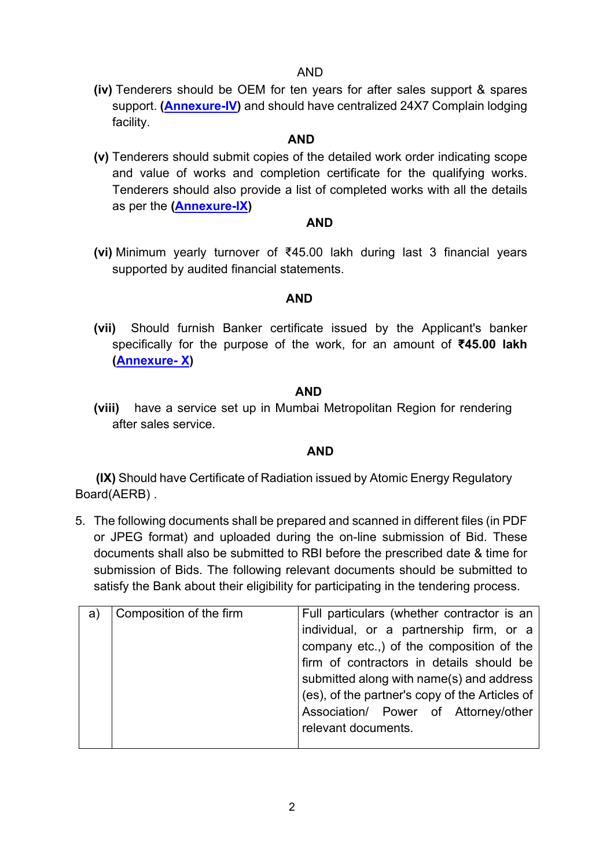## AND

**(iv)** Tenderers should be OEM for ten years for after sales support & spares support. **[\(Annexure-IV\)](#page-67-0)** and should have centralized 24X7 Complain lodging facility.

## **AND**

**(v)** Tenderers should submit copies of the detailed work order indicating scope and value of works and completion certificate for the qualifying works. Tenderers should also provide a list of completed works with all the details as per the **[\(Annexure-IX\)](#page-75-0)** 

### **AND**

**(vi)** Minimum yearly turnover of ₹45.00 lakh during last 3 financial years supported by audited financial statements.

## **AND**

**(vii)** Should furnish Banker certificate issued by the Applicant's banker specifically for the purpose of the work, for an amount of **₹45.00 lakh [\(Annexure- X\)](#page-77-0)**

## **AND**

**(viii)** have a service set up in Mumbai Metropolitan Region for rendering after sales service.

# *AND* AND

 **(IX)** Should have Certificate of Radiation issued by Atomic Energy Regulatory Board(AERB) .

5. The following documents shall be prepared and scanned in different files (in PDF or JPEG format) and uploaded during the on-line submission of Bid. These documents shall also be submitted to RBI before the prescribed date & time for submission of Bids. The following relevant documents should be submitted to satisfy the Bank about their eligibility for participating in the tendering process.

| a) | Composition of the firm | Full particulars (whether contractor is an     |
|----|-------------------------|------------------------------------------------|
|    |                         | individual, or a partnership firm, or a        |
|    |                         | company etc.,) of the composition of the       |
|    |                         | firm of contractors in details should be       |
|    |                         | submitted along with name(s) and address       |
|    |                         | (es), of the partner's copy of the Articles of |
|    |                         | Association/ Power of Attorney/other           |
|    |                         | relevant documents.                            |
|    |                         |                                                |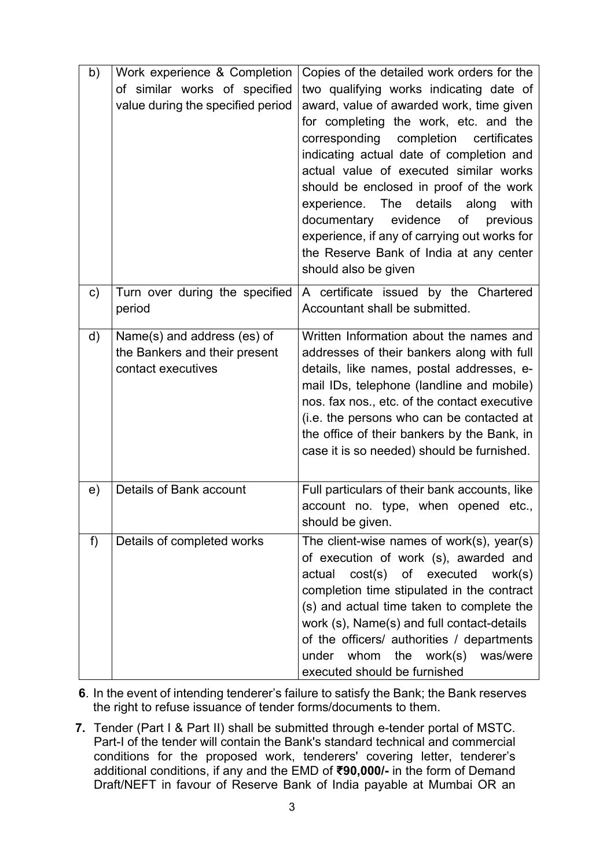| b)           | Work experience & Completion<br>of similar works of specified<br>value during the specified period | Copies of the detailed work orders for the<br>two qualifying works indicating date of<br>award, value of awarded work, time given<br>for completing the work, etc. and the<br>corresponding completion certificates<br>indicating actual date of completion and<br>actual value of executed similar works<br>should be enclosed in proof of the work<br>experience. The details along<br>with<br>documentary evidence<br>of<br>previous<br>experience, if any of carrying out works for<br>the Reserve Bank of India at any center |
|--------------|----------------------------------------------------------------------------------------------------|------------------------------------------------------------------------------------------------------------------------------------------------------------------------------------------------------------------------------------------------------------------------------------------------------------------------------------------------------------------------------------------------------------------------------------------------------------------------------------------------------------------------------------|
|              |                                                                                                    | should also be given                                                                                                                                                                                                                                                                                                                                                                                                                                                                                                               |
| $\mathsf{C}$ | Turn over during the specified<br>period                                                           | A certificate issued by the Chartered<br>Accountant shall be submitted.                                                                                                                                                                                                                                                                                                                                                                                                                                                            |
| d)           | Name(s) and address (es) of<br>the Bankers and their present<br>contact executives                 | Written Information about the names and<br>addresses of their bankers along with full<br>details, like names, postal addresses, e-<br>mail IDs, telephone (landline and mobile)<br>nos. fax nos., etc. of the contact executive<br>(i.e. the persons who can be contacted at<br>the office of their bankers by the Bank, in<br>case it is so needed) should be furnished.                                                                                                                                                          |
| e)           | <b>Details of Bank account</b>                                                                     | Full particulars of their bank accounts, like<br>account no. type, when opened etc.,<br>should be given.                                                                                                                                                                                                                                                                                                                                                                                                                           |
| f)           | Details of completed works                                                                         | The client-wise names of work $(s)$ , year $(s)$<br>of execution of work (s), awarded and<br>actual cost(s) of executed work(s)<br>completion time stipulated in the contract<br>(s) and actual time taken to complete the<br>work (s), Name(s) and full contact-details<br>of the officers/ authorities / departments<br>under whom the work(s) was/were<br>executed should be furnished                                                                                                                                          |

- **6**. In the event of intending tenderer's failure to satisfy the Bank; the Bank reserves the right to refuse issuance of tender forms/documents to them.
- **7.** Tender (Part I & Part II) shall be submitted through e-tender portal of MSTC. Part-I of the tender will contain the Bank's standard technical and commercial conditions for the proposed work, tenderers' covering letter, tenderer's additional conditions, if any and the EMD of **₹90,000/-** in the form of Demand Draft/NEFT in favour of Reserve Bank of India payable at Mumbai OR an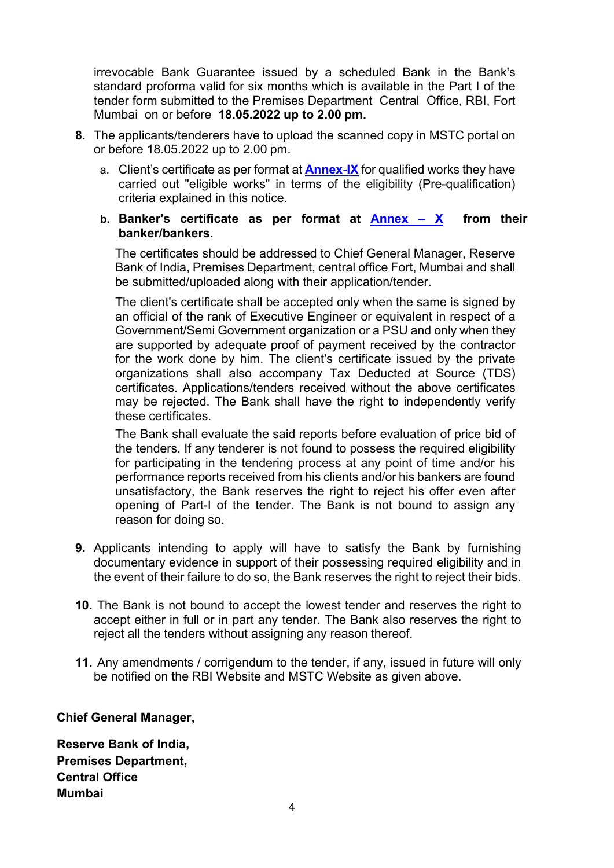irrevocable Bank Guarantee issued by a scheduled Bank in the Bank's standard proforma valid for six months which is available in the Part I of the tender form submitted to the Premises Department Central Office, RBI, Fort Mumbai on or before **18.05.2022 up to 2.00 pm.**

- **8.** The applicants/tenderers have to upload the scanned copy in MSTC portal on or before 18.05.2022 up to 2.00 pm.
	- a. Client's certificate as per format at **[Annex-IX](#page-75-0)** for qualified works they have carried out "eligible works" in terms of the eligibility (Pre-qualification) criteria explained in this notice.
	- **b. Banker's certificate as per format at [Annex X](#page-77-0) from their banker/bankers.**

The certificates should be addressed to Chief General Manager, Reserve Bank of India, Premises Department, central office Fort, Mumbai and shall be submitted/uploaded along with their application/tender.

The client's certificate shall be accepted only when the same is signed by an official of the rank of Executive Engineer or equivalent in respect of a Government/Semi Government organization or a PSU and only when they are supported by adequate proof of payment received by the contractor for the work done by him. The client's certificate issued by the private organizations shall also accompany Tax Deducted at Source (TDS) certificates. Applications/tenders received without the above certificates may be rejected. The Bank shall have the right to independently verify these certificates.

The Bank shall evaluate the said reports before evaluation of price bid of the tenders. If any tenderer is not found to possess the required eligibility for participating in the tendering process at any point of time and/or his performance reports received from his clients and/or his bankers are found unsatisfactory, the Bank reserves the right to reject his offer even after opening of Part-I of the tender. The Bank is not bound to assign any reason for doing so.

- **9.** Applicants intending to apply will have to satisfy the Bank by furnishing documentary evidence in support of their possessing required eligibility and in the event of their failure to do so, the Bank reserves the right to reject their bids.
- **10.** The Bank is not bound to accept the lowest tender and reserves the right to accept either in full or in part any tender. The Bank also reserves the right to reject all the tenders without assigning any reason thereof.
- **11.** Any amendments / corrigendum to the tender, if any, issued in future will only be notified on the RBI Website and MSTC Website as given above.

# **Chief General Manager,**

**Reserve Bank of India, Premises Department, Central Office Mumbai**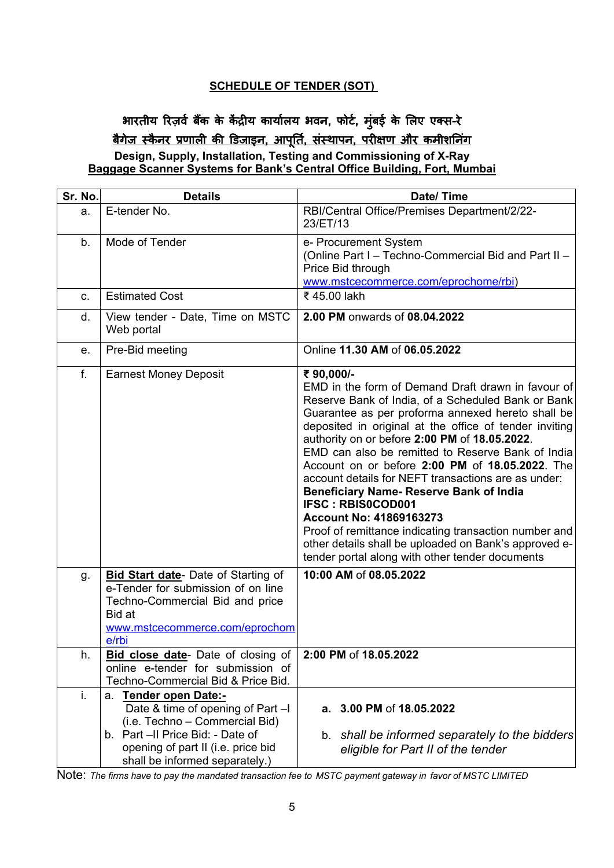#### **SCHEDULE OF TENDER (SOT)**

# भारतीय रिज़र्व बैंक के केंद्रीय कार्यालय भवन, फोर्ट, मुंबई के लिए एक्स-रे <u>बैगेज स्कैनर प्रणाली की डिजाइन, आपूर्ति, संस्थापन, परीक्षण और कमीशनिंग</u> **Design, Supply, Installation, Testing and Commissioning of X-Ray Baggage Scanner Systems for Bank's Central Office Building, Fort, Mumbai**

| Sr. No. | <b>Details</b>                                                                                                                                                           | Date/Time                                                                                                                                                                                                                                                                                                                                                                                                                                                                                                                                                                                                                                                                                                                                 |
|---------|--------------------------------------------------------------------------------------------------------------------------------------------------------------------------|-------------------------------------------------------------------------------------------------------------------------------------------------------------------------------------------------------------------------------------------------------------------------------------------------------------------------------------------------------------------------------------------------------------------------------------------------------------------------------------------------------------------------------------------------------------------------------------------------------------------------------------------------------------------------------------------------------------------------------------------|
| a.      | E-tender No.                                                                                                                                                             | RBI/Central Office/Premises Department/2/22-<br>23/ET/13                                                                                                                                                                                                                                                                                                                                                                                                                                                                                                                                                                                                                                                                                  |
| b.      | Mode of Tender                                                                                                                                                           | e- Procurement System<br>(Online Part I - Techno-Commercial Bid and Part II -<br>Price Bid through<br>www.mstcecommerce.com/eprochome/rbi)                                                                                                                                                                                                                                                                                                                                                                                                                                                                                                                                                                                                |
| c.      | <b>Estimated Cost</b>                                                                                                                                                    | ₹45.00 lakh                                                                                                                                                                                                                                                                                                                                                                                                                                                                                                                                                                                                                                                                                                                               |
| d.      | View tender - Date, Time on MSTC<br>Web portal                                                                                                                           | 2.00 PM onwards of 08.04.2022                                                                                                                                                                                                                                                                                                                                                                                                                                                                                                                                                                                                                                                                                                             |
| е.      | Pre-Bid meeting                                                                                                                                                          | Online 11.30 AM of 06.05.2022                                                                                                                                                                                                                                                                                                                                                                                                                                                                                                                                                                                                                                                                                                             |
| f.      | <b>Earnest Money Deposit</b>                                                                                                                                             | ₹90,000/-<br>EMD in the form of Demand Draft drawn in favour of<br>Reserve Bank of India, of a Scheduled Bank or Bank<br>Guarantee as per proforma annexed hereto shall be<br>deposited in original at the office of tender inviting<br>authority on or before 2:00 PM of 18.05.2022.<br>EMD can also be remitted to Reserve Bank of India<br>Account on or before 2:00 PM of 18.05.2022. The<br>account details for NEFT transactions are as under:<br><b>Beneficiary Name- Reserve Bank of India</b><br><b>IFSC: RBIS0COD001</b><br><b>Account No: 41869163273</b><br>Proof of remittance indicating transaction number and<br>other details shall be uploaded on Bank's approved e-<br>tender portal along with other tender documents |
| g.      | <b>Bid Start date-</b> Date of Starting of<br>e-Tender for submission of on line<br>Techno-Commercial Bid and price<br>Bid at<br>www.mstcecommerce.com/eprochom<br>e/rbi | 10:00 AM of 08.05.2022                                                                                                                                                                                                                                                                                                                                                                                                                                                                                                                                                                                                                                                                                                                    |
| h.      | Bid close date- Date of closing of<br>online e-tender for submission of<br>Techno-Commercial Bid & Price Bid.                                                            | 2:00 PM of 18.05.2022                                                                                                                                                                                                                                                                                                                                                                                                                                                                                                                                                                                                                                                                                                                     |
| i.      | Tender open Date:-<br>а.<br>Date & time of opening of Part -I<br>(i.e. Techno - Commercial Bid)<br>b. Part -II Price Bid: - Date of                                      | a. 3.00 PM of 18.05.2022<br>b. shall be informed separately to the bidders                                                                                                                                                                                                                                                                                                                                                                                                                                                                                                                                                                                                                                                                |
|         | opening of part II (i.e. price bid<br>shall be informed separately.)                                                                                                     | eligible for Part II of the tender                                                                                                                                                                                                                                                                                                                                                                                                                                                                                                                                                                                                                                                                                                        |

Note: *The firms have to pay the mandated transaction fee to MSTC payment gateway in favor of MSTC LIMITED*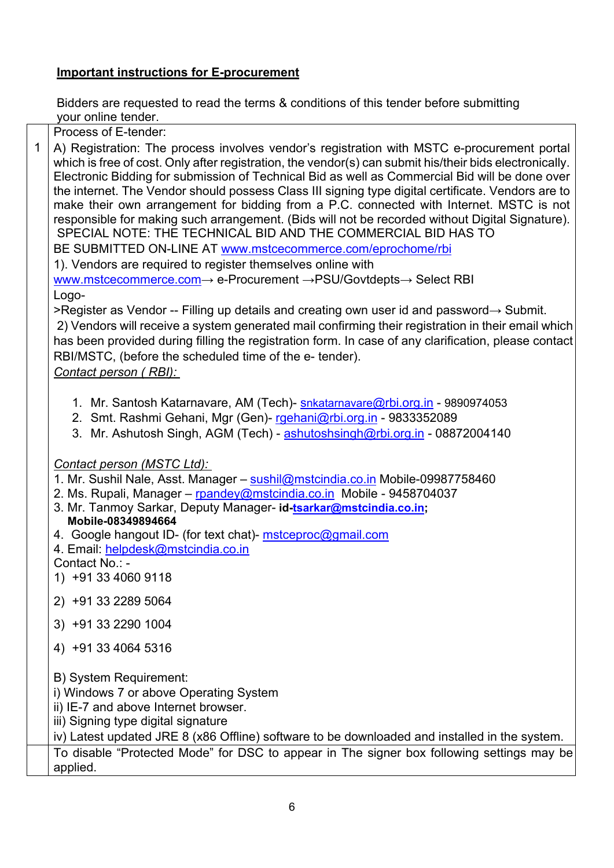# **Important instructions for E-procurement**

Bidders are requested to read the terms & conditions of this tender before submitting your online tender.

Process of E-tender:

1 A) Registration: The process involves vendor's registration with MSTC e-procurement portal which is free of cost. Only after registration, the vendor(s) can submit his/their bids electronically. Electronic Bidding for submission of Technical Bid as well as Commercial Bid will be done over the internet. The Vendor should possess Class III signing type digital certificate. Vendors are to make their own arrangement for bidding from a P.C. connected with Internet. MSTC is not responsible for making such arrangement. (Bids will not be recorded without Digital Signature). SPECIAL NOTE: THE TECHNICAL BID AND THE COMMERCIAL BID HAS TO

BE SUBMITTED ON-LINE AT [www.mstcecommerce.com/eprochome/rbi](https://www.mstcecommerce.com/eprochome/rbi)

1). Vendors are required to register themselves online with [www.mstcecommerce.com](https://www.mstcecommerce.com/)→ e-Procurement →PSU/Govtdepts→ Select RBI

Logo-

>Register as Vendor -- Filling up details and creating own user id and password→ Submit.

2) Vendors will receive a system generated mail confirming their registration in their email which has been provided during filling the registration form. In case of any clarification, please contact RBI/MSTC, (before the scheduled time of the e- tender).

*Contact person ( RBI):* 

- 1. Mr. Santosh Katarnavare, AM (Tech)- [snkatarnavare@rbi.org.in](mailto:snkatarnavare@rbi.org.in)  9890974053
- 2. Smt. Rashmi Gehani, Mgr (Gen)- [rgehani@rbi.org.in](mailto:rgehani@rbi.org.in)  9833352089
- 3. Mr. Ashutosh Singh, AGM (Tech) - [ashutoshsingh@rbi.org.in](mailto:ashutoshsingh@rbi.org.in)  08872004140

*Contact person (MSTC Ltd):* 

1. Mr. Sushil Nale, Asst. Manager – [sushil@mstcindia.co.in](mailto:sushil@mstcindia.co.in) Mobile-09987758460

- 2. Ms. Rupali, Manager – [rpandey@mstcindia.co.in](mailto:rpandey@mstcindia.co.in) Mobile 9458704037
- 3. Mr. Tanmoy Sarkar, Deputy Manager- **id[-tsarkar@mstcindia.co.in;](mailto:tsarkar@mstcindia.co.in) Mobile-08349894664**
- 4. Google hangout ID- (for text chat)- [mstceproc@gmail.com](mailto:mstceproc@gmail.com)

4. Email: [helpdesk@mstcindia.co.in](mailto:helpdesk@mstcindia.co.in) 

Contact No.: -

- 1) +91 33 4060 9118
- 2) +91 33 2289 5064
- 3) +91 33 2290 1004
- 4) +91 33 4064 5316
- B) System Requirement:

i) Windows 7 or above Operating System

ii) IE-7 and above Internet browser.

iii) Signing type digital signature

iv) Latest updated JRE 8 (x86 Offline) software to be downloaded and installed in the system.

To disable "Protected Mode" for DSC to appear in The signer box following settings may be applied.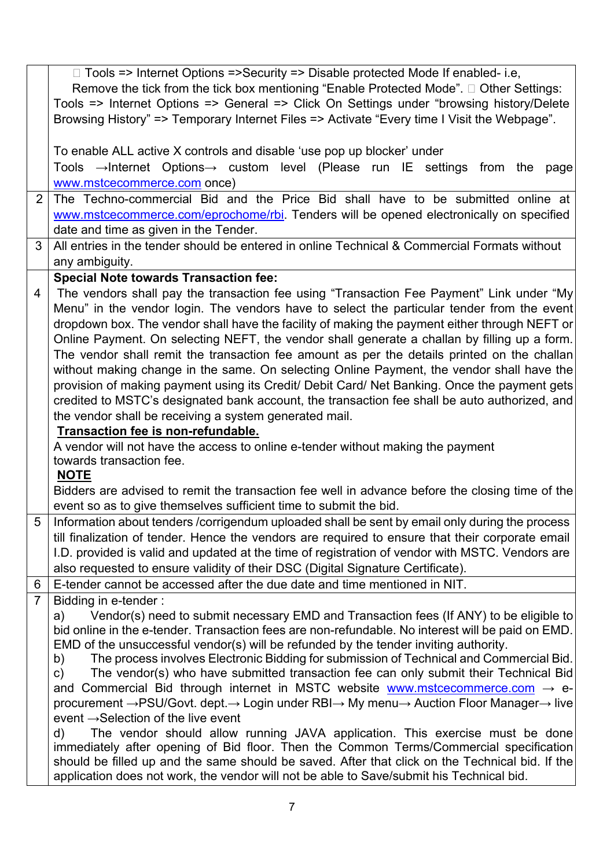|                | □ Tools => Internet Options =>Security => Disable protected Mode If enabled- i.e,                                                                                                                   |  |  |  |
|----------------|-----------------------------------------------------------------------------------------------------------------------------------------------------------------------------------------------------|--|--|--|
|                | Remove the tick from the tick box mentioning "Enable Protected Mode". □ Other Settings:                                                                                                             |  |  |  |
|                | Tools => Internet Options => General => Click On Settings under "browsing history/Delete                                                                                                            |  |  |  |
|                | Browsing History" => Temporary Internet Files => Activate "Every time I Visit the Webpage".                                                                                                         |  |  |  |
|                |                                                                                                                                                                                                     |  |  |  |
|                | To enable ALL active X controls and disable 'use pop up blocker' under                                                                                                                              |  |  |  |
|                | Tools $\rightarrow$ Internet Options $\rightarrow$ custom level (Please run IE settings from the page                                                                                               |  |  |  |
|                | www.mstcecommerce.com once)                                                                                                                                                                         |  |  |  |
| $\overline{2}$ | The Techno-commercial Bid and the Price Bid shall have to be submitted online at                                                                                                                    |  |  |  |
|                | www.mstcecommerce.com/eprochome/rbi. Tenders will be opened electronically on specified                                                                                                             |  |  |  |
|                | date and time as given in the Tender.                                                                                                                                                               |  |  |  |
| 3              | All entries in the tender should be entered in online Technical & Commercial Formats without                                                                                                        |  |  |  |
|                |                                                                                                                                                                                                     |  |  |  |
|                | any ambiguity.                                                                                                                                                                                      |  |  |  |
|                | <b>Special Note towards Transaction fee:</b>                                                                                                                                                        |  |  |  |
| $\overline{4}$ | The vendors shall pay the transaction fee using "Transaction Fee Payment" Link under "My                                                                                                            |  |  |  |
|                | Menu" in the vendor login. The vendors have to select the particular tender from the event                                                                                                          |  |  |  |
|                | dropdown box. The vendor shall have the facility of making the payment either through NEFT or                                                                                                       |  |  |  |
|                | Online Payment. On selecting NEFT, the vendor shall generate a challan by filling up a form.                                                                                                        |  |  |  |
|                | The vendor shall remit the transaction fee amount as per the details printed on the challan                                                                                                         |  |  |  |
|                | without making change in the same. On selecting Online Payment, the vendor shall have the                                                                                                           |  |  |  |
|                | provision of making payment using its Credit/ Debit Card/ Net Banking. Once the payment gets                                                                                                        |  |  |  |
|                | credited to MSTC's designated bank account, the transaction fee shall be auto authorized, and                                                                                                       |  |  |  |
|                | the vendor shall be receiving a system generated mail.                                                                                                                                              |  |  |  |
|                | Transaction fee is non-refundable.                                                                                                                                                                  |  |  |  |
|                | A vendor will not have the access to online e-tender without making the payment                                                                                                                     |  |  |  |
|                | towards transaction fee.<br><u>NOTE</u>                                                                                                                                                             |  |  |  |
|                | Bidders are advised to remit the transaction fee well in advance before the closing time of the                                                                                                     |  |  |  |
|                | event so as to give themselves sufficient time to submit the bid.                                                                                                                                   |  |  |  |
| 5              |                                                                                                                                                                                                     |  |  |  |
|                | Information about tenders /corrigendum uploaded shall be sent by email only during the process                                                                                                      |  |  |  |
|                | till finalization of tender. Hence the vendors are required to ensure that their corporate email<br>I.D. provided is valid and updated at the time of registration of vendor with MSTC. Vendors are |  |  |  |
|                | also requested to ensure validity of their DSC (Digital Signature Certificate).                                                                                                                     |  |  |  |
|                |                                                                                                                                                                                                     |  |  |  |
| 6              | E-tender cannot be accessed after the due date and time mentioned in NIT.                                                                                                                           |  |  |  |
| $\overline{7}$ | Bidding in e-tender:                                                                                                                                                                                |  |  |  |
|                | Vendor(s) need to submit necessary EMD and Transaction fees (If ANY) to be eligible to<br>a)<br>bid online in the e-tender. Transaction fees are non-refundable. No interest will be paid on EMD.   |  |  |  |
|                | EMD of the unsuccessful vendor(s) will be refunded by the tender inviting authority.                                                                                                                |  |  |  |
|                | The process involves Electronic Bidding for submission of Technical and Commercial Bid.<br>b)                                                                                                       |  |  |  |
|                | The vendor(s) who have submitted transaction fee can only submit their Technical Bid<br>c)                                                                                                          |  |  |  |
|                | and Commercial Bid through internet in MSTC website www.mstcecommerce.com $\rightarrow$ e-                                                                                                          |  |  |  |
|                | procurement →PSU/Govt. dept.→ Login under RBI→ My menu→ Auction Floor Manager→ live                                                                                                                 |  |  |  |
|                | event $\rightarrow$ Selection of the live event                                                                                                                                                     |  |  |  |
|                | The vendor should allow running JAVA application. This exercise must be done<br>$\mathsf{d}$                                                                                                        |  |  |  |
|                | immediately after opening of Bid floor. Then the Common Terms/Commercial specification                                                                                                              |  |  |  |
|                | should be filled up and the same should be saved. After that click on the Technical bid. If the                                                                                                     |  |  |  |
|                | application does not work, the vendor will not be able to Save/submit his Technical bid.                                                                                                            |  |  |  |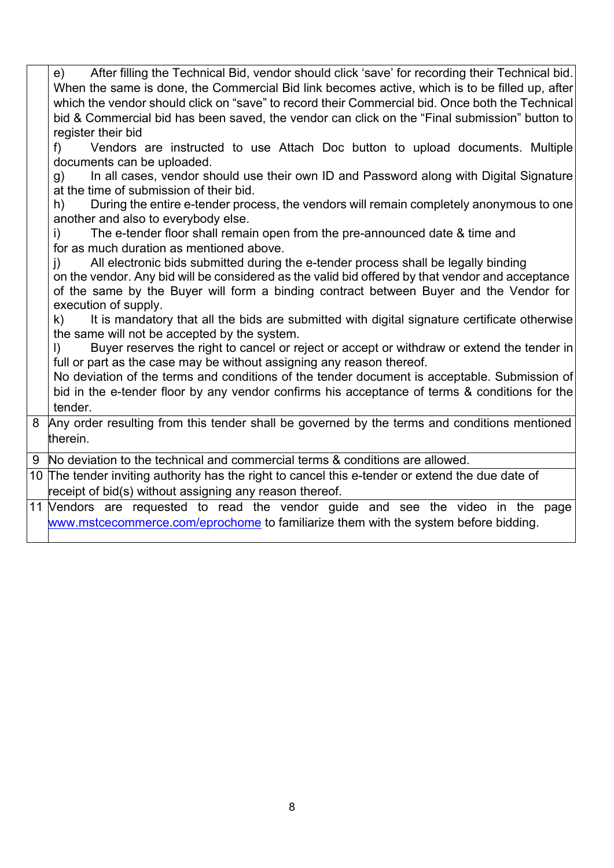|   | After filling the Technical Bid, vendor should click 'save' for recording their Technical bid.<br>e)<br>When the same is done, the Commercial Bid link becomes active, which is to be filled up, after<br>which the vendor should click on "save" to record their Commercial bid. Once both the Technical<br>bid & Commercial bid has been saved, the vendor can click on the "Final submission" button to<br>register their bid<br>Vendors are instructed to use Attach Doc button to upload documents. Multiple<br>$f$ )<br>documents can be uploaded.<br>In all cases, vendor should use their own ID and Password along with Digital Signature<br>g)<br>at the time of submission of their bid.<br>During the entire e-tender process, the vendors will remain completely anonymous to one<br>h)<br>another and also to everybody else.<br>The e-tender floor shall remain open from the pre-announced date & time and<br>i)<br>for as much duration as mentioned above.<br>All electronic bids submitted during the e-tender process shall be legally binding<br>$\mathsf{I}$ )<br>on the vendor. Any bid will be considered as the valid bid offered by that vendor and acceptance<br>of the same by the Buyer will form a binding contract between Buyer and the Vendor for<br>execution of supply.<br>It is mandatory that all the bids are submitted with digital signature certificate otherwise<br>k).<br>the same will not be accepted by the system.<br>Buyer reserves the right to cancel or reject or accept or withdraw or extend the tender in<br>$\vert$<br>full or part as the case may be without assigning any reason thereof.<br>No deviation of the terms and conditions of the tender document is acceptable. Submission of<br>bid in the e-tender floor by any vendor confirms his acceptance of terms & conditions for the<br>tender. |
|---|-----------------------------------------------------------------------------------------------------------------------------------------------------------------------------------------------------------------------------------------------------------------------------------------------------------------------------------------------------------------------------------------------------------------------------------------------------------------------------------------------------------------------------------------------------------------------------------------------------------------------------------------------------------------------------------------------------------------------------------------------------------------------------------------------------------------------------------------------------------------------------------------------------------------------------------------------------------------------------------------------------------------------------------------------------------------------------------------------------------------------------------------------------------------------------------------------------------------------------------------------------------------------------------------------------------------------------------------------------------------------------------------------------------------------------------------------------------------------------------------------------------------------------------------------------------------------------------------------------------------------------------------------------------------------------------------------------------------------------------------------------------------------------------------------------------------------------------------------------------------|
| 8 | Any order resulting from this tender shall be governed by the terms and conditions mentioned                                                                                                                                                                                                                                                                                                                                                                                                                                                                                                                                                                                                                                                                                                                                                                                                                                                                                                                                                                                                                                                                                                                                                                                                                                                                                                                                                                                                                                                                                                                                                                                                                                                                                                                                                                    |
|   | therein.                                                                                                                                                                                                                                                                                                                                                                                                                                                                                                                                                                                                                                                                                                                                                                                                                                                                                                                                                                                                                                                                                                                                                                                                                                                                                                                                                                                                                                                                                                                                                                                                                                                                                                                                                                                                                                                        |
|   | 9 No deviation to the technical and commercial terms & conditions are allowed.                                                                                                                                                                                                                                                                                                                                                                                                                                                                                                                                                                                                                                                                                                                                                                                                                                                                                                                                                                                                                                                                                                                                                                                                                                                                                                                                                                                                                                                                                                                                                                                                                                                                                                                                                                                  |
|   | 10 The tender inviting authority has the right to cancel this e-tender or extend the due date of                                                                                                                                                                                                                                                                                                                                                                                                                                                                                                                                                                                                                                                                                                                                                                                                                                                                                                                                                                                                                                                                                                                                                                                                                                                                                                                                                                                                                                                                                                                                                                                                                                                                                                                                                                |
|   | receipt of bid(s) without assigning any reason thereof.                                                                                                                                                                                                                                                                                                                                                                                                                                                                                                                                                                                                                                                                                                                                                                                                                                                                                                                                                                                                                                                                                                                                                                                                                                                                                                                                                                                                                                                                                                                                                                                                                                                                                                                                                                                                         |
|   | 11 Vendors are requested to read the vendor guide and see the video in the page                                                                                                                                                                                                                                                                                                                                                                                                                                                                                                                                                                                                                                                                                                                                                                                                                                                                                                                                                                                                                                                                                                                                                                                                                                                                                                                                                                                                                                                                                                                                                                                                                                                                                                                                                                                 |
|   | www.mstcecommerce.com/eprochome to familiarize them with the system before bidding.                                                                                                                                                                                                                                                                                                                                                                                                                                                                                                                                                                                                                                                                                                                                                                                                                                                                                                                                                                                                                                                                                                                                                                                                                                                                                                                                                                                                                                                                                                                                                                                                                                                                                                                                                                             |
|   |                                                                                                                                                                                                                                                                                                                                                                                                                                                                                                                                                                                                                                                                                                                                                                                                                                                                                                                                                                                                                                                                                                                                                                                                                                                                                                                                                                                                                                                                                                                                                                                                                                                                                                                                                                                                                                                                 |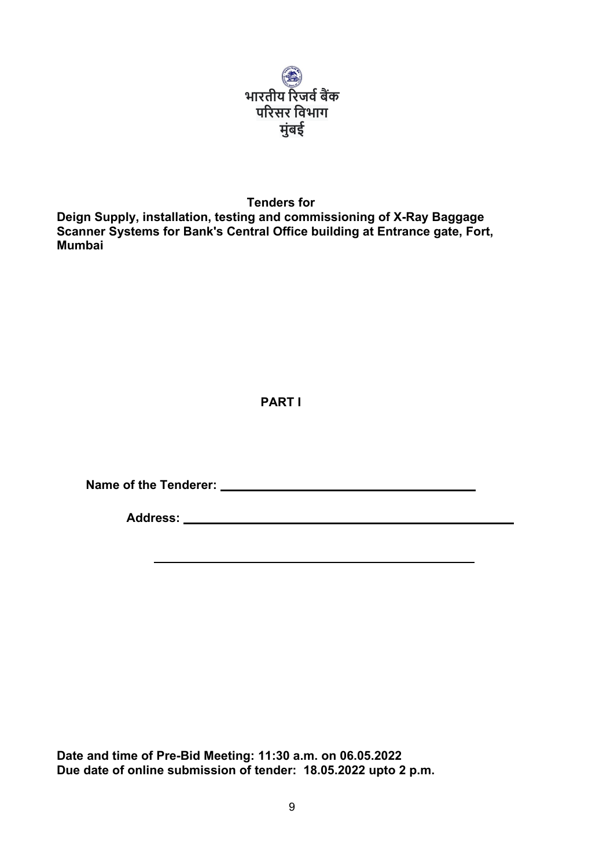

**Tenders for Deign Supply, installation, testing and commissioning of X-Ray Baggage Scanner Systems for Bank's Central Office building at Entrance gate, Fort, Mumbai**

# **PART I**

**Name of the Tenderer:** 

**Address:** 

**Date and time of Pre-Bid Meeting: 11:30 a.m. on 06.05.2022 Due date of online submission of tender: 18.05.2022 upto 2 p.m.**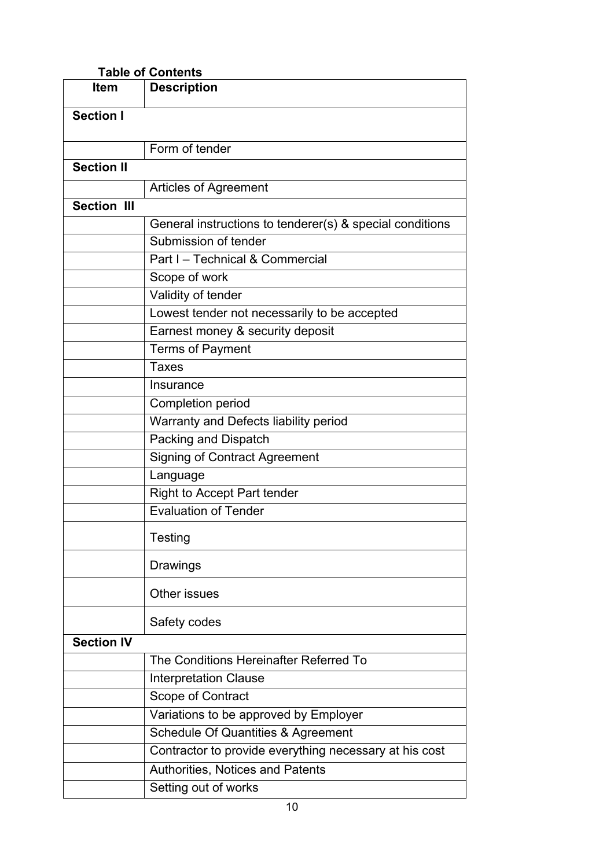| <b>Table of Contents</b> |                                                          |  |
|--------------------------|----------------------------------------------------------|--|
| Item                     | <b>Description</b>                                       |  |
| <b>Section I</b>         |                                                          |  |
|                          | Form of tender                                           |  |
| <b>Section II</b>        |                                                          |  |
|                          | <b>Articles of Agreement</b>                             |  |
| <b>Section III</b>       |                                                          |  |
|                          | General instructions to tenderer(s) & special conditions |  |
|                          | Submission of tender                                     |  |
|                          | Part I - Technical & Commercial                          |  |
|                          | Scope of work                                            |  |
|                          |                                                          |  |
|                          | Validity of tender                                       |  |
|                          | Lowest tender not necessarily to be accepted             |  |
|                          | Earnest money & security deposit                         |  |
|                          | <b>Terms of Payment</b>                                  |  |
|                          | <b>Taxes</b>                                             |  |
|                          | Insurance                                                |  |
|                          | <b>Completion period</b>                                 |  |
|                          | Warranty and Defects liability period                    |  |
|                          | Packing and Dispatch                                     |  |
|                          | <b>Signing of Contract Agreement</b>                     |  |
|                          | Language                                                 |  |
|                          | <b>Right to Accept Part tender</b>                       |  |
|                          | <b>Evaluation of Tender</b>                              |  |
|                          | Testing                                                  |  |
|                          | Drawings                                                 |  |
|                          | Other issues                                             |  |
|                          | Safety codes                                             |  |
| <b>Section IV</b>        |                                                          |  |
|                          | The Conditions Hereinafter Referred To                   |  |
|                          | <b>Interpretation Clause</b>                             |  |
|                          | Scope of Contract                                        |  |
|                          | Variations to be approved by Employer                    |  |
|                          | Schedule Of Quantities & Agreement                       |  |
|                          | Contractor to provide everything necessary at his cost   |  |
|                          | <b>Authorities, Notices and Patents</b>                  |  |
|                          | Setting out of works                                     |  |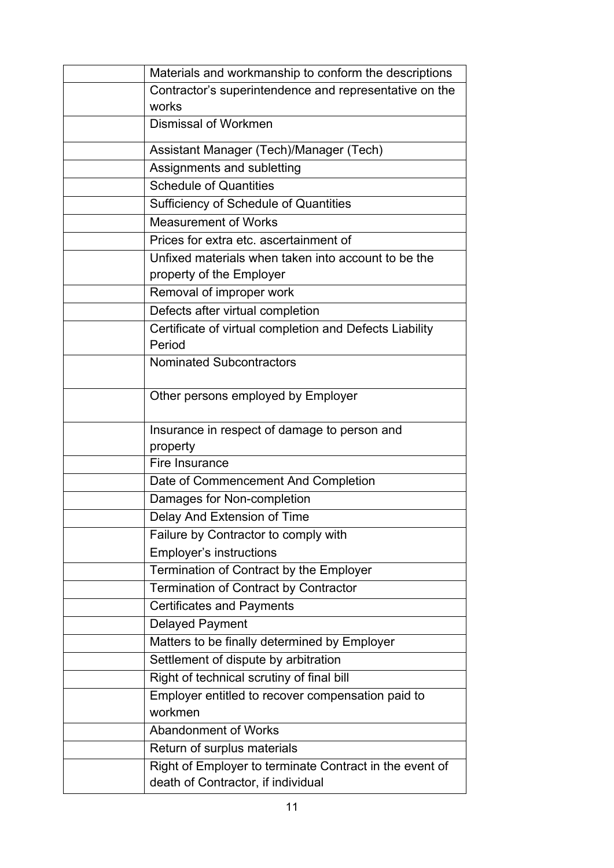| Materials and workmanship to conform the descriptions                                         |  |
|-----------------------------------------------------------------------------------------------|--|
| Contractor's superintendence and representative on the                                        |  |
| works                                                                                         |  |
| Dismissal of Workmen                                                                          |  |
| Assistant Manager (Tech)/Manager (Tech)                                                       |  |
| Assignments and subletting                                                                    |  |
| <b>Schedule of Quantities</b>                                                                 |  |
| Sufficiency of Schedule of Quantities                                                         |  |
| <b>Measurement of Works</b>                                                                   |  |
| Prices for extra etc. ascertainment of                                                        |  |
| Unfixed materials when taken into account to be the                                           |  |
| property of the Employer                                                                      |  |
| Removal of improper work                                                                      |  |
| Defects after virtual completion                                                              |  |
| Certificate of virtual completion and Defects Liability                                       |  |
| Period                                                                                        |  |
| <b>Nominated Subcontractors</b>                                                               |  |
| Other persons employed by Employer                                                            |  |
| Insurance in respect of damage to person and                                                  |  |
| property                                                                                      |  |
| Fire Insurance                                                                                |  |
| Date of Commencement And Completion                                                           |  |
| Damages for Non-completion                                                                    |  |
| Delay And Extension of Time                                                                   |  |
| Failure by Contractor to comply with                                                          |  |
| <b>Employer's instructions</b>                                                                |  |
| Termination of Contract by the Employer                                                       |  |
| Termination of Contract by Contractor                                                         |  |
| <b>Certificates and Payments</b>                                                              |  |
| <b>Delayed Payment</b>                                                                        |  |
| Matters to be finally determined by Employer                                                  |  |
| Settlement of dispute by arbitration                                                          |  |
| Right of technical scrutiny of final bill                                                     |  |
| Employer entitled to recover compensation paid to                                             |  |
| workmen                                                                                       |  |
| <b>Abandonment of Works</b>                                                                   |  |
| Return of surplus materials                                                                   |  |
| Right of Employer to terminate Contract in the event of<br>death of Contractor, if individual |  |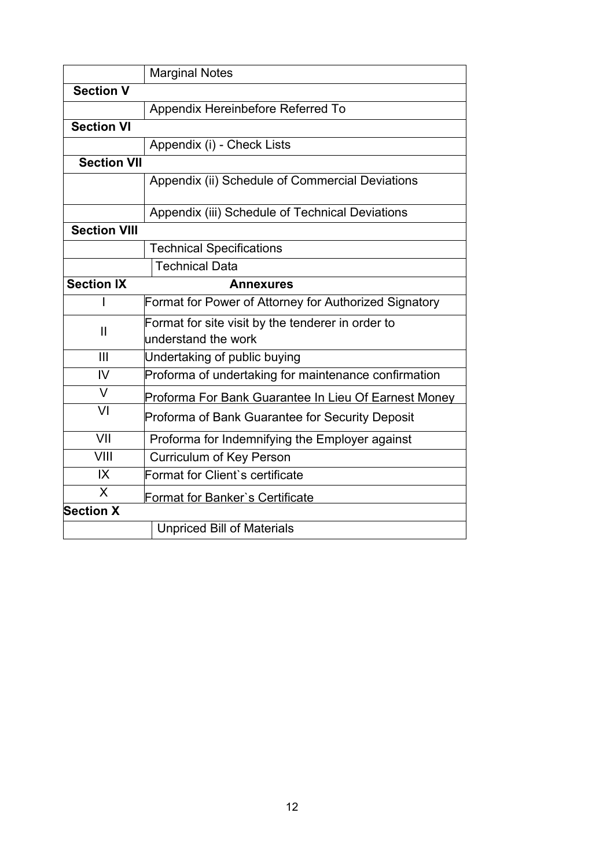|                     | <b>Marginal Notes</b>                                 |
|---------------------|-------------------------------------------------------|
| <b>Section V</b>    |                                                       |
|                     | Appendix Hereinbefore Referred To                     |
| <b>Section VI</b>   |                                                       |
|                     | Appendix (i) - Check Lists                            |
| <b>Section VII</b>  |                                                       |
|                     | Appendix (ii) Schedule of Commercial Deviations       |
|                     | Appendix (iii) Schedule of Technical Deviations       |
| <b>Section VIII</b> |                                                       |
|                     | <b>Technical Specifications</b>                       |
|                     | <b>Technical Data</b>                                 |
| <b>Section IX</b>   | <b>Annexures</b>                                      |
|                     | Format for Power of Attorney for Authorized Signatory |
| $\mathbf{I}$        | Format for site visit by the tenderer in order to     |
|                     | understand the work                                   |
| III                 | Undertaking of public buying                          |
| IV                  | Proforma of undertaking for maintenance confirmation  |
| $\vee$              | Proforma For Bank Guarantee In Lieu Of Earnest Money  |
| VI                  | Proforma of Bank Guarantee for Security Deposit       |
| VII                 | Proforma for Indemnifying the Employer against        |
| VIII                | <b>Curriculum of Key Person</b>                       |
| IX                  | Format for Client's certificate                       |
| X                   | Format for Banker's Certificate                       |
| <b>Section X</b>    |                                                       |
|                     | <b>Unpriced Bill of Materials</b>                     |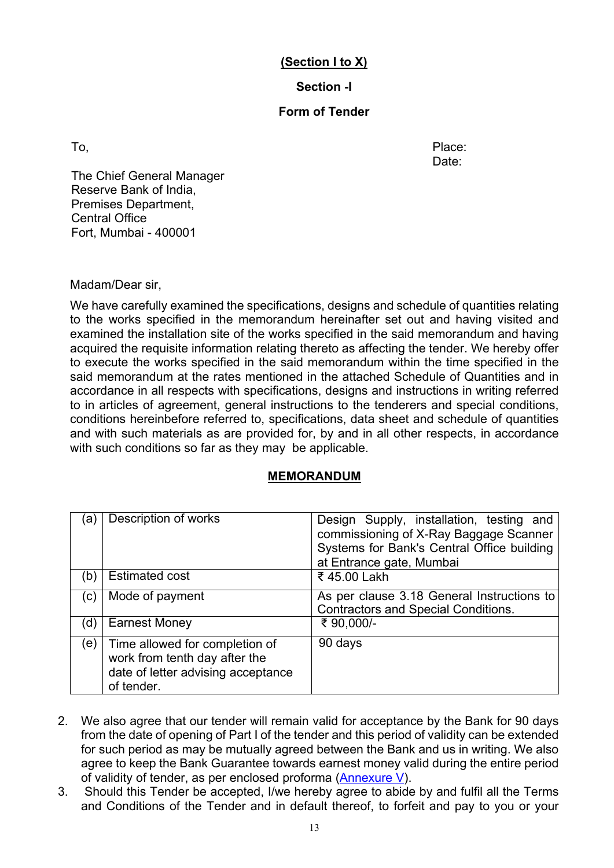# **(Section I to X)**

# **Section -I**

## **Form of Tender**

To, the contract of the contract of the contract of the contract of the Place: Date:

 The Chief General Manager Reserve Bank of India, Premises Department, Central Office Fort, Mumbai - 400001

Madam/Dear sir,

We have carefully examined the specifications, designs and schedule of quantities relating to the works specified in the memorandum hereinafter set out and having visited and examined the installation site of the works specified in the said memorandum and having acquired the requisite information relating thereto as affecting the tender. We hereby offer to execute the works specified in the said memorandum within the time specified in the said memorandum at the rates mentioned in the attached Schedule of Quantities and in accordance in all respects with specifications, designs and instructions in writing referred to in articles of agreement, general instructions to the tenderers and special conditions, conditions hereinbefore referred to, specifications, data sheet and schedule of quantities and with such materials as are provided for, by and in all other respects, in accordance with such conditions so far as they may be applicable.

## **MEMORANDUM**

| (a)                        | <b>Description of works</b>                                                                                         | Design Supply, installation, testing and<br>commissioning of X-Ray Baggage Scanner<br>Systems for Bank's Central Office building<br>at Entrance gate, Mumbai |
|----------------------------|---------------------------------------------------------------------------------------------------------------------|--------------------------------------------------------------------------------------------------------------------------------------------------------------|
| (b)                        | <b>Estimated cost</b>                                                                                               | ₹ 45.00 Lakh                                                                                                                                                 |
| $\left( \mathrm{c}\right)$ | Mode of payment                                                                                                     | As per clause 3.18 General Instructions to<br><b>Contractors and Special Conditions.</b>                                                                     |
| (d)                        | <b>Earnest Money</b>                                                                                                | ₹ 90,000/-                                                                                                                                                   |
| (e)                        | Time allowed for completion of<br>work from tenth day after the<br>date of letter advising acceptance<br>of tender. | 90 days                                                                                                                                                      |

- 2. We also agree that our tender will remain valid for acceptance by the Bank for 90 days from the date of opening of Part I of the tender and this period of validity can be extended for such period as may be mutually agreed between the Bank and us in writing. We also agree to keep the Bank Guarantee towards earnest money valid during the entire period of validity of tender, as per enclosed proforma [\(Annexure V\)](#page-68-0).
- 3. Should this Tender be accepted, I/we hereby agree to abide by and fulfil all the Terms and Conditions of the Tender and in default thereof, to forfeit and pay to you or your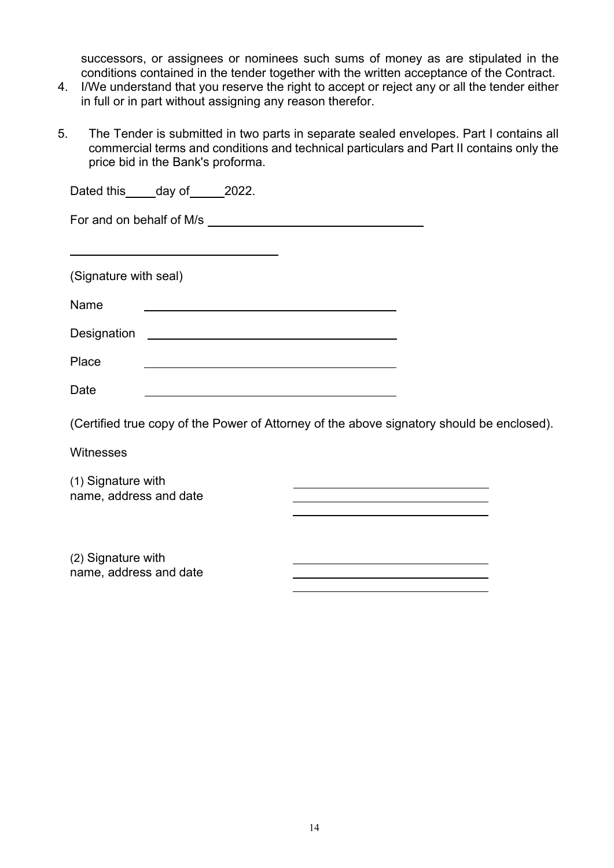successors, or assignees or nominees such sums of money as are stipulated in the conditions contained in the tender together with the written acceptance of the Contract.

- 4. I/We understand that you reserve the right to accept or reject any or all the tender either in full or in part without assigning any reason therefor.
- 5. The Tender is submitted in two parts in separate sealed envelopes. Part I contains all commercial terms and conditions and technical particulars and Part II contains only the price bid in the Bank's proforma.

| Dated this _____ day of ______ 2022. |                                                                                           |  |  |  |  |  |
|--------------------------------------|-------------------------------------------------------------------------------------------|--|--|--|--|--|
|                                      |                                                                                           |  |  |  |  |  |
|                                      | the control of the control of the control of the control of the control of the control of |  |  |  |  |  |
| (Signature with seal)                |                                                                                           |  |  |  |  |  |
| Name                                 |                                                                                           |  |  |  |  |  |
|                                      |                                                                                           |  |  |  |  |  |
| Place                                |                                                                                           |  |  |  |  |  |
| Date                                 |                                                                                           |  |  |  |  |  |

(Certified true copy of the Power of Attorney of the above signatory should be enclosed).

**Witnesses** 

(1) Signature with name, address and date

(2) Signature with name, address and date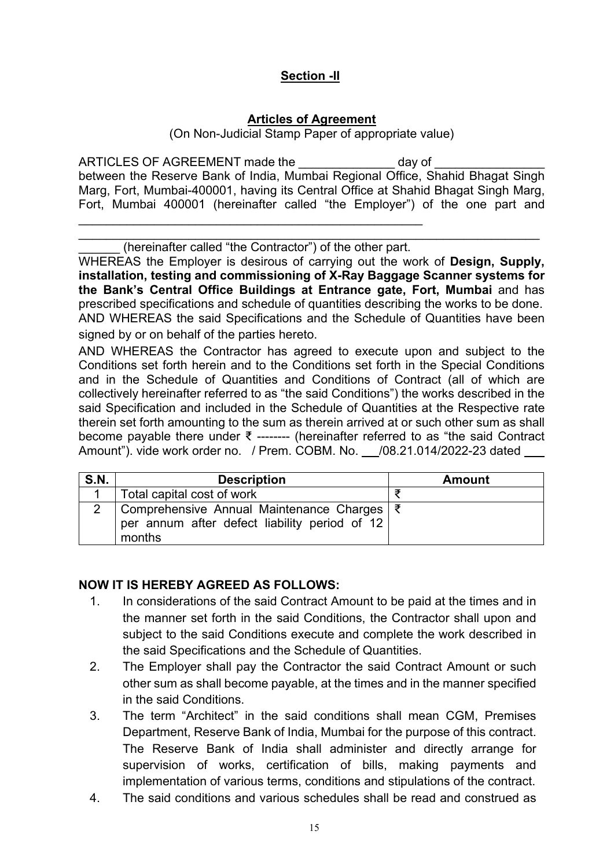# **Section -II**

## **Articles of Agreement**

(On Non-Judicial Stamp Paper of appropriate value)

ARTICLES OF AGREEMENT made the \_\_\_\_\_\_\_\_\_\_\_\_\_\_\_\_ day of \_ between the Reserve Bank of India, Mumbai Regional Office, Shahid Bhagat Singh Marg, Fort, Mumbai-400001, having its Central Office at Shahid Bhagat Singh Marg, Fort, Mumbai 400001 (hereinafter called "the Employer") of the one part and

\_\_\_\_\_\_\_\_\_\_\_\_\_\_\_\_\_\_\_\_\_\_\_\_\_\_\_\_\_\_\_\_\_\_\_\_\_\_\_\_\_\_\_\_\_\_\_\_\_\_\_\_\_\_\_\_\_\_\_\_\_\_\_\_\_\_\_ (hereinafter called "the Contractor") of the other part.

\_\_\_\_\_\_\_\_\_\_\_\_\_\_\_\_\_\_\_\_\_\_\_\_\_\_\_\_\_\_\_\_\_\_\_\_\_\_\_\_\_\_\_\_\_\_\_\_\_\_

WHEREAS the Employer is desirous of carrying out the work of **Design, Supply, installation, testing and commissioning of X-Ray Baggage Scanner systems for the Bank's Central Office Buildings at Entrance gate, Fort, Mumbai** and has prescribed specifications and schedule of quantities describing the works to be done. AND WHEREAS the said Specifications and the Schedule of Quantities have been signed by or on behalf of the parties hereto.

AND WHEREAS the Contractor has agreed to execute upon and subject to the Conditions set forth herein and to the Conditions set forth in the Special Conditions and in the Schedule of Quantities and Conditions of Contract (all of which are collectively hereinafter referred to as "the said Conditions") the works described in the said Specification and included in the Schedule of Quantities at the Respective rate therein set forth amounting to the sum as therein arrived at or such other sum as shall become payable there under ₹ -------- (hereinafter referred to as "the said Contract Amount"). vide work order no. / Prem. COBM. No. /08.21.014/2022-23 dated

| S.N. | <b>Description</b>                                                                                      | <b>Amount</b> |
|------|---------------------------------------------------------------------------------------------------------|---------------|
|      | Total capital cost of work                                                                              |               |
|      | Comprehensive Annual Maintenance Charges   ₹<br>per annum after defect liability period of 12<br>months |               |

# **NOW IT IS HEREBY AGREED AS FOLLOWS:**

- 1. In considerations of the said Contract Amount to be paid at the times and in the manner set forth in the said Conditions, the Contractor shall upon and subject to the said Conditions execute and complete the work described in the said Specifications and the Schedule of Quantities.
- 2. The Employer shall pay the Contractor the said Contract Amount or such other sum as shall become payable, at the times and in the manner specified in the said Conditions.
- 3. The term "Architect" in the said conditions shall mean CGM, Premises Department, Reserve Bank of India, Mumbai for the purpose of this contract. The Reserve Bank of India shall administer and directly arrange for supervision of works, certification of bills, making payments and implementation of various terms, conditions and stipulations of the contract.
- 4. The said conditions and various schedules shall be read and construed as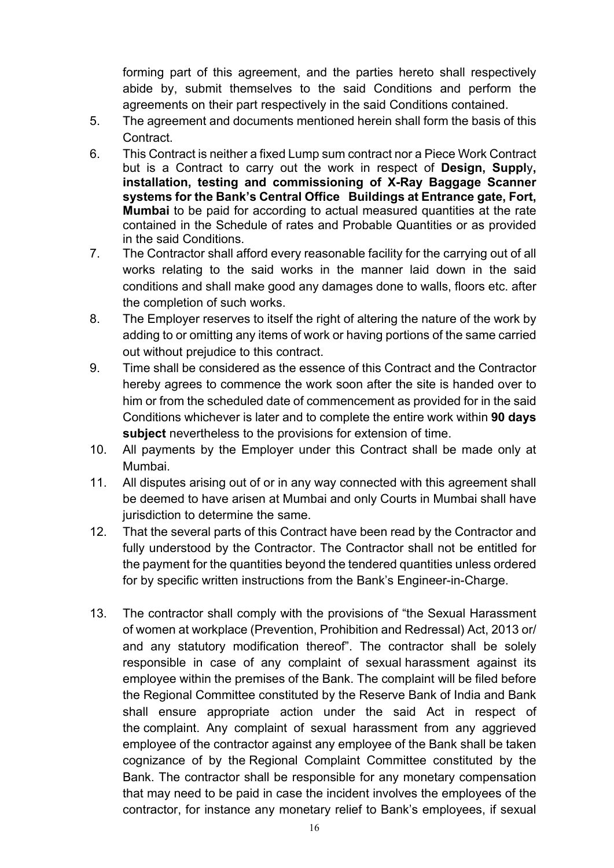forming part of this agreement, and the parties hereto shall respectively abide by, submit themselves to the said Conditions and perform the agreements on their part respectively in the said Conditions contained.

- 5. The agreement and documents mentioned herein shall form the basis of this Contract.
- 6. This Contract is neither a fixed Lump sum contract nor a Piece Work Contract but is a Contract to carry out the work in respect of **Design, Suppl**y**, installation, testing and commissioning of X-Ray Baggage Scanner systems for the Bank's Central Office Buildings at Entrance gate, Fort, Mumbai** to be paid for according to actual measured quantities at the rate contained in the Schedule of rates and Probable Quantities or as provided in the said Conditions.
- 7. The Contractor shall afford every reasonable facility for the carrying out of all works relating to the said works in the manner laid down in the said conditions and shall make good any damages done to walls, floors etc. after the completion of such works.
- 8. The Employer reserves to itself the right of altering the nature of the work by adding to or omitting any items of work or having portions of the same carried out without prejudice to this contract.
- 9. Time shall be considered as the essence of this Contract and the Contractor hereby agrees to commence the work soon after the site is handed over to him or from the scheduled date of commencement as provided for in the said Conditions whichever is later and to complete the entire work within **90 days subject** nevertheless to the provisions for extension of time.
- 10. All payments by the Employer under this Contract shall be made only at Mumbai.
- 11. All disputes arising out of or in any way connected with this agreement shall be deemed to have arisen at Mumbai and only Courts in Mumbai shall have jurisdiction to determine the same.
- 12. That the several parts of this Contract have been read by the Contractor and fully understood by the Contractor. The Contractor shall not be entitled for the payment for the quantities beyond the tendered quantities unless ordered for by specific written instructions from the Bank's Engineer-in-Charge.
- 13. The contractor shall comply with the provisions of "the Sexual Harassment of women at workplace (Prevention, Prohibition and Redressal) Act, 2013 or/ and any statutory modification thereof". The contractor shall be solely responsible in case of any complaint of sexual harassment against its employee within the premises of the Bank. The complaint will be filed before the Regional Committee constituted by the Reserve Bank of India and Bank shall ensure appropriate action under the said Act in respect of the complaint. Any complaint of sexual harassment from any aggrieved employee of the contractor against any employee of the Bank shall be taken cognizance of by the Regional Complaint Committee constituted by the Bank. The contractor shall be responsible for any monetary compensation that may need to be paid in case the incident involves the employees of the contractor, for instance any monetary relief to Bank's employees, if sexual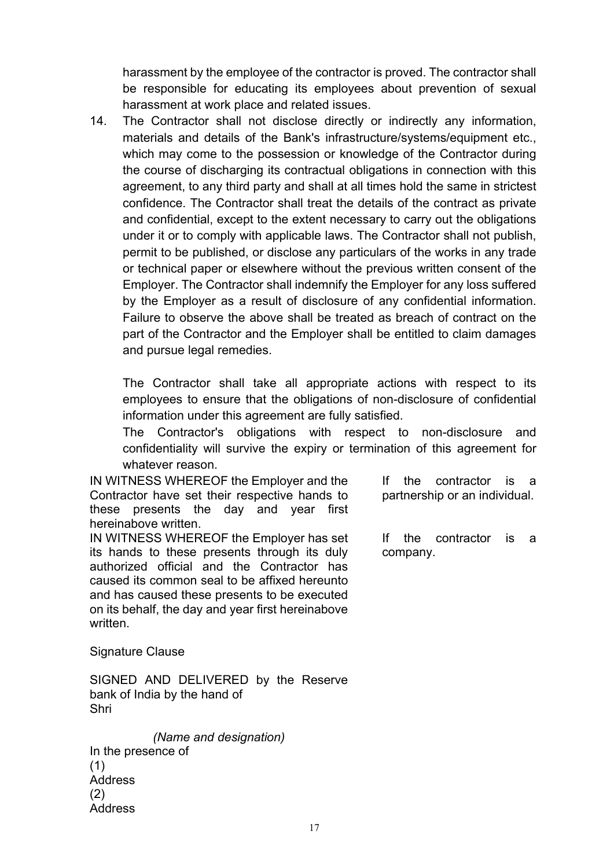harassment by the employee of the contractor is proved. The contractor shall be responsible for educating its employees about prevention of sexual harassment at work place and related issues.

14. The Contractor shall not disclose directly or indirectly any information, materials and details of the Bank's infrastructure/systems/equipment etc., which may come to the possession or knowledge of the Contractor during the course of discharging its contractual obligations in connection with this agreement, to any third party and shall at all times hold the same in strictest confidence. The Contractor shall treat the details of the contract as private and confidential, except to the extent necessary to carry out the obligations under it or to comply with applicable laws. The Contractor shall not publish, permit to be published, or disclose any particulars of the works in any trade or technical paper or elsewhere without the previous written consent of the Employer. The Contractor shall indemnify the Employer for any loss suffered by the Employer as a result of disclosure of any confidential information. Failure to observe the above shall be treated as breach of contract on the part of the Contractor and the Employer shall be entitled to claim damages and pursue legal remedies.

The Contractor shall take all appropriate actions with respect to its employees to ensure that the obligations of non-disclosure of confidential information under this agreement are fully satisfied.

The Contractor's obligations with respect to non-disclosure and confidentiality will survive the expiry or termination of this agreement for whatever reason.

IN WITNESS WHEREOF the Employer and the Contractor have set their respective hands to these presents the day and year first hereinabove written.

IN WITNESS WHEREOF the Employer has set its hands to these presents through its duly authorized official and the Contractor has caused its common seal to be affixed hereunto and has caused these presents to be executed on its behalf, the day and year first hereinabove written.

If the contractor is a partnership or an individual.

If the contractor is a company.

Signature Clause

SIGNED AND DELIVERED by the Reserve bank of India by the hand of Shri

*(Name and designation)* In the presence of (1) Address (2) **Address**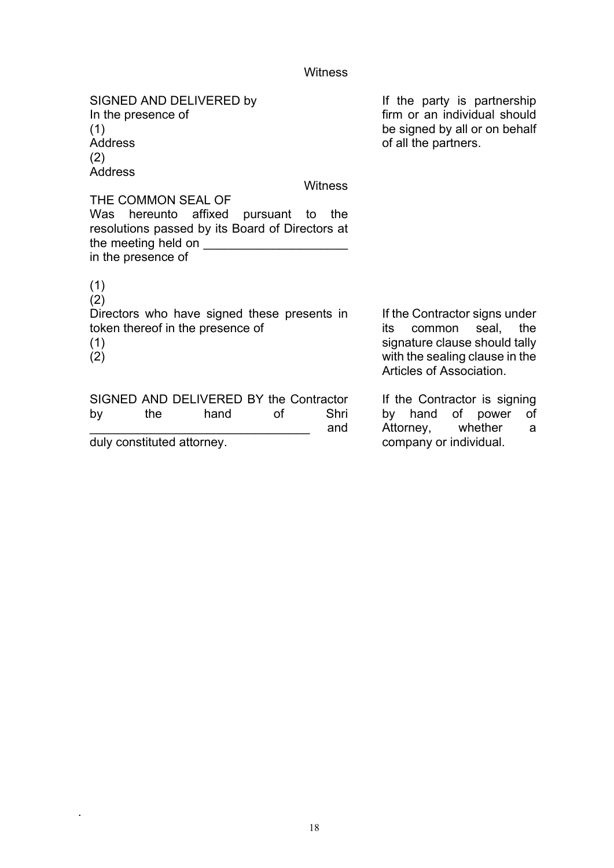# Witness

| SIGNED AND DELIVERED by<br>In the presence of<br>(1)<br><b>Address</b><br>(2)<br><b>Address</b>                                  |         | If the party is partnership<br>firm or an individual should<br>be signed by all or on behalf<br>of all the partners.    |
|----------------------------------------------------------------------------------------------------------------------------------|---------|-------------------------------------------------------------------------------------------------------------------------|
|                                                                                                                                  | Witness |                                                                                                                         |
| THE COMMON SEAL OF                                                                                                               |         |                                                                                                                         |
| Was hereunto affixed pursuant to<br>resolutions passed by its Board of Directors at<br>the meeting held on<br>in the presence of | the     |                                                                                                                         |
| (1)<br>(2)<br>Directors who have signed these presents in<br>token thereof in the presence of<br>(1)                             |         | If the Contractor signs under<br>common seal, the<br>its<br>signature clause should tally                               |
| (2)<br>SIGNED AND DELIVERED BY the Contractor<br>the<br>hand<br>οf<br>by                                                         | Shri    | with the sealing clause in the<br>Articles of Association.<br>If the Contractor is signing<br>hand of power<br>by<br>of |
|                                                                                                                                  | and     | Attorney, whether<br>a                                                                                                  |

duly constituted attorney.

.

Attorney, whether a company or individual.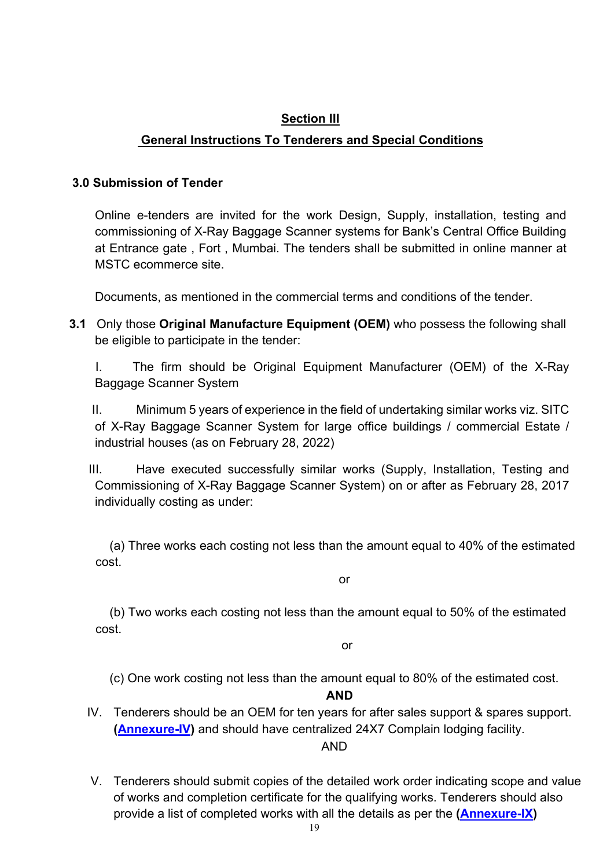# **Section III**

# **General Instructions To Tenderers and Special Conditions**

## **3.0 Submission of Tender**

Online e-tenders are invited for the work Design, Supply, installation, testing and commissioning of X-Ray Baggage Scanner systems for Bank's Central Office Building at Entrance gate , Fort , Mumbai. The tenders shall be submitted in online manner at MSTC ecommerce site.

Documents, as mentioned in the commercial terms and conditions of the tender.

- **3.1** Only those **Original Manufacture Equipment (OEM)** who possess the following shall be eligible to participate in the tender:
	- I. The firm should be Original Equipment Manufacturer (OEM) of the X-Ray Baggage Scanner System

II. Minimum 5 years of experience in the field of undertaking similar works viz. SITC of X-Ray Baggage Scanner System for large office buildings / commercial Estate / industrial houses (as on February 28, 2022)

III. Have executed successfully similar works (Supply, Installation, Testing and Commissioning of X-Ray Baggage Scanner System) on or after as February 28, 2017 individually costing as under:

(a) Three works each costing not less than the amount equal to 40% of the estimated cost.

or

(b) Two works each costing not less than the amount equal to 50% of the estimated cost.

or

(c) One work costing not less than the amount equal to 80% of the estimated cost.

## **AND**

IV. Tenderers should be an OEM for ten years for after sales support & spares support. **[\(Annexure-IV\)](#page-67-0)** and should have centralized 24X7 Complain lodging facility.

# AND

V. Tenderers should submit copies of the detailed work order indicating scope and value of works and completion certificate for the qualifying works. Tenderers should also provide a list of completed works with all the details as per the **[\(Annexure-IX\)](#page-75-0)**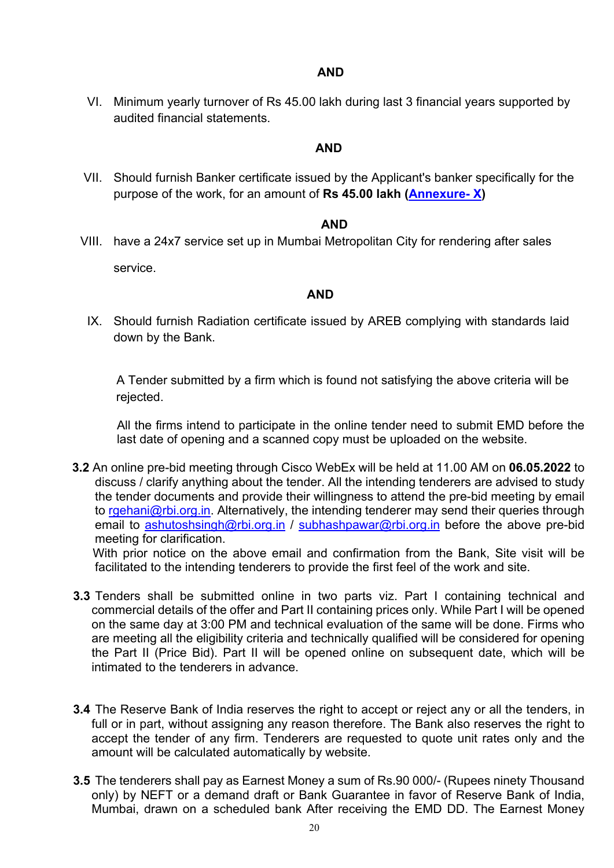## **AND**

VI. Minimum yearly turnover of Rs 45.00 lakh during last 3 financial years supported by audited financial statements.

# **AND**

VII. Should furnish Banker certificate issued by the Applicant's banker specifically for the purpose of the work, for an amount of **Rs 45.00 lakh [\(Annexure- X\)](#page-77-0)** 

## **AND**

VIII. have a 24x7 service set up in Mumbai Metropolitan City for rendering after sales

service.

#### **AND**

IX. Should furnish Radiation certificate issued by AREB complying with standards laid down by the Bank.

 A Tender submitted by a firm which is found not satisfying the above criteria will be rejected.

All the firms intend to participate in the online tender need to submit EMD before the last date of opening and a scanned copy must be uploaded on the website.

- **3.2** An online pre-bid meeting through Cisco WebEx will be held at 11.00 AM on **06.05.2022** to discuss / clarify anything about the tender. All the intending tenderers are advised to study the tender documents and provide their willingness to attend the pre-bid meeting by email to [rgehani@rbi.org.in.](mailto:rgehani@rbi.org.in) Alternatively, the intending tenderer may send their queries through email to [ashutoshsingh@rbi.org.in](mailto:ashutoshsingh@rbi.org.in) / [subhashpawar@rbi.org.in](mailto:subhashpawar@rbi.org.in) before the above pre-bid meeting for clarification. With prior notice on the above email and confirmation from the Bank, Site visit will be facilitated to the intending tenderers to provide the first feel of the work and site.
- **3.3** Tenders shall be submitted online in two parts viz. Part I containing technical and commercial details of the offer and Part II containing prices only. While Part I will be opened on the same day at 3:00 PM and technical evaluation of the same will be done. Firms who are meeting all the eligibility criteria and technically qualified will be considered for opening the Part II (Price Bid). Part II will be opened online on subsequent date, which will be intimated to the tenderers in advance.
- **3.4** The Reserve Bank of India reserves the right to accept or reject any or all the tenders, in full or in part, without assigning any reason therefore. The Bank also reserves the right to accept the tender of any firm. Tenderers are requested to quote unit rates only and the amount will be calculated automatically by website.
- **3.5** The tenderers shall pay as Earnest Money a sum of Rs.90 000/- (Rupees ninety Thousand only) by NEFT or a demand draft or Bank Guarantee in favor of Reserve Bank of India, Mumbai, drawn on a scheduled bank After receiving the EMD DD. The Earnest Money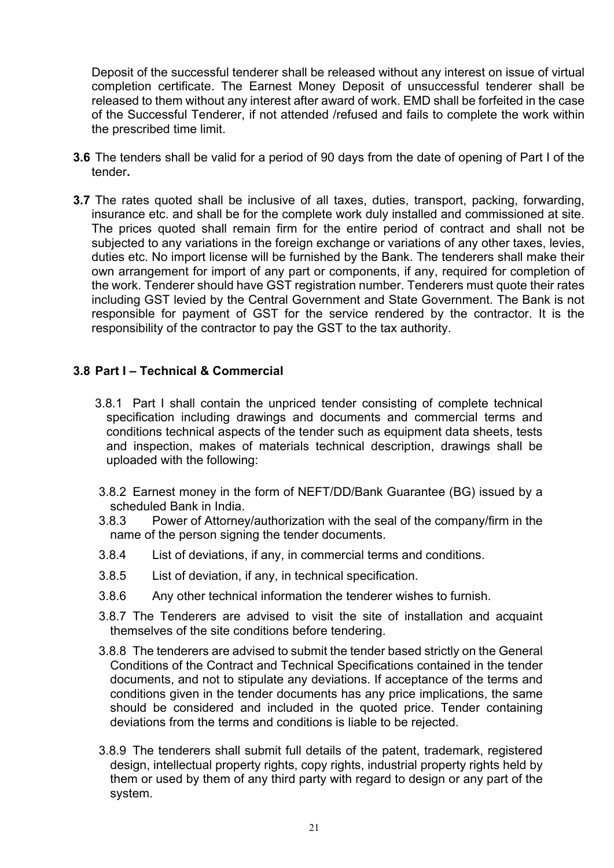Deposit of the successful tenderer shall be released without any interest on issue of virtual completion certificate. The Earnest Money Deposit of unsuccessful tenderer shall be released to them without any interest after award of work. EMD shall be forfeited in the case of the Successful Tenderer, if not attended /refused and fails to complete the work within the prescribed time limit.

- **3.6** The tenders shall be valid for a period of 90 days from the date of opening of Part I of the tender**.**
- **3.7** The rates quoted shall be inclusive of all taxes, duties, transport, packing, forwarding, insurance etc. and shall be for the complete work duly installed and commissioned at site. The prices quoted shall remain firm for the entire period of contract and shall not be subjected to any variations in the foreign exchange or variations of any other taxes, levies, duties etc. No import license will be furnished by the Bank. The tenderers shall make their own arrangement for import of any part or components, if any, required for completion of the work. Tenderer should have GST registration number. Tenderers must quote their rates including GST levied by the Central Government and State Government. The Bank is not responsible for payment of GST for the service rendered by the contractor. It is the responsibility of the contractor to pay the GST to the tax authority.

## **3.8 Part I – Technical & Commercial**

- 3.8.1 Part I shall contain the unpriced tender consisting of complete technical specification including drawings and documents and commercial terms and conditions technical aspects of the tender such as equipment data sheets, tests and inspection, makes of materials technical description, drawings shall be uploaded with the following:
- 3.8.2 Earnest money in the form of NEFT/DD/Bank Guarantee (BG) issued by a scheduled Bank in India.
- 3.8.3 Power of Attorney/authorization with the seal of the company/firm in the name of the person signing the tender documents.
- 3.8.4 List of deviations, if any, in commercial terms and conditions.
- 3.8.5 List of deviation, if any, in technical specification.
- 3.8.6 Any other technical information the tenderer wishes to furnish.
- 3.8.7 The Tenderers are advised to visit the site of installation and acquaint themselves of the site conditions before tendering.
- 3.8.8 The tenderers are advised to submit the tender based strictly on the General Conditions of the Contract and Technical Specifications contained in the tender documents, and not to stipulate any deviations. If acceptance of the terms and conditions given in the tender documents has any price implications, the same should be considered and included in the quoted price. Tender containing deviations from the terms and conditions is liable to be rejected.
- 3.8.9 The tenderers shall submit full details of the patent, trademark, registered design, intellectual property rights, copy rights, industrial property rights held by them or used by them of any third party with regard to design or any part of the system.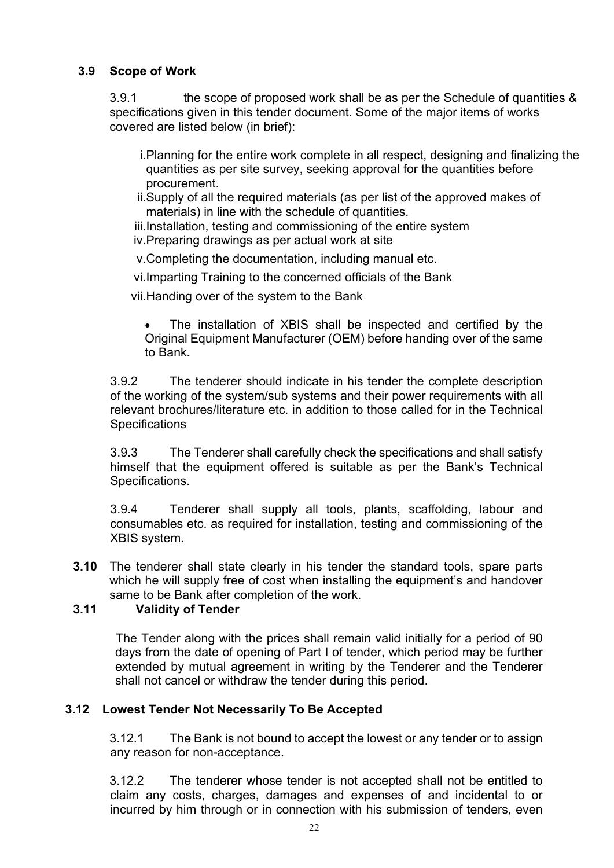# **3.9 Scope of Work**

3.9.1 the scope of proposed work shall be as per the Schedule of quantities & specifications given in this tender document. Some of the major items of works covered are listed below (in brief):

i.Planning for the entire work complete in all respect, designing and finalizing the quantities as per site survey, seeking approval for the quantities before procurement.

ii.Supply of all the required materials (as per list of the approved makes of materials) in line with the schedule of quantities.

iii.Installation, testing and commissioning of the entire system iv.Preparing drawings as per actual work at site

v.Completing the documentation, including manual etc.

vi.Imparting Training to the concerned officials of the Bank

vii.Handing over of the system to the Bank

The installation of XBIS shall be inspected and certified by the Original Equipment Manufacturer (OEM) before handing over of the same to Bank**.**

3.9.2 The tenderer should indicate in his tender the complete description of the working of the system/sub systems and their power requirements with all relevant brochures/literature etc. in addition to those called for in the Technical **Specifications** 

3.9.3 The Tenderer shall carefully check the specifications and shall satisfy himself that the equipment offered is suitable as per the Bank's Technical Specifications.

3.9.4 Tenderer shall supply all tools, plants, scaffolding, labour and consumables etc. as required for installation, testing and commissioning of the XBIS system.

**3.10** The tenderer shall state clearly in his tender the standard tools, spare parts which he will supply free of cost when installing the equipment's and handover same to be Bank after completion of the work.

# **3.11 Validity of Tender**

 The Tender along with the prices shall remain valid initially for a period of 90 days from the date of opening of Part I of tender, which period may be further extended by mutual agreement in writing by the Tenderer and the Tenderer shall not cancel or withdraw the tender during this period.

# **3.12 Lowest Tender Not Necessarily To Be Accepted**

3.12.1 The Bank is not bound to accept the lowest or any tender or to assign any reason for non-acceptance.

3.12.2 The tenderer whose tender is not accepted shall not be entitled to claim any costs, charges, damages and expenses of and incidental to or incurred by him through or in connection with his submission of tenders, even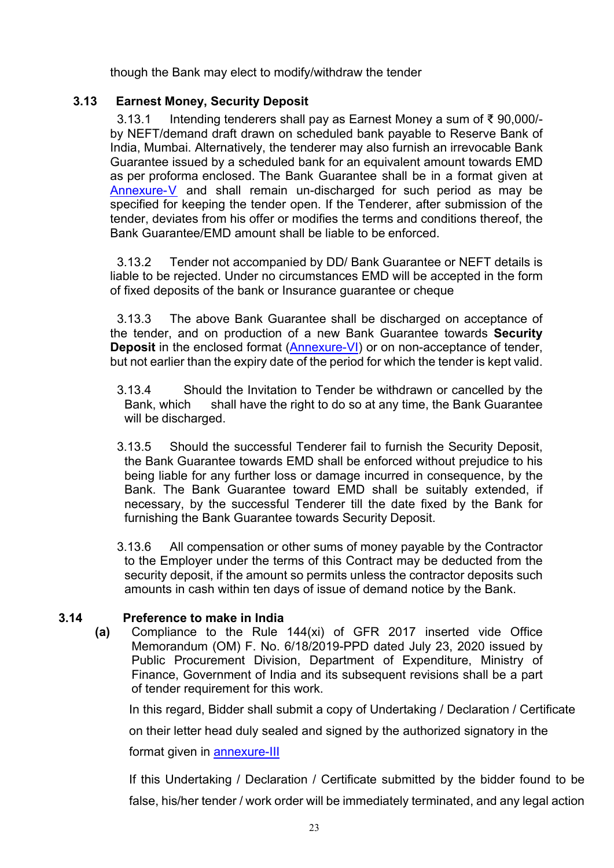though the Bank may elect to modify/withdraw the tender

# **3.13 Earnest Money, Security Deposit**

3.13.1 Intending tenderers shall pay as Earnest Money a sum of ₹ 90,000/ by NEFT/demand draft drawn on scheduled bank payable to Reserve Bank of India, Mumbai. Alternatively, the tenderer may also furnish an irrevocable Bank Guarantee issued by a scheduled bank for an equivalent amount towards EMD as per proforma enclosed. The Bank Guarantee shall be in a format given at [Annexure-V](#page-68-0) and shall remain un-discharged for such period as may be specified for keeping the tender open. If the Tenderer, after submission of the tender, deviates from his offer or modifies the terms and conditions thereof, the Bank Guarantee/EMD amount shall be liable to be enforced.

3.13.2 Tender not accompanied by DD/ Bank Guarantee or NEFT details is liable to be rejected. Under no circumstances EMD will be accepted in the form of fixed deposits of the bank or Insurance guarantee or cheque

3.13.3 The above Bank Guarantee shall be discharged on acceptance of the tender, and on production of a new Bank Guarantee towards **Security Deposit** in the enclosed format [\(Annexure-VI\)](#page-70-0) or on non-acceptance of tender, but not earlier than the expiry date of the period for which the tender is kept valid.

- 3.13.4 Should the Invitation to Tender be withdrawn or cancelled by the Bank, which shall have the right to do so at any time, the Bank Guarantee will be discharged.
- 3.13.5 Should the successful Tenderer fail to furnish the Security Deposit, the Bank Guarantee towards EMD shall be enforced without prejudice to his being liable for any further loss or damage incurred in consequence, by the Bank. The Bank Guarantee toward EMD shall be suitably extended, if necessary, by the successful Tenderer till the date fixed by the Bank for furnishing the Bank Guarantee towards Security Deposit.
- 3.13.6 All compensation or other sums of money payable by the Contractor to the Employer under the terms of this Contract may be deducted from the security deposit, if the amount so permits unless the contractor deposits such amounts in cash within ten days of issue of demand notice by the Bank.

# **3.14 Preference to make in India**

**(a)** Compliance to the Rule 144(xi) of GFR 2017 inserted vide Office Memorandum (OM) F. No. 6/18/2019-PPD dated July 23, 2020 issued by Public Procurement Division, Department of Expenditure, Ministry of Finance, Government of India and its subsequent revisions shall be a part of tender requirement for this work.

In this regard, Bidder shall submit a copy of Undertaking / Declaration / Certificate

on their letter head duly sealed and signed by the authorized signatory in the

format given in [annexure-III](#page-65-0)

If this Undertaking / Declaration / Certificate submitted by the bidder found to be false, his/her tender / work order will be immediately terminated, and any legal action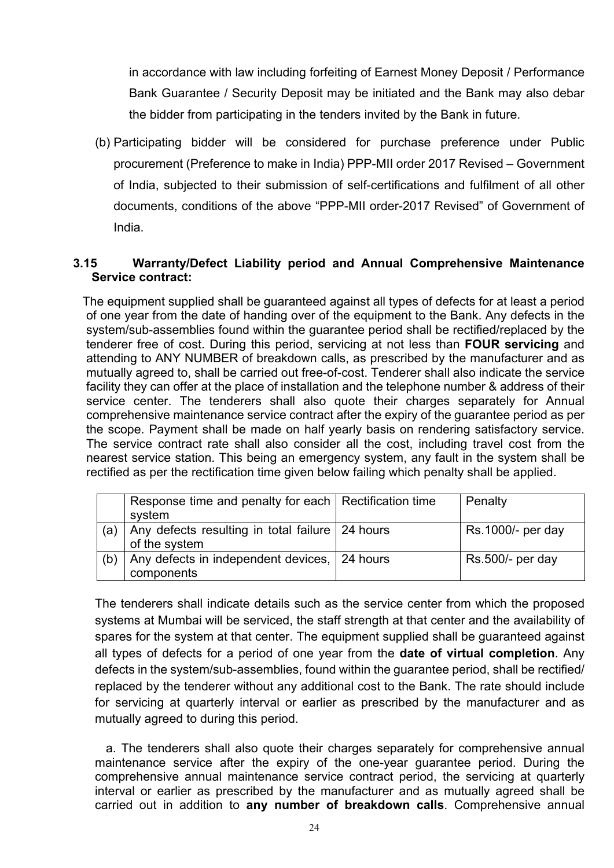in accordance with law including forfeiting of Earnest Money Deposit / Performance Bank Guarantee / Security Deposit may be initiated and the Bank may also debar the bidder from participating in the tenders invited by the Bank in future.

(b) Participating bidder will be considered for purchase preference under Public procurement (Preference to make in India) PPP-MII order 2017 Revised – Government of India, subjected to their submission of self-certifications and fulfilment of all other documents, conditions of the above "PPP-MII order-2017 Revised" of Government of India.

## **3.15 Warranty/Defect Liability period and Annual Comprehensive Maintenance Service contract:**

 The equipment supplied shall be guaranteed against all types of defects for at least a period of one year from the date of handing over of the equipment to the Bank. Any defects in the system/sub-assemblies found within the guarantee period shall be rectified/replaced by the tenderer free of cost. During this period, servicing at not less than **FOUR servicing** and attending to ANY NUMBER of breakdown calls, as prescribed by the manufacturer and as mutually agreed to, shall be carried out free-of-cost. Tenderer shall also indicate the service facility they can offer at the place of installation and the telephone number & address of their service center. The tenderers shall also quote their charges separately for Annual comprehensive maintenance service contract after the expiry of the guarantee period as per the scope. Payment shall be made on half yearly basis on rendering satisfactory service. The service contract rate shall also consider all the cost, including travel cost from the nearest service station. This being an emergency system, any fault in the system shall be rectified as per the rectification time given below failing which penalty shall be applied.

|     | Response time and penalty for each   Rectification time<br>system | Penalty           |
|-----|-------------------------------------------------------------------|-------------------|
| (a) | Any defects resulting in total failure 24 hours<br>of the system  | Rs.1000/- per day |
| (b) | Any defects in independent devices, 24 hours<br>components        | Rs.500/- per day  |

The tenderers shall indicate details such as the service center from which the proposed systems at Mumbai will be serviced, the staff strength at that center and the availability of spares for the system at that center. The equipment supplied shall be guaranteed against all types of defects for a period of one year from the **date of virtual completion**. Any defects in the system/sub-assemblies, found within the guarantee period, shall be rectified/ replaced by the tenderer without any additional cost to the Bank. The rate should include for servicing at quarterly interval or earlier as prescribed by the manufacturer and as mutually agreed to during this period.

 a. The tenderers shall also quote their charges separately for comprehensive annual maintenance service after the expiry of the one-year guarantee period. During the comprehensive annual maintenance service contract period, the servicing at quarterly interval or earlier as prescribed by the manufacturer and as mutually agreed shall be carried out in addition to **any number of breakdown calls**. Comprehensive annual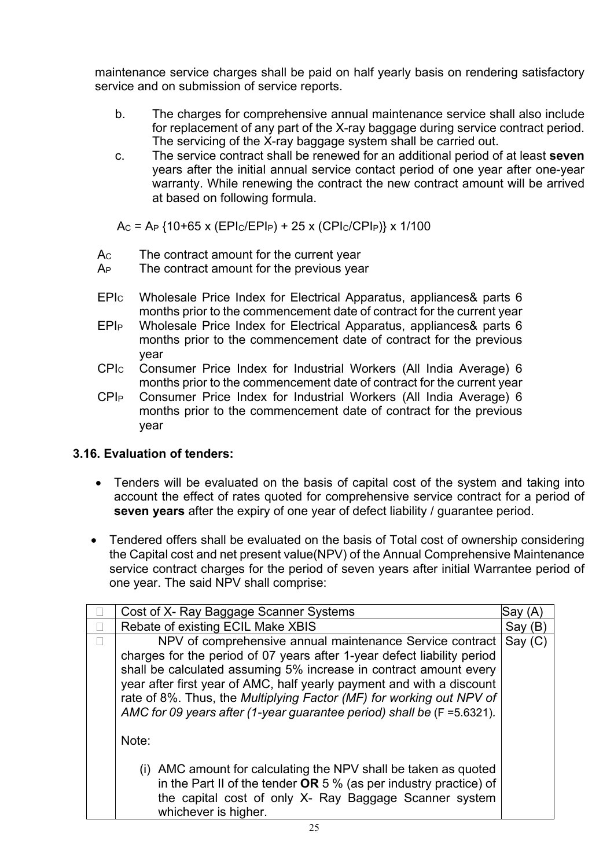maintenance service charges shall be paid on half yearly basis on rendering satisfactory service and on submission of service reports.

- b. The charges for comprehensive annual maintenance service shall also include for replacement of any part of the X-ray baggage during service contract period. The servicing of the X-ray baggage system shall be carried out.
- c. The service contract shall be renewed for an additional period of at least **seven** years after the initial annual service contact period of one year after one-year warranty. While renewing the contract the new contract amount will be arrived at based on following formula.

AC = AP {10+65 x (EPIC/EPIP) + 25 x (CPIC/CPIP)} x 1/100

- Ac The contract amount for the current year
- A<sub>P</sub> The contract amount for the previous year
- EPIC Wholesale Price Index for Electrical Apparatus, appliances& parts 6 months prior to the commencement date of contract for the current year
- EPIP Wholesale Price Index for Electrical Apparatus, appliances& parts 6 months prior to the commencement date of contract for the previous year
- CPIC Consumer Price Index for Industrial Workers (All India Average) 6 months prior to the commencement date of contract for the current year
- CPIP Consumer Price Index for Industrial Workers (All India Average) 6 months prior to the commencement date of contract for the previous year

# **3.16. Evaluation of tenders:**

- Tenders will be evaluated on the basis of capital cost of the system and taking into account the effect of rates quoted for comprehensive service contract for a period of **seven years** after the expiry of one year of defect liability / guarantee period.
- Tendered offers shall be evaluated on the basis of Total cost of ownership considering the Capital cost and net present value(NPV) of the Annual Comprehensive Maintenance service contract charges for the period of seven years after initial Warrantee period of one year. The said NPV shall comprise:

| Cost of X- Ray Baggage Scanner Systems                                                                                                                                                                                                                                                                                                                              | Sav     |  |
|---------------------------------------------------------------------------------------------------------------------------------------------------------------------------------------------------------------------------------------------------------------------------------------------------------------------------------------------------------------------|---------|--|
| Rebate of existing ECIL Make XBIS                                                                                                                                                                                                                                                                                                                                   | Say (B) |  |
| NPV of comprehensive annual maintenance Service contract<br>Say(C)<br>charges for the period of 07 years after 1-year defect liability period<br>shall be calculated assuming 5% increase in contract amount every<br>year after first year of AMC, half yearly payment and with a discount<br>rate of 8%. Thus, the Multiplying Factor (MF) for working out NPV of |         |  |
| AMC for 09 years after (1-year guarantee period) shall be (F = 5.6321).<br>Note:                                                                                                                                                                                                                                                                                    |         |  |
| (i) AMC amount for calculating the NPV shall be taken as quoted<br>in the Part II of the tender OR 5 % (as per industry practice) of<br>the capital cost of only X- Ray Baggage Scanner system<br>whichever is higher.                                                                                                                                              |         |  |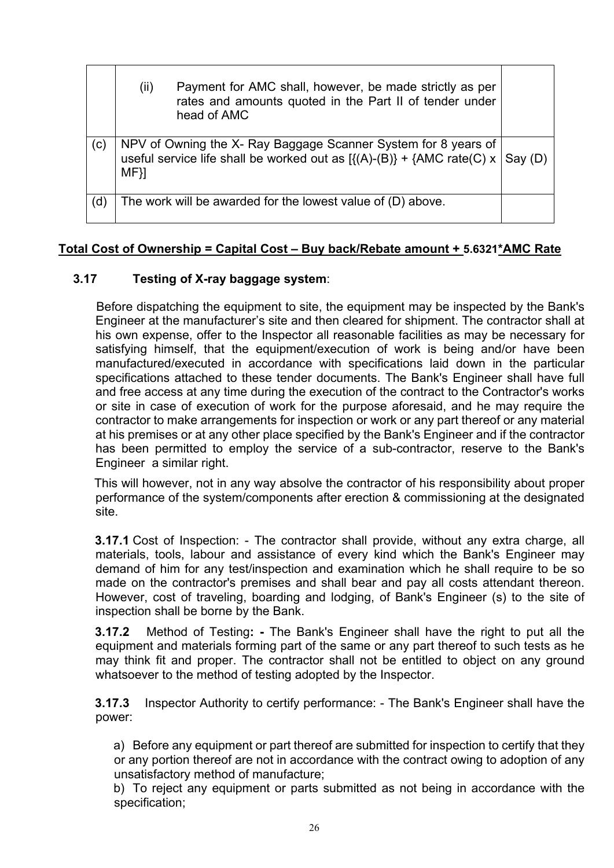|     | (ii)<br>Payment for AMC shall, however, be made strictly as per<br>rates and amounts quoted in the Part II of tender under<br>head of AMC                    |  |
|-----|--------------------------------------------------------------------------------------------------------------------------------------------------------------|--|
| (c) | NPV of Owning the X- Ray Baggage Scanner System for 8 years of<br>useful service life shall be worked out as $[{(A)-(B)} + {AMC rate(C) x   Say(D)}$<br>MF}] |  |
| (d) | The work will be awarded for the lowest value of (D) above.                                                                                                  |  |

# **Total Cost of Ownership = Capital Cost – Buy back/Rebate amount + 5.6321\*AMC Rate**

# **3.17 Testing of X-ray baggage system**:

 Before dispatching the equipment to site, the equipment may be inspected by the Bank's Engineer at the manufacturer's site and then cleared for shipment. The contractor shall at his own expense, offer to the Inspector all reasonable facilities as may be necessary for satisfying himself, that the equipment/execution of work is being and/or have been manufactured/executed in accordance with specifications laid down in the particular specifications attached to these tender documents. The Bank's Engineer shall have full and free access at any time during the execution of the contract to the Contractor's works or site in case of execution of work for the purpose aforesaid, and he may require the contractor to make arrangements for inspection or work or any part thereof or any material at his premises or at any other place specified by the Bank's Engineer and if the contractor has been permitted to employ the service of a sub-contractor, reserve to the Bank's Engineer a similar right.

This will however, not in any way absolve the contractor of his responsibility about proper performance of the system/components after erection & commissioning at the designated site.

**3.17.1** Cost of Inspection: - The contractor shall provide, without any extra charge, all materials, tools, labour and assistance of every kind which the Bank's Engineer may demand of him for any test/inspection and examination which he shall require to be so made on the contractor's premises and shall bear and pay all costs attendant thereon. However, cost of traveling, boarding and lodging, of Bank's Engineer (s) to the site of inspection shall be borne by the Bank.

**3.17.2** Method of Testing**: -** The Bank's Engineer shall have the right to put all the equipment and materials forming part of the same or any part thereof to such tests as he may think fit and proper. The contractor shall not be entitled to object on any ground whatsoever to the method of testing adopted by the Inspector.

**3.17.3** Inspector Authority to certify performance: - The Bank's Engineer shall have the power:

a) Before any equipment or part thereof are submitted for inspection to certify that they or any portion thereof are not in accordance with the contract owing to adoption of any unsatisfactory method of manufacture;

b) To reject any equipment or parts submitted as not being in accordance with the specification;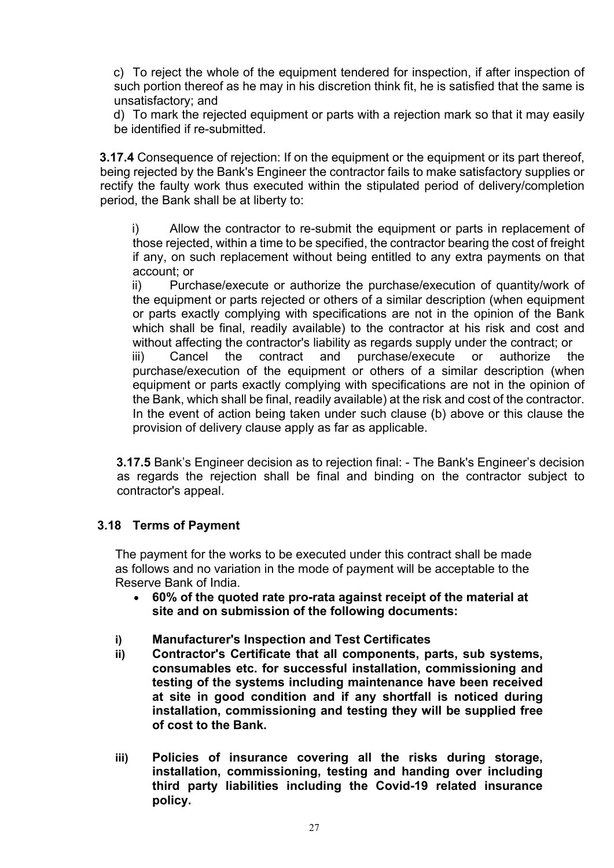c) To reject the whole of the equipment tendered for inspection, if after inspection of such portion thereof as he may in his discretion think fit, he is satisfied that the same is unsatisfactory; and

d) To mark the rejected equipment or parts with a rejection mark so that it may easily be identified if re-submitted.

**3.17.4** Consequence of rejection: If on the equipment or the equipment or its part thereof, being rejected by the Bank's Engineer the contractor fails to make satisfactory supplies or rectify the faulty work thus executed within the stipulated period of delivery/completion period, the Bank shall be at liberty to:

i) Allow the contractor to re-submit the equipment or parts in replacement of those rejected, within a time to be specified, the contractor bearing the cost of freight if any, on such replacement without being entitled to any extra payments on that account; or

ii) Purchase/execute or authorize the purchase/execution of quantity/work of the equipment or parts rejected or others of a similar description (when equipment or parts exactly complying with specifications are not in the opinion of the Bank which shall be final, readily available) to the contractor at his risk and cost and without affecting the contractor's liability as regards supply under the contract; or iii) Cancel the contract and purchase/execute or authorize the purchase/execution of the equipment or others of a similar description (when equipment or parts exactly complying with specifications are not in the opinion of the Bank, which shall be final, readily available) at the risk and cost of the contractor. In the event of action being taken under such clause (b) above or this clause the provision of delivery clause apply as far as applicable.

**3.17.5** Bank's Engineer decision as to rejection final: - The Bank's Engineer's decision as regards the rejection shall be final and binding on the contractor subject to contractor's appeal.

## **3.18 Terms of Payment**

The payment for the works to be executed under this contract shall be made as follows and no variation in the mode of payment will be acceptable to the Reserve Bank of India.

- **60% of the quoted rate pro-rata against receipt of the material at site and on submission of the following documents:**
- **i) Manufacturer's Inspection and Test Certificates**
- **ii) Contractor's Certificate that all components, parts, sub systems, consumables etc. for successful installation, commissioning and testing of the systems including maintenance have been received at site in good condition and if any shortfall is noticed during installation, commissioning and testing they will be supplied free of cost to the Bank.**
- **iii) Policies of insurance covering all the risks during storage, installation, commissioning, testing and handing over including third party liabilities including the Covid-19 related insurance policy.**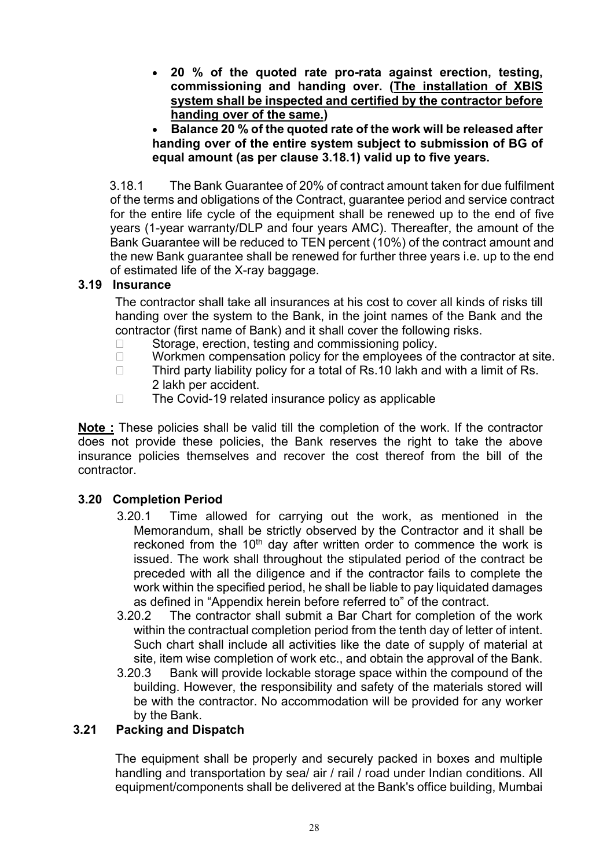• **20 % of the quoted rate pro-rata against erection, testing, commissioning and handing over. (The installation of XBIS system shall be inspected and certified by the contractor before handing over of the same.)** 

• **Balance 20 % of the quoted rate of the work will be released after handing over of the entire system subject to submission of BG of equal amount (as per clause 3.18.1) valid up to five years.** 

3.18.1 The Bank Guarantee of 20% of contract amount taken for due fulfilment of the terms and obligations of the Contract, guarantee period and service contract for the entire life cycle of the equipment shall be renewed up to the end of five years (1-year warranty/DLP and four years AMC). Thereafter, the amount of the Bank Guarantee will be reduced to TEN percent (10%) of the contract amount and the new Bank guarantee shall be renewed for further three years i.e. up to the end of estimated life of the X-ray baggage.

## **3.19 Insurance**

The contractor shall take all insurances at his cost to cover all kinds of risks till handing over the system to the Bank, in the joint names of the Bank and the contractor (first name of Bank) and it shall cover the following risks.

- $\Box$  Storage, erection, testing and commissioning policy.
- $\Box$  Workmen compensation policy for the employees of the contractor at site.
- $\Box$  Third party liability policy for a total of Rs.10 lakh and with a limit of Rs. 2 lakh per accident.
- $\Box$  The Covid-19 related insurance policy as applicable

**Note :** These policies shall be valid till the completion of the work. If the contractor does not provide these policies, the Bank reserves the right to take the above insurance policies themselves and recover the cost thereof from the bill of the contractor.

# **3.20 Completion Period**

- 3.20.1 Time allowed for carrying out the work, as mentioned in the Memorandum, shall be strictly observed by the Contractor and it shall be reckoned from the  $10<sup>th</sup>$  day after written order to commence the work is issued. The work shall throughout the stipulated period of the contract be preceded with all the diligence and if the contractor fails to complete the work within the specified period, he shall be liable to pay liquidated damages as defined in "Appendix herein before referred to" of the contract.
- 3.20.2 The contractor shall submit a Bar Chart for completion of the work within the contractual completion period from the tenth day of letter of intent. Such chart shall include all activities like the date of supply of material at site, item wise completion of work etc., and obtain the approval of the Bank.
- 3.20.3 Bank will provide lockable storage space within the compound of the building. However, the responsibility and safety of the materials stored will be with the contractor. No accommodation will be provided for any worker by the Bank.

# **3.21 Packing and Dispatch**

The equipment shall be properly and securely packed in boxes and multiple handling and transportation by sea/ air / rail / road under Indian conditions. All equipment/components shall be delivered at the Bank's office building, Mumbai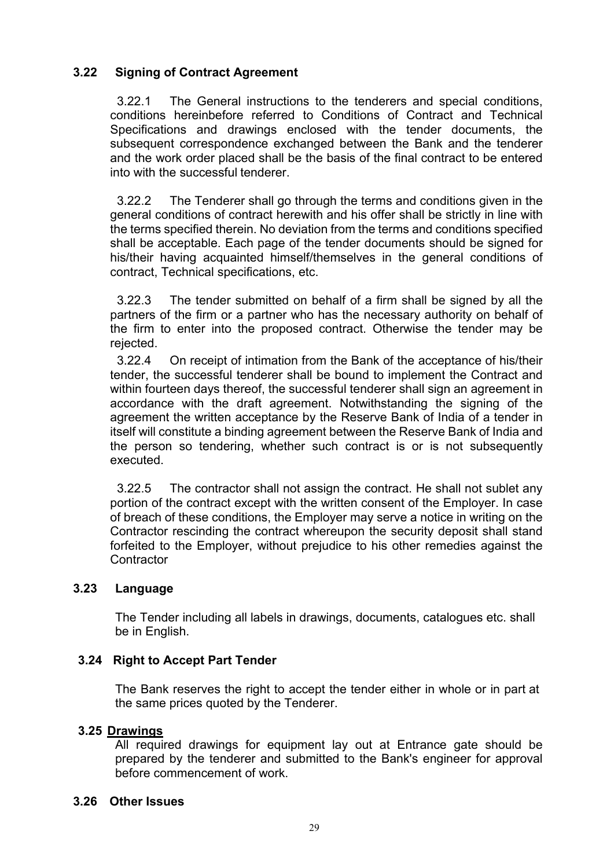# **3.22 Signing of Contract Agreement**

3.22.1 The General instructions to the tenderers and special conditions, conditions hereinbefore referred to Conditions of Contract and Technical Specifications and drawings enclosed with the tender documents, the subsequent correspondence exchanged between the Bank and the tenderer and the work order placed shall be the basis of the final contract to be entered into with the successful tenderer.

3.22.2 The Tenderer shall go through the terms and conditions given in the general conditions of contract herewith and his offer shall be strictly in line with the terms specified therein. No deviation from the terms and conditions specified shall be acceptable. Each page of the tender documents should be signed for his/their having acquainted himself/themselves in the general conditions of contract, Technical specifications, etc.

3.22.3 The tender submitted on behalf of a firm shall be signed by all the partners of the firm or a partner who has the necessary authority on behalf of the firm to enter into the proposed contract. Otherwise the tender may be rejected.

3.22.4 On receipt of intimation from the Bank of the acceptance of his/their tender, the successful tenderer shall be bound to implement the Contract and within fourteen days thereof, the successful tenderer shall sign an agreement in accordance with the draft agreement. Notwithstanding the signing of the agreement the written acceptance by the Reserve Bank of India of a tender in itself will constitute a binding agreement between the Reserve Bank of India and the person so tendering, whether such contract is or is not subsequently executed.

3.22.5 The contractor shall not assign the contract. He shall not sublet any portion of the contract except with the written consent of the Employer. In case of breach of these conditions, the Employer may serve a notice in writing on the Contractor rescinding the contract whereupon the security deposit shall stand forfeited to the Employer, without prejudice to his other remedies against the **Contractor** 

## **3.23 Language**

The Tender including all labels in drawings, documents, catalogues etc. shall be in English.

# **3.24 Right to Accept Part Tender**

The Bank reserves the right to accept the tender either in whole or in part at the same prices quoted by the Tenderer.

## **3.25 Drawings**

All required drawings for equipment lay out at Entrance gate should be prepared by the tenderer and submitted to the Bank's engineer for approval before commencement of work.

## **3.26 Other Issues**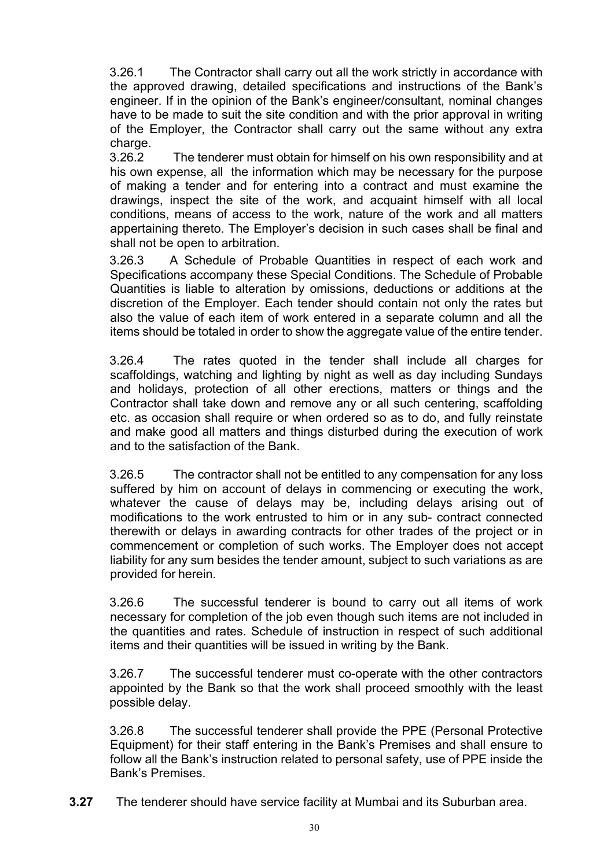3.26.1 The Contractor shall carry out all the work strictly in accordance with the approved drawing, detailed specifications and instructions of the Bank's engineer. If in the opinion of the Bank's engineer/consultant, nominal changes have to be made to suit the site condition and with the prior approval in writing of the Employer, the Contractor shall carry out the same without any extra

charge.<br>3.26.2 The tenderer must obtain for himself on his own responsibility and at his own expense, all the information which may be necessary for the purpose of making a tender and for entering into a contract and must examine the drawings, inspect the site of the work, and acquaint himself with all local conditions, means of access to the work, nature of the work and all matters appertaining thereto. The Employer's decision in such cases shall be final and shall not be open to arbitration.

3.26.3 A Schedule of Probable Quantities in respect of each work and Specifications accompany these Special Conditions. The Schedule of Probable Quantities is liable to alteration by omissions, deductions or additions at the discretion of the Employer. Each tender should contain not only the rates but also the value of each item of work entered in a separate column and all the items should be totaled in order to show the aggregate value of the entire tender.

3.26.4 The rates quoted in the tender shall include all charges for scaffoldings, watching and lighting by night as well as day including Sundays and holidays, protection of all other erections, matters or things and the Contractor shall take down and remove any or all such centering, scaffolding etc. as occasion shall require or when ordered so as to do, and fully reinstate and make good all matters and things disturbed during the execution of work and to the satisfaction of the Bank.

3.26.5 The contractor shall not be entitled to any compensation for any loss suffered by him on account of delays in commencing or executing the work, whatever the cause of delays may be, including delays arising out of modifications to the work entrusted to him or in any sub- contract connected therewith or delays in awarding contracts for other trades of the project or in commencement or completion of such works. The Employer does not accept liability for any sum besides the tender amount, subject to such variations as are provided for herein.

3.26.6 The successful tenderer is bound to carry out all items of work necessary for completion of the job even though such items are not included in the quantities and rates. Schedule of instruction in respect of such additional items and their quantities will be issued in writing by the Bank.

3.26.7 The successful tenderer must co-operate with the other contractors appointed by the Bank so that the work shall proceed smoothly with the least possible delay.

3.26.8 The successful tenderer shall provide the PPE (Personal Protective Equipment) for their staff entering in the Bank's Premises and shall ensure to follow all the Bank's instruction related to personal safety, use of PPE inside the Bank's Premises.

**3.27** The tenderer should have service facility at Mumbai and its Suburban area.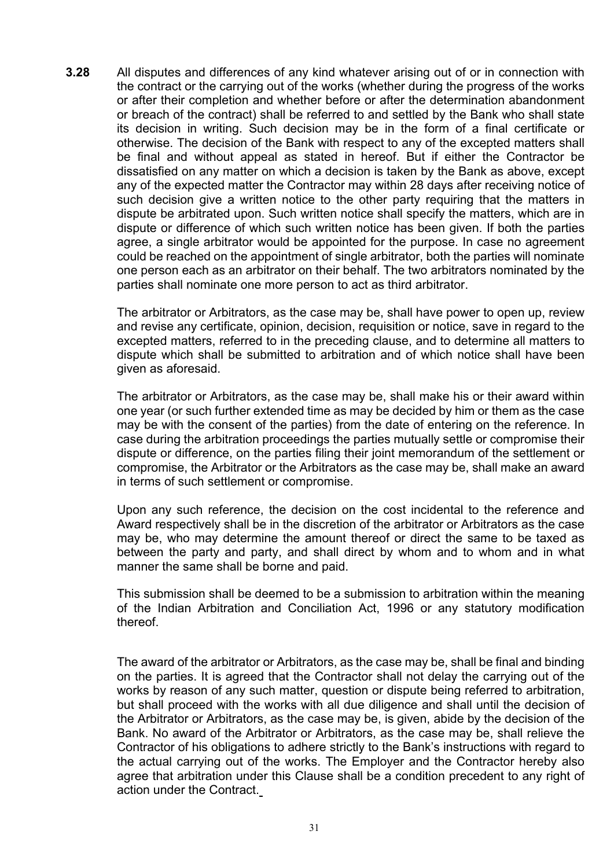**3.28** All disputes and differences of any kind whatever arising out of or in connection with the contract or the carrying out of the works (whether during the progress of the works or after their completion and whether before or after the determination abandonment or breach of the contract) shall be referred to and settled by the Bank who shall state its decision in writing. Such decision may be in the form of a final certificate or otherwise. The decision of the Bank with respect to any of the excepted matters shall be final and without appeal as stated in hereof. But if either the Contractor be dissatisfied on any matter on which a decision is taken by the Bank as above, except any of the expected matter the Contractor may within 28 days after receiving notice of such decision give a written notice to the other party requiring that the matters in dispute be arbitrated upon. Such written notice shall specify the matters, which are in dispute or difference of which such written notice has been given. If both the parties agree, a single arbitrator would be appointed for the purpose. In case no agreement could be reached on the appointment of single arbitrator, both the parties will nominate one person each as an arbitrator on their behalf. The two arbitrators nominated by the parties shall nominate one more person to act as third arbitrator.

The arbitrator or Arbitrators, as the case may be, shall have power to open up, review and revise any certificate, opinion, decision, requisition or notice, save in regard to the excepted matters, referred to in the preceding clause, and to determine all matters to dispute which shall be submitted to arbitration and of which notice shall have been given as aforesaid.

The arbitrator or Arbitrators, as the case may be, shall make his or their award within one year (or such further extended time as may be decided by him or them as the case may be with the consent of the parties) from the date of entering on the reference. In case during the arbitration proceedings the parties mutually settle or compromise their dispute or difference, on the parties filing their joint memorandum of the settlement or compromise, the Arbitrator or the Arbitrators as the case may be, shall make an award in terms of such settlement or compromise.

Upon any such reference, the decision on the cost incidental to the reference and Award respectively shall be in the discretion of the arbitrator or Arbitrators as the case may be, who may determine the amount thereof or direct the same to be taxed as between the party and party, and shall direct by whom and to whom and in what manner the same shall be borne and paid.

This submission shall be deemed to be a submission to arbitration within the meaning of the Indian Arbitration and Conciliation Act, 1996 or any statutory modification thereof.

The award of the arbitrator or Arbitrators, as the case may be, shall be final and binding on the parties. It is agreed that the Contractor shall not delay the carrying out of the works by reason of any such matter, question or dispute being referred to arbitration, but shall proceed with the works with all due diligence and shall until the decision of the Arbitrator or Arbitrators, as the case may be, is given, abide by the decision of the Bank. No award of the Arbitrator or Arbitrators, as the case may be, shall relieve the Contractor of his obligations to adhere strictly to the Bank's instructions with regard to the actual carrying out of the works. The Employer and the Contractor hereby also agree that arbitration under this Clause shall be a condition precedent to any right of action under the Contract.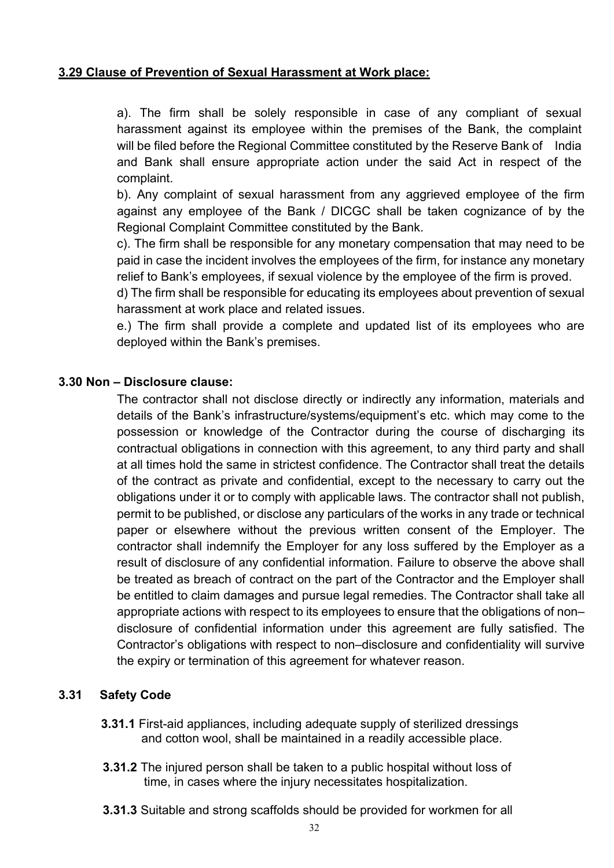# **3.29 Clause of Prevention of Sexual Harassment at Work place:**

a). The firm shall be solely responsible in case of any compliant of sexual harassment against its employee within the premises of the Bank, the complaint will be filed before the Regional Committee constituted by the Reserve Bank of India and Bank shall ensure appropriate action under the said Act in respect of the complaint.

b). Any complaint of sexual harassment from any aggrieved employee of the firm against any employee of the Bank / DICGC shall be taken cognizance of by the Regional Complaint Committee constituted by the Bank.

c). The firm shall be responsible for any monetary compensation that may need to be paid in case the incident involves the employees of the firm, for instance any monetary relief to Bank's employees, if sexual violence by the employee of the firm is proved.

d) The firm shall be responsible for educating its employees about prevention of sexual harassment at work place and related issues.

e.) The firm shall provide a complete and updated list of its employees who are deployed within the Bank's premises.

## **3.30 Non – Disclosure clause:**

The contractor shall not disclose directly or indirectly any information, materials and details of the Bank's infrastructure/systems/equipment's etc. which may come to the possession or knowledge of the Contractor during the course of discharging its contractual obligations in connection with this agreement, to any third party and shall at all times hold the same in strictest confidence. The Contractor shall treat the details of the contract as private and confidential, except to the necessary to carry out the obligations under it or to comply with applicable laws. The contractor shall not publish, permit to be published, or disclose any particulars of the works in any trade or technical paper or elsewhere without the previous written consent of the Employer. The contractor shall indemnify the Employer for any loss suffered by the Employer as a result of disclosure of any confidential information. Failure to observe the above shall be treated as breach of contract on the part of the Contractor and the Employer shall be entitled to claim damages and pursue legal remedies. The Contractor shall take all appropriate actions with respect to its employees to ensure that the obligations of non– disclosure of confidential information under this agreement are fully satisfied. The Contractor's obligations with respect to non–disclosure and confidentiality will survive the expiry or termination of this agreement for whatever reason.

## **3.31 Safety Code**

- **3.31.1** First-aid appliances, including adequate supply of sterilized dressings and cotton wool, shall be maintained in a readily accessible place.
- **3.31.2** The injured person shall be taken to a public hospital without loss of time, in cases where the injury necessitates hospitalization.
- **3.31.3** Suitable and strong scaffolds should be provided for workmen for all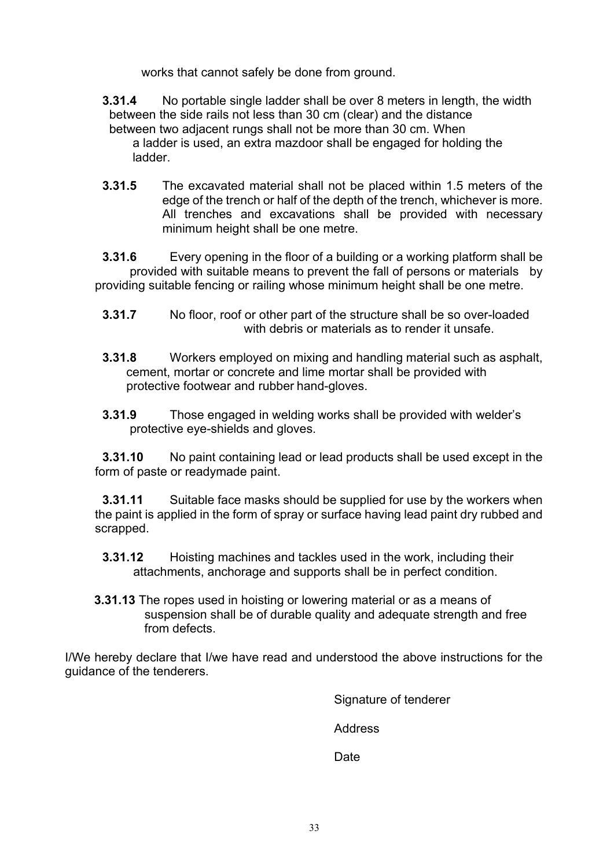works that cannot safely be done from ground.

- **3.31.4** No portable single ladder shall be over 8 meters in length, the width between the side rails not less than 30 cm (clear) and the distance between two adjacent rungs shall not be more than 30 cm. When a ladder is used, an extra mazdoor shall be engaged for holding the ladder.
- **3.31.5** The excavated material shall not be placed within 1.5 meters of the edge of the trench or half of the depth of the trench, whichever is more. All trenches and excavations shall be provided with necessary minimum height shall be one metre.

**3.31.6** Every opening in the floor of a building or a working platform shall be provided with suitable means to prevent the fall of persons or materials by providing suitable fencing or railing whose minimum height shall be one metre.

- **3.31.7** No floor, roof or other part of the structure shall be so over-loaded with debris or materials as to render it unsafe.
- **3.31.8** Workers employed on mixing and handling material such as asphalt, cement, mortar or concrete and lime mortar shall be provided with protective footwear and rubber hand-gloves.
- **3.31.9** Those engaged in welding works shall be provided with welder's protective eye-shields and gloves.

**3.31.10** No paint containing lead or lead products shall be used except in the form of paste or readymade paint.

**3.31.11** Suitable face masks should be supplied for use by the workers when the paint is applied in the form of spray or surface having lead paint dry rubbed and scrapped.

- **3.31.12** Hoisting machines and tackles used in the work, including their attachments, anchorage and supports shall be in perfect condition.
- **3.31.13** The ropes used in hoisting or lowering material or as a means of suspension shall be of durable quality and adequate strength and free from defects.

I/We hereby declare that I/we have read and understood the above instructions for the guidance of the tenderers.

Signature of tenderer

Address

**Date**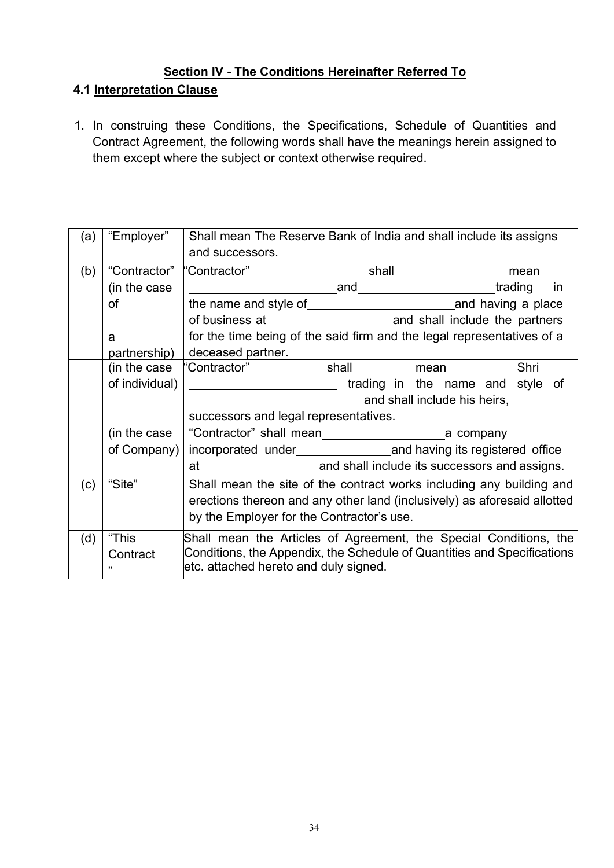# **Section IV - The Conditions Hereinafter Referred To**

# **4.1 Interpretation Clause**

1. In construing these Conditions, the Specifications, Schedule of Quantities and Contract Agreement, the following words shall have the meanings herein assigned to them except where the subject or context otherwise required.

| (a) | "Employer"              | Shall mean The Reserve Bank of India and shall include its assigns<br>and successors.                                                                                                 |                                                                                                     |                                  |           |
|-----|-------------------------|---------------------------------------------------------------------------------------------------------------------------------------------------------------------------------------|-----------------------------------------------------------------------------------------------------|----------------------------------|-----------|
| (b) | "Contractor"            | "Contractor"                                                                                                                                                                          | shall                                                                                               |                                  | mean      |
|     | (in the case)           |                                                                                                                                                                                       |                                                                                                     |                                  | <i>in</i> |
|     | of                      |                                                                                                                                                                                       |                                                                                                     |                                  |           |
|     |                         |                                                                                                                                                                                       |                                                                                                     |                                  |           |
|     | a                       | for the time being of the said firm and the legal representatives of a                                                                                                                |                                                                                                     |                                  |           |
|     | partnership)            | deceased partner.                                                                                                                                                                     |                                                                                                     |                                  |           |
|     | (in the case            | "Contractor"                                                                                                                                                                          | shall and the state of the state of the state of the state of the state of the state of the state o | mean                             | Shri      |
|     | of individual)          |                                                                                                                                                                                       |                                                                                                     | trading in the name and style of |           |
|     |                         | and shall include his heirs,                                                                                                                                                          |                                                                                                     |                                  |           |
|     |                         | successors and legal representatives.                                                                                                                                                 |                                                                                                     |                                  |           |
|     | (in the case            |                                                                                                                                                                                       |                                                                                                     |                                  |           |
|     | of Company) $ $         |                                                                                                                                                                                       |                                                                                                     |                                  |           |
|     |                         |                                                                                                                                                                                       |                                                                                                     |                                  |           |
| (c) | "Site"                  | Shall mean the site of the contract works including any building and                                                                                                                  |                                                                                                     |                                  |           |
|     |                         | erections thereon and any other land (inclusively) as aforesaid allotted                                                                                                              |                                                                                                     |                                  |           |
|     |                         | by the Employer for the Contractor's use.                                                                                                                                             |                                                                                                     |                                  |           |
| (d) | "This<br>Contract<br>,, | Shall mean the Articles of Agreement, the Special Conditions, the<br>Conditions, the Appendix, the Schedule of Quantities and Specifications<br>etc. attached hereto and duly signed. |                                                                                                     |                                  |           |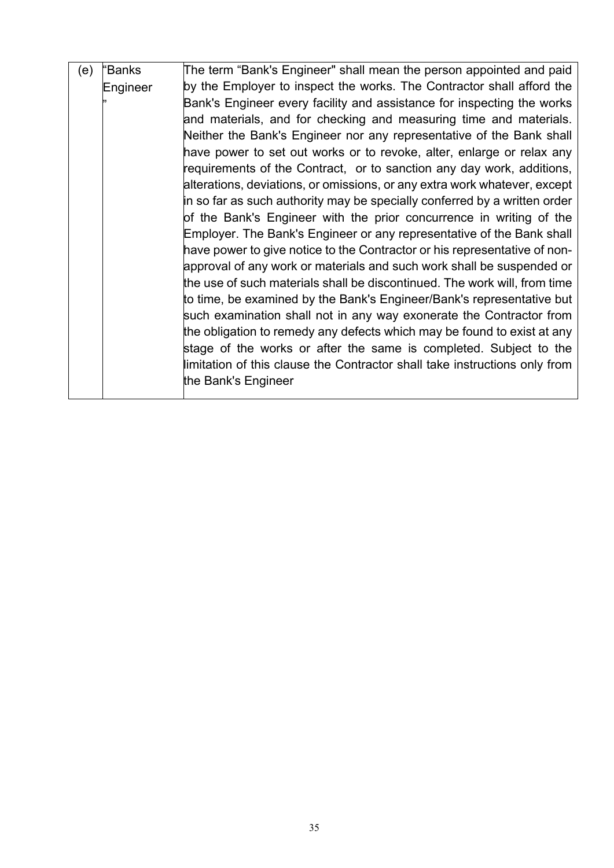| (e) | "Banks   | The term "Bank's Engineer" shall mean the person appointed and paid        |
|-----|----------|----------------------------------------------------------------------------|
|     | Engineer | by the Employer to inspect the works. The Contractor shall afford the      |
|     |          | Bank's Engineer every facility and assistance for inspecting the works     |
|     |          | and materials, and for checking and measuring time and materials.          |
|     |          | Neither the Bank's Engineer nor any representative of the Bank shall       |
|     |          | have power to set out works or to revoke, alter, enlarge or relax any      |
|     |          | requirements of the Contract, or to sanction any day work, additions,      |
|     |          | alterations, deviations, or omissions, or any extra work whatever, except  |
|     |          | in so far as such authority may be specially conferred by a written order  |
|     |          | of the Bank's Engineer with the prior concurrence in writing of the        |
|     |          | Employer. The Bank's Engineer or any representative of the Bank shall      |
|     |          | have power to give notice to the Contractor or his representative of non-  |
|     |          | approval of any work or materials and such work shall be suspended or      |
|     |          | the use of such materials shall be discontinued. The work will, from time  |
|     |          | to time, be examined by the Bank's Engineer/Bank's representative but      |
|     |          | such examination shall not in any way exonerate the Contractor from        |
|     |          | the obligation to remedy any defects which may be found to exist at any    |
|     |          | stage of the works or after the same is completed. Subject to the          |
|     |          | limitation of this clause the Contractor shall take instructions only from |
|     |          | the Bank's Engineer                                                        |
|     |          |                                                                            |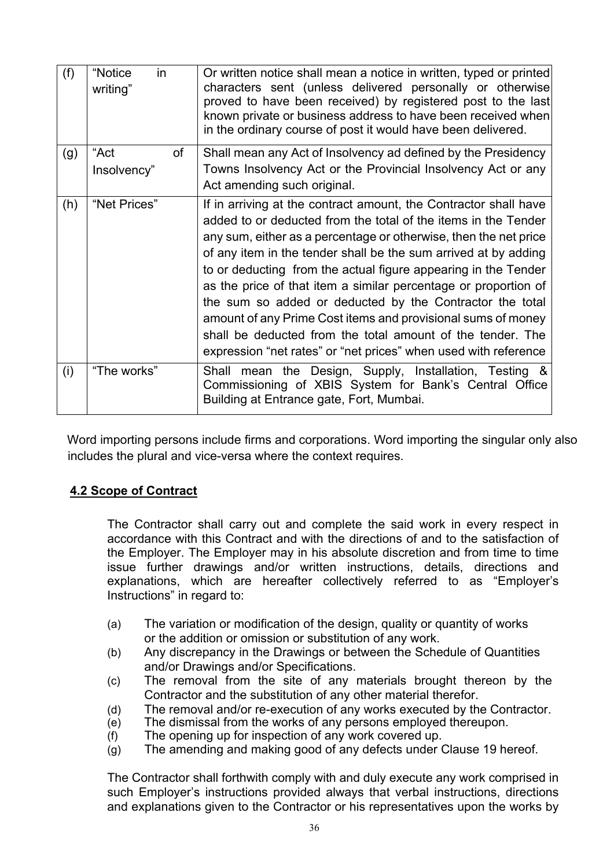| (f) | "Notice<br>in.<br>writing" | Or written notice shall mean a notice in written, typed or printed<br>characters sent (unless delivered personally or otherwise<br>proved to have been received) by registered post to the last<br>known private or business address to have been received when<br>in the ordinary course of post it would have been delivered.                                                                                                                                                                                                                                                                                                                                             |
|-----|----------------------------|-----------------------------------------------------------------------------------------------------------------------------------------------------------------------------------------------------------------------------------------------------------------------------------------------------------------------------------------------------------------------------------------------------------------------------------------------------------------------------------------------------------------------------------------------------------------------------------------------------------------------------------------------------------------------------|
| (g) | "Act<br>of<br>Insolvency"  | Shall mean any Act of Insolvency ad defined by the Presidency<br>Towns Insolvency Act or the Provincial Insolvency Act or any<br>Act amending such original.                                                                                                                                                                                                                                                                                                                                                                                                                                                                                                                |
| (h) | "Net Prices"               | If in arriving at the contract amount, the Contractor shall have<br>added to or deducted from the total of the items in the Tender<br>any sum, either as a percentage or otherwise, then the net price<br>of any item in the tender shall be the sum arrived at by adding<br>to or deducting from the actual figure appearing in the Tender<br>as the price of that item a similar percentage or proportion of<br>the sum so added or deducted by the Contractor the total<br>amount of any Prime Cost items and provisional sums of money<br>shall be deducted from the total amount of the tender. The<br>expression "net rates" or "net prices" when used with reference |
| (i) | "The works"                | Shall mean the Design, Supply, Installation, Testing &<br>Commissioning of XBIS System for Bank's Central Office<br>Building at Entrance gate, Fort, Mumbai.                                                                                                                                                                                                                                                                                                                                                                                                                                                                                                                |

Word importing persons include firms and corporations. Word importing the singular only also includes the plural and vice-versa where the context requires.

# **4.2 Scope of Contract**

The Contractor shall carry out and complete the said work in every respect in accordance with this Contract and with the directions of and to the satisfaction of the Employer. The Employer may in his absolute discretion and from time to time issue further drawings and/or written instructions, details, directions and explanations, which are hereafter collectively referred to as "Employer's Instructions" in regard to:

- (a) The variation or modification of the design, quality or quantity of works or the addition or omission or substitution of any work.
- (b) Any discrepancy in the Drawings or between the Schedule of Quantities and/or Drawings and/or Specifications.
- (c) The removal from the site of any materials brought thereon by the Contractor and the substitution of any other material therefor.
- (d) The removal and/or re-execution of any works executed by the Contractor.
- (e) The dismissal from the works of any persons employed thereupon.
- (f) The opening up for inspection of any work covered up.
- (g) The amending and making good of any defects under Clause 19 hereof.

The Contractor shall forthwith comply with and duly execute any work comprised in such Employer's instructions provided always that verbal instructions, directions and explanations given to the Contractor or his representatives upon the works by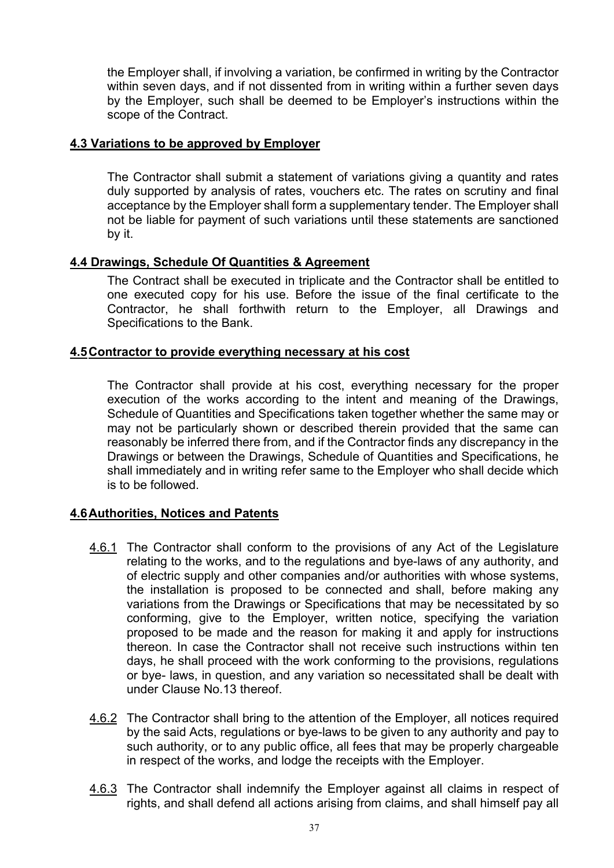the Employer shall, if involving a variation, be confirmed in writing by the Contractor within seven days, and if not dissented from in writing within a further seven days by the Employer, such shall be deemed to be Employer's instructions within the scope of the Contract.

### **4.3 Variations to be approved by Employer**

The Contractor shall submit a statement of variations giving a quantity and rates duly supported by analysis of rates, vouchers etc. The rates on scrutiny and final acceptance by the Employer shall form a supplementary tender. The Employer shall not be liable for payment of such variations until these statements are sanctioned by it.

# **4.4 Drawings, Schedule Of Quantities & Agreement**

The Contract shall be executed in triplicate and the Contractor shall be entitled to one executed copy for his use. Before the issue of the final certificate to the Contractor, he shall forthwith return to the Employer, all Drawings and Specifications to the Bank.

# **4.5Contractor to provide everything necessary at his cost**

The Contractor shall provide at his cost, everything necessary for the proper execution of the works according to the intent and meaning of the Drawings, Schedule of Quantities and Specifications taken together whether the same may or may not be particularly shown or described therein provided that the same can reasonably be inferred there from, and if the Contractor finds any discrepancy in the Drawings or between the Drawings, Schedule of Quantities and Specifications, he shall immediately and in writing refer same to the Employer who shall decide which is to be followed.

# **4.6Authorities, Notices and Patents**

- 4.6.1 The Contractor shall conform to the provisions of any Act of the Legislature relating to the works, and to the regulations and bye-laws of any authority, and of electric supply and other companies and/or authorities with whose systems, the installation is proposed to be connected and shall, before making any variations from the Drawings or Specifications that may be necessitated by so conforming, give to the Employer, written notice, specifying the variation proposed to be made and the reason for making it and apply for instructions thereon. In case the Contractor shall not receive such instructions within ten days, he shall proceed with the work conforming to the provisions, regulations or bye- laws, in question, and any variation so necessitated shall be dealt with under Clause No.13 thereof.
- 4.6.2 The Contractor shall bring to the attention of the Employer, all notices required by the said Acts, regulations or bye-laws to be given to any authority and pay to such authority, or to any public office, all fees that may be properly chargeable in respect of the works, and lodge the receipts with the Employer.
- 4.6.3 The Contractor shall indemnify the Employer against all claims in respect of rights, and shall defend all actions arising from claims, and shall himself pay all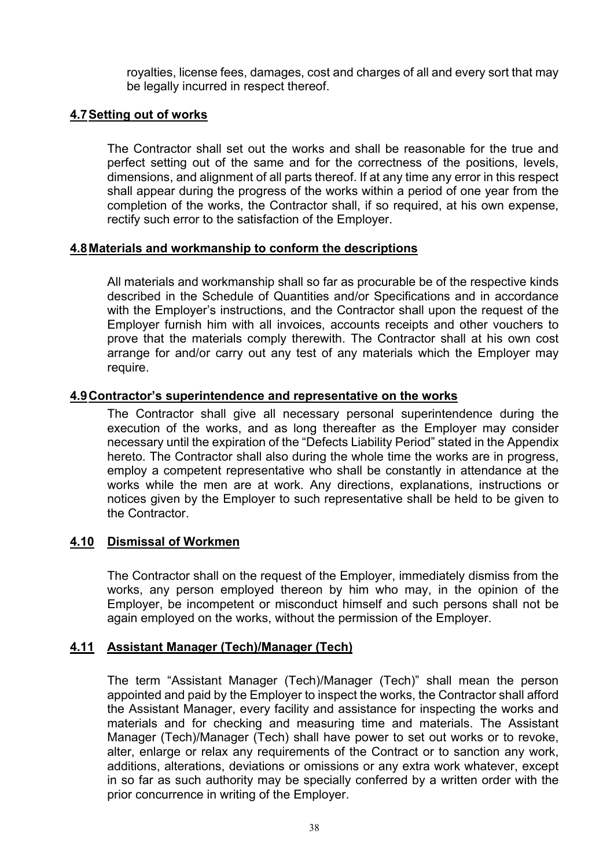royalties, license fees, damages, cost and charges of all and every sort that may be legally incurred in respect thereof.

# **4.7Setting out of works**

The Contractor shall set out the works and shall be reasonable for the true and perfect setting out of the same and for the correctness of the positions, levels, dimensions, and alignment of all parts thereof. If at any time any error in this respect shall appear during the progress of the works within a period of one year from the completion of the works, the Contractor shall, if so required, at his own expense, rectify such error to the satisfaction of the Employer.

# **4.8Materials and workmanship to conform the descriptions**

All materials and workmanship shall so far as procurable be of the respective kinds described in the Schedule of Quantities and/or Specifications and in accordance with the Employer's instructions, and the Contractor shall upon the request of the Employer furnish him with all invoices, accounts receipts and other vouchers to prove that the materials comply therewith. The Contractor shall at his own cost arrange for and/or carry out any test of any materials which the Employer may require.

# **4.9Contractor's superintendence and representative on the works**

The Contractor shall give all necessary personal superintendence during the execution of the works, and as long thereafter as the Employer may consider necessary until the expiration of the "Defects Liability Period" stated in the Appendix hereto. The Contractor shall also during the whole time the works are in progress, employ a competent representative who shall be constantly in attendance at the works while the men are at work. Any directions, explanations, instructions or notices given by the Employer to such representative shall be held to be given to the Contractor.

# **4.10 Dismissal of Workmen**

The Contractor shall on the request of the Employer, immediately dismiss from the works, any person employed thereon by him who may, in the opinion of the Employer, be incompetent or misconduct himself and such persons shall not be again employed on the works, without the permission of the Employer.

# **4.11 Assistant Manager (Tech)/Manager (Tech)**

The term "Assistant Manager (Tech)/Manager (Tech)" shall mean the person appointed and paid by the Employer to inspect the works, the Contractor shall afford the Assistant Manager, every facility and assistance for inspecting the works and materials and for checking and measuring time and materials. The Assistant Manager (Tech)/Manager (Tech) shall have power to set out works or to revoke, alter, enlarge or relax any requirements of the Contract or to sanction any work, additions, alterations, deviations or omissions or any extra work whatever, except in so far as such authority may be specially conferred by a written order with the prior concurrence in writing of the Employer.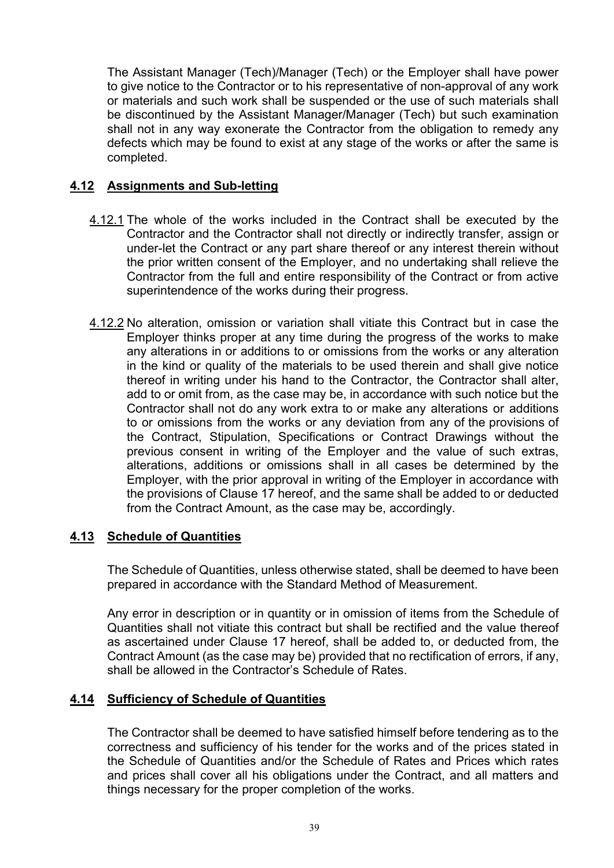The Assistant Manager (Tech)/Manager (Tech) or the Employer shall have power to give notice to the Contractor or to his representative of non-approval of any work or materials and such work shall be suspended or the use of such materials shall be discontinued by the Assistant Manager/Manager (Tech) but such examination shall not in any way exonerate the Contractor from the obligation to remedy any defects which may be found to exist at any stage of the works or after the same is completed.

# **4.12 Assignments and Sub-letting**

- 4.12.1 The whole of the works included in the Contract shall be executed by the Contractor and the Contractor shall not directly or indirectly transfer, assign or under-let the Contract or any part share thereof or any interest therein without the prior written consent of the Employer, and no undertaking shall relieve the Contractor from the full and entire responsibility of the Contract or from active superintendence of the works during their progress.
- 4.12.2 No alteration, omission or variation shall vitiate this Contract but in case the Employer thinks proper at any time during the progress of the works to make any alterations in or additions to or omissions from the works or any alteration in the kind or quality of the materials to be used therein and shall give notice thereof in writing under his hand to the Contractor, the Contractor shall alter, add to or omit from, as the case may be, in accordance with such notice but the Contractor shall not do any work extra to or make any alterations or additions to or omissions from the works or any deviation from any of the provisions of the Contract, Stipulation, Specifications or Contract Drawings without the previous consent in writing of the Employer and the value of such extras, alterations, additions or omissions shall in all cases be determined by the Employer, with the prior approval in writing of the Employer in accordance with the provisions of Clause 17 hereof, and the same shall be added to or deducted from the Contract Amount, as the case may be, accordingly.

# **4.13 Schedule of Quantities**

The Schedule of Quantities, unless otherwise stated, shall be deemed to have been prepared in accordance with the Standard Method of Measurement.

Any error in description or in quantity or in omission of items from the Schedule of Quantities shall not vitiate this contract but shall be rectified and the value thereof as ascertained under Clause 17 hereof, shall be added to, or deducted from, the Contract Amount (as the case may be) provided that no rectification of errors, if any, shall be allowed in the Contractor's Schedule of Rates.

### **4.14 Sufficiency of Schedule of Quantities**

The Contractor shall be deemed to have satisfied himself before tendering as to the correctness and sufficiency of his tender for the works and of the prices stated in the Schedule of Quantities and/or the Schedule of Rates and Prices which rates and prices shall cover all his obligations under the Contract, and all matters and things necessary for the proper completion of the works.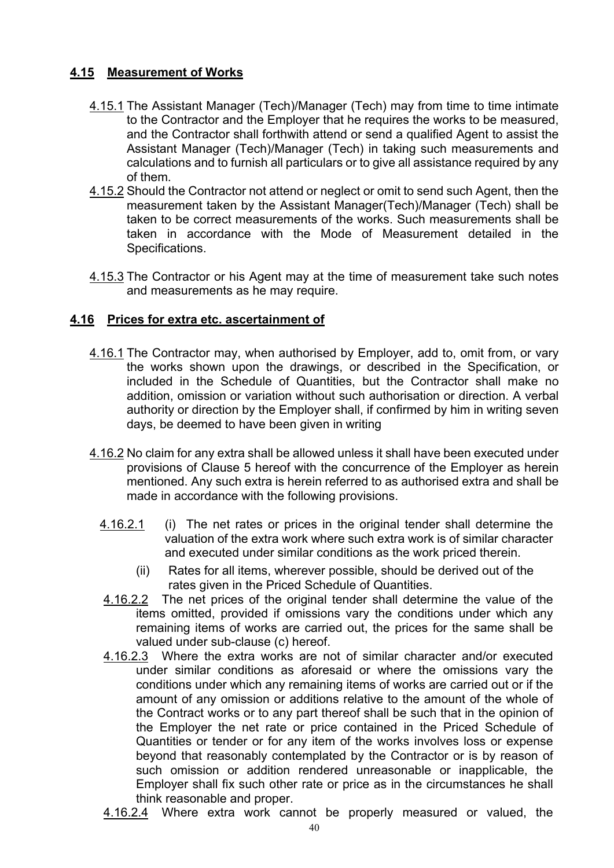# **4.15 Measurement of Works**

- 4.15.1 The Assistant Manager (Tech)/Manager (Tech) may from time to time intimate to the Contractor and the Employer that he requires the works to be measured, and the Contractor shall forthwith attend or send a qualified Agent to assist the Assistant Manager (Tech)/Manager (Tech) in taking such measurements and calculations and to furnish all particulars or to give all assistance required by any of them.
- 4.15.2 Should the Contractor not attend or neglect or omit to send such Agent, then the measurement taken by the Assistant Manager(Tech)/Manager (Tech) shall be taken to be correct measurements of the works. Such measurements shall be taken in accordance with the Mode of Measurement detailed in the Specifications.
- 4.15.3 The Contractor or his Agent may at the time of measurement take such notes and measurements as he may require.

# **4.16 Prices for extra etc. ascertainment of**

- 4.16.1 The Contractor may, when authorised by Employer, add to, omit from, or vary the works shown upon the drawings, or described in the Specification, or included in the Schedule of Quantities, but the Contractor shall make no addition, omission or variation without such authorisation or direction. A verbal authority or direction by the Employer shall, if confirmed by him in writing seven days, be deemed to have been given in writing
- 4.16.2 No claim for any extra shall be allowed unless it shall have been executed under provisions of Clause 5 hereof with the concurrence of the Employer as herein mentioned. Any such extra is herein referred to as authorised extra and shall be made in accordance with the following provisions.
	- 4.16.2.1 (i) The net rates or prices in the original tender shall determine the valuation of the extra work where such extra work is of similar character and executed under similar conditions as the work priced therein.
		- (ii) Rates for all items, wherever possible, should be derived out of the rates given in the Priced Schedule of Quantities.
	- 4.16.2.2 The net prices of the original tender shall determine the value of the items omitted, provided if omissions vary the conditions under which any remaining items of works are carried out, the prices for the same shall be valued under sub-clause (c) hereof.
	- 4.16.2.3 Where the extra works are not of similar character and/or executed under similar conditions as aforesaid or where the omissions vary the conditions under which any remaining items of works are carried out or if the amount of any omission or additions relative to the amount of the whole of the Contract works or to any part thereof shall be such that in the opinion of the Employer the net rate or price contained in the Priced Schedule of Quantities or tender or for any item of the works involves loss or expense beyond that reasonably contemplated by the Contractor or is by reason of such omission or addition rendered unreasonable or inapplicable, the Employer shall fix such other rate or price as in the circumstances he shall think reasonable and proper.
	- 4.16.2.4 Where extra work cannot be properly measured or valued, the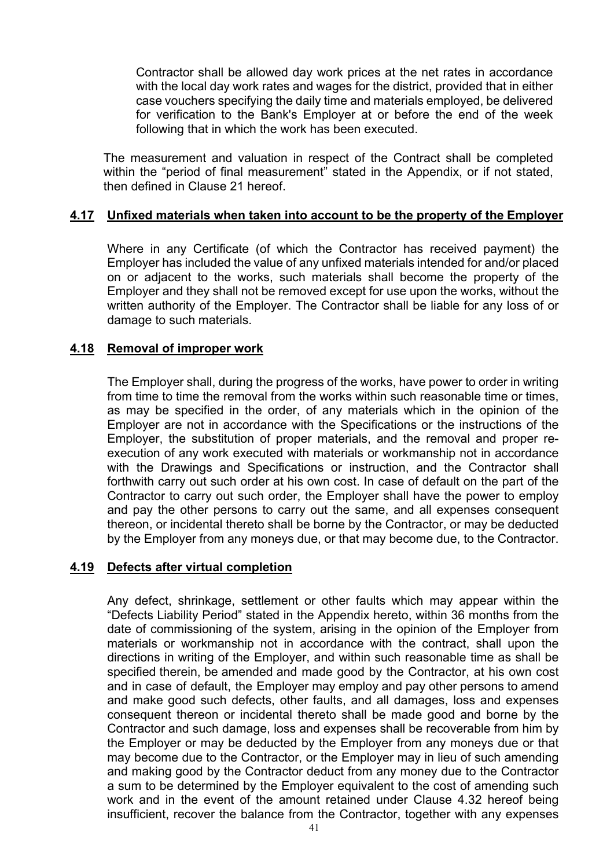Contractor shall be allowed day work prices at the net rates in accordance with the local day work rates and wages for the district, provided that in either case vouchers specifying the daily time and materials employed, be delivered for verification to the Bank's Employer at or before the end of the week following that in which the work has been executed.

The measurement and valuation in respect of the Contract shall be completed within the "period of final measurement" stated in the Appendix, or if not stated, then defined in Clause 21 hereof.

### **4.17 Unfixed materials when taken into account to be the property of the Employer**

Where in any Certificate (of which the Contractor has received payment) the Employer has included the value of any unfixed materials intended for and/or placed on or adjacent to the works, such materials shall become the property of the Employer and they shall not be removed except for use upon the works, without the written authority of the Employer. The Contractor shall be liable for any loss of or damage to such materials.

### **4.18 Removal of improper work**

The Employer shall, during the progress of the works, have power to order in writing from time to time the removal from the works within such reasonable time or times, as may be specified in the order, of any materials which in the opinion of the Employer are not in accordance with the Specifications or the instructions of the Employer, the substitution of proper materials, and the removal and proper reexecution of any work executed with materials or workmanship not in accordance with the Drawings and Specifications or instruction, and the Contractor shall forthwith carry out such order at his own cost. In case of default on the part of the Contractor to carry out such order, the Employer shall have the power to employ and pay the other persons to carry out the same, and all expenses consequent thereon, or incidental thereto shall be borne by the Contractor, or may be deducted by the Employer from any moneys due, or that may become due, to the Contractor.

### **4.19 Defects after virtual completion**

Any defect, shrinkage, settlement or other faults which may appear within the "Defects Liability Period" stated in the Appendix hereto, within 36 months from the date of commissioning of the system, arising in the opinion of the Employer from materials or workmanship not in accordance with the contract, shall upon the directions in writing of the Employer, and within such reasonable time as shall be specified therein, be amended and made good by the Contractor, at his own cost and in case of default, the Employer may employ and pay other persons to amend and make good such defects, other faults, and all damages, loss and expenses consequent thereon or incidental thereto shall be made good and borne by the Contractor and such damage, loss and expenses shall be recoverable from him by the Employer or may be deducted by the Employer from any moneys due or that may become due to the Contractor, or the Employer may in lieu of such amending and making good by the Contractor deduct from any money due to the Contractor a sum to be determined by the Employer equivalent to the cost of amending such work and in the event of the amount retained under Clause 4.32 hereof being insufficient, recover the balance from the Contractor, together with any expenses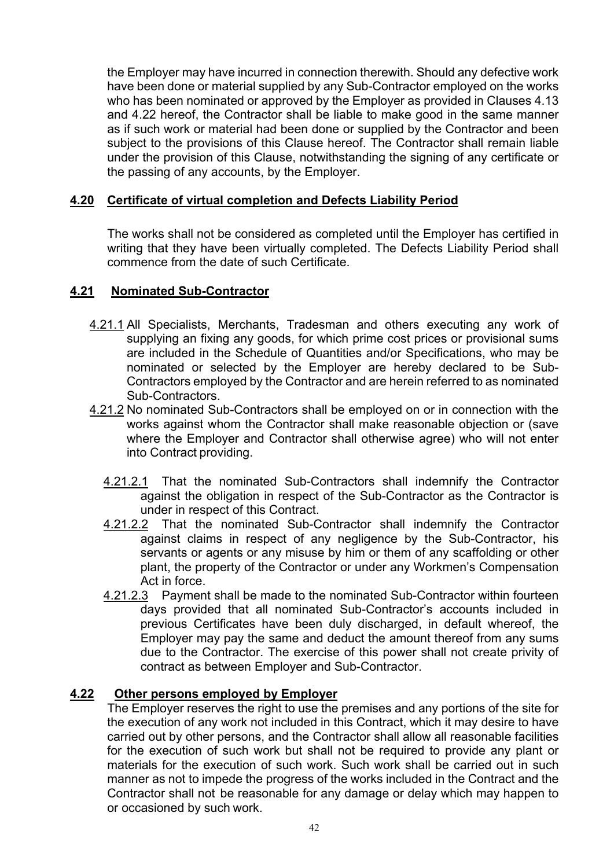the Employer may have incurred in connection therewith. Should any defective work have been done or material supplied by any Sub-Contractor employed on the works who has been nominated or approved by the Employer as provided in Clauses 4.13 and 4.22 hereof, the Contractor shall be liable to make good in the same manner as if such work or material had been done or supplied by the Contractor and been subject to the provisions of this Clause hereof. The Contractor shall remain liable under the provision of this Clause, notwithstanding the signing of any certificate or the passing of any accounts, by the Employer.

### **4.20 Certificate of virtual completion and Defects Liability Period**

The works shall not be considered as completed until the Employer has certified in writing that they have been virtually completed. The Defects Liability Period shall commence from the date of such Certificate.

### **4.21 Nominated Sub-Contractor**

- 4.21.1 All Specialists, Merchants, Tradesman and others executing any work of supplying an fixing any goods, for which prime cost prices or provisional sums are included in the Schedule of Quantities and/or Specifications, who may be nominated or selected by the Employer are hereby declared to be Sub-Contractors employed by the Contractor and are herein referred to as nominated Sub-Contractors.
- 4.21.2 No nominated Sub-Contractors shall be employed on or in connection with the works against whom the Contractor shall make reasonable objection or (save where the Employer and Contractor shall otherwise agree) who will not enter into Contract providing.
	- 4.21.2.1 That the nominated Sub-Contractors shall indemnify the Contractor against the obligation in respect of the Sub-Contractor as the Contractor is under in respect of this Contract.
	- 4.21.2.2 That the nominated Sub-Contractor shall indemnify the Contractor against claims in respect of any negligence by the Sub-Contractor, his servants or agents or any misuse by him or them of any scaffolding or other plant, the property of the Contractor or under any Workmen's Compensation Act in force.
	- 4.21.2.3 Payment shall be made to the nominated Sub-Contractor within fourteen days provided that all nominated Sub-Contractor's accounts included in previous Certificates have been duly discharged, in default whereof, the Employer may pay the same and deduct the amount thereof from any sums due to the Contractor. The exercise of this power shall not create privity of contract as between Employer and Sub-Contractor.

# **4.22 Other persons employed by Employer**

The Employer reserves the right to use the premises and any portions of the site for the execution of any work not included in this Contract, which it may desire to have carried out by other persons, and the Contractor shall allow all reasonable facilities for the execution of such work but shall not be required to provide any plant or materials for the execution of such work. Such work shall be carried out in such manner as not to impede the progress of the works included in the Contract and the Contractor shall not be reasonable for any damage or delay which may happen to or occasioned by such work.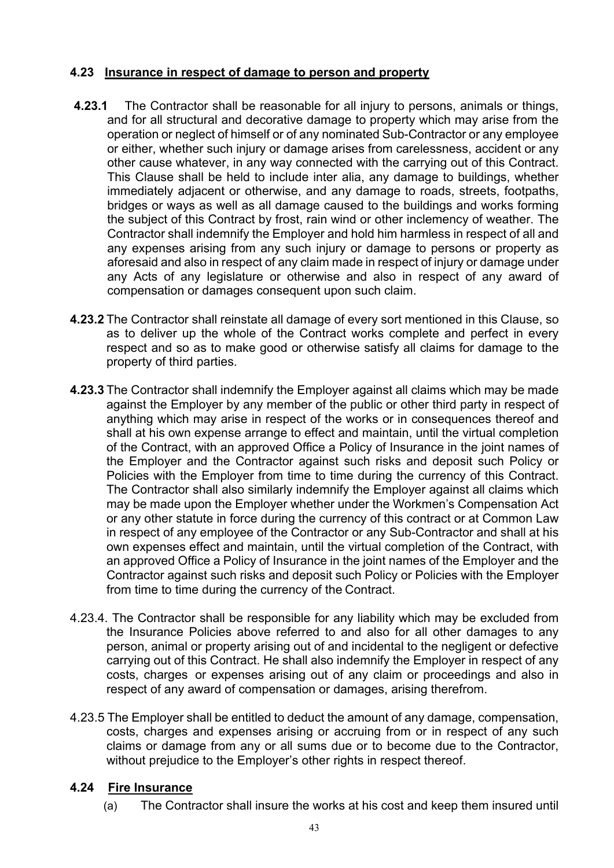# **4.23 Insurance in respect of damage to person and property**

- **4.23.1** The Contractor shall be reasonable for all injury to persons, animals or things, and for all structural and decorative damage to property which may arise from the operation or neglect of himself or of any nominated Sub-Contractor or any employee or either, whether such injury or damage arises from carelessness, accident or any other cause whatever, in any way connected with the carrying out of this Contract. This Clause shall be held to include inter alia, any damage to buildings, whether immediately adjacent or otherwise, and any damage to roads, streets, footpaths, bridges or ways as well as all damage caused to the buildings and works forming the subject of this Contract by frost, rain wind or other inclemency of weather. The Contractor shall indemnify the Employer and hold him harmless in respect of all and any expenses arising from any such injury or damage to persons or property as aforesaid and also in respect of any claim made in respect of injury or damage under any Acts of any legislature or otherwise and also in respect of any award of compensation or damages consequent upon such claim.
- **4.23.2** The Contractor shall reinstate all damage of every sort mentioned in this Clause, so as to deliver up the whole of the Contract works complete and perfect in every respect and so as to make good or otherwise satisfy all claims for damage to the property of third parties.
- **4.23.3** The Contractor shall indemnify the Employer against all claims which may be made against the Employer by any member of the public or other third party in respect of anything which may arise in respect of the works or in consequences thereof and shall at his own expense arrange to effect and maintain, until the virtual completion of the Contract, with an approved Office a Policy of Insurance in the joint names of the Employer and the Contractor against such risks and deposit such Policy or Policies with the Employer from time to time during the currency of this Contract. The Contractor shall also similarly indemnify the Employer against all claims which may be made upon the Employer whether under the Workmen's Compensation Act or any other statute in force during the currency of this contract or at Common Law in respect of any employee of the Contractor or any Sub-Contractor and shall at his own expenses effect and maintain, until the virtual completion of the Contract, with an approved Office a Policy of Insurance in the joint names of the Employer and the Contractor against such risks and deposit such Policy or Policies with the Employer from time to time during the currency of the Contract.
- 4.23.4. The Contractor shall be responsible for any liability which may be excluded from the Insurance Policies above referred to and also for all other damages to any person, animal or property arising out of and incidental to the negligent or defective carrying out of this Contract. He shall also indemnify the Employer in respect of any costs, charges or expenses arising out of any claim or proceedings and also in respect of any award of compensation or damages, arising therefrom.
- 4.23.5 The Employer shall be entitled to deduct the amount of any damage, compensation, costs, charges and expenses arising or accruing from or in respect of any such claims or damage from any or all sums due or to become due to the Contractor, without prejudice to the Employer's other rights in respect thereof.

### **4.24 Fire Insurance**

(a) The Contractor shall insure the works at his cost and keep them insured until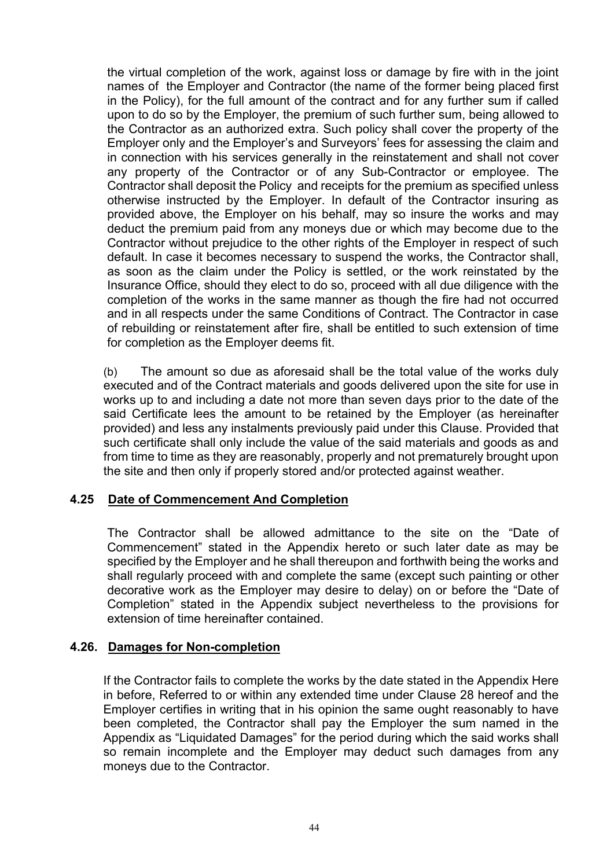the virtual completion of the work, against loss or damage by fire with in the joint names of the Employer and Contractor (the name of the former being placed first in the Policy), for the full amount of the contract and for any further sum if called upon to do so by the Employer, the premium of such further sum, being allowed to the Contractor as an authorized extra. Such policy shall cover the property of the Employer only and the Employer's and Surveyors' fees for assessing the claim and in connection with his services generally in the reinstatement and shall not cover any property of the Contractor or of any Sub-Contractor or employee. The Contractor shall deposit the Policy and receipts for the premium as specified unless otherwise instructed by the Employer. In default of the Contractor insuring as provided above, the Employer on his behalf, may so insure the works and may deduct the premium paid from any moneys due or which may become due to the Contractor without prejudice to the other rights of the Employer in respect of such default. In case it becomes necessary to suspend the works, the Contractor shall, as soon as the claim under the Policy is settled, or the work reinstated by the Insurance Office, should they elect to do so, proceed with all due diligence with the completion of the works in the same manner as though the fire had not occurred and in all respects under the same Conditions of Contract. The Contractor in case of rebuilding or reinstatement after fire, shall be entitled to such extension of time for completion as the Employer deems fit.

(b) The amount so due as aforesaid shall be the total value of the works duly executed and of the Contract materials and goods delivered upon the site for use in works up to and including a date not more than seven days prior to the date of the said Certificate lees the amount to be retained by the Employer (as hereinafter provided) and less any instalments previously paid under this Clause. Provided that such certificate shall only include the value of the said materials and goods as and from time to time as they are reasonably, properly and not prematurely brought upon the site and then only if properly stored and/or protected against weather.

### **4.25 Date of Commencement And Completion**

The Contractor shall be allowed admittance to the site on the "Date of Commencement" stated in the Appendix hereto or such later date as may be specified by the Employer and he shall thereupon and forthwith being the works and shall regularly proceed with and complete the same (except such painting or other decorative work as the Employer may desire to delay) on or before the "Date of Completion" stated in the Appendix subject nevertheless to the provisions for extension of time hereinafter contained.

### **4.26. Damages for Non-completion**

If the Contractor fails to complete the works by the date stated in the Appendix Here in before, Referred to or within any extended time under Clause 28 hereof and the Employer certifies in writing that in his opinion the same ought reasonably to have been completed, the Contractor shall pay the Employer the sum named in the Appendix as "Liquidated Damages" for the period during which the said works shall so remain incomplete and the Employer may deduct such damages from any moneys due to the Contractor.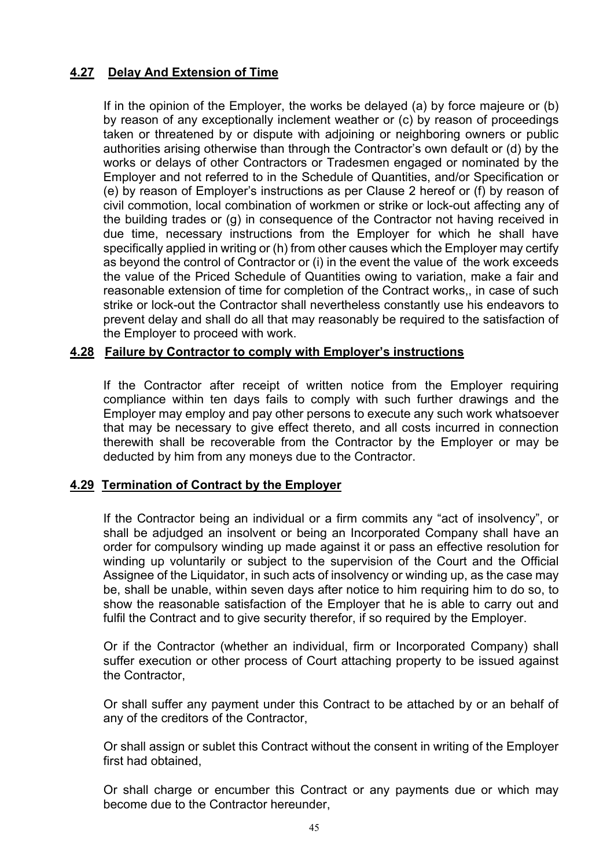# **4.27 Delay And Extension of Time**

If in the opinion of the Employer, the works be delayed (a) by force majeure or (b) by reason of any exceptionally inclement weather or (c) by reason of proceedings taken or threatened by or dispute with adjoining or neighboring owners or public authorities arising otherwise than through the Contractor's own default or (d) by the works or delays of other Contractors or Tradesmen engaged or nominated by the Employer and not referred to in the Schedule of Quantities, and/or Specification or (e) by reason of Employer's instructions as per Clause 2 hereof or (f) by reason of civil commotion, local combination of workmen or strike or lock-out affecting any of the building trades or (g) in consequence of the Contractor not having received in due time, necessary instructions from the Employer for which he shall have specifically applied in writing or (h) from other causes which the Employer may certify as beyond the control of Contractor or (i) in the event the value of the work exceeds the value of the Priced Schedule of Quantities owing to variation, make a fair and reasonable extension of time for completion of the Contract works,, in case of such strike or lock-out the Contractor shall nevertheless constantly use his endeavors to prevent delay and shall do all that may reasonably be required to the satisfaction of the Employer to proceed with work.

# **4.28 Failure by Contractor to comply with Employer's instructions**

If the Contractor after receipt of written notice from the Employer requiring compliance within ten days fails to comply with such further drawings and the Employer may employ and pay other persons to execute any such work whatsoever that may be necessary to give effect thereto, and all costs incurred in connection therewith shall be recoverable from the Contractor by the Employer or may be deducted by him from any moneys due to the Contractor.

### **4.29 Termination of Contract by the Employer**

If the Contractor being an individual or a firm commits any "act of insolvency", or shall be adjudged an insolvent or being an Incorporated Company shall have an order for compulsory winding up made against it or pass an effective resolution for winding up voluntarily or subject to the supervision of the Court and the Official Assignee of the Liquidator, in such acts of insolvency or winding up, as the case may be, shall be unable, within seven days after notice to him requiring him to do so, to show the reasonable satisfaction of the Employer that he is able to carry out and fulfil the Contract and to give security therefor, if so required by the Employer.

Or if the Contractor (whether an individual, firm or Incorporated Company) shall suffer execution or other process of Court attaching property to be issued against the Contractor,

Or shall suffer any payment under this Contract to be attached by or an behalf of any of the creditors of the Contractor,

Or shall assign or sublet this Contract without the consent in writing of the Employer first had obtained,

Or shall charge or encumber this Contract or any payments due or which may become due to the Contractor hereunder,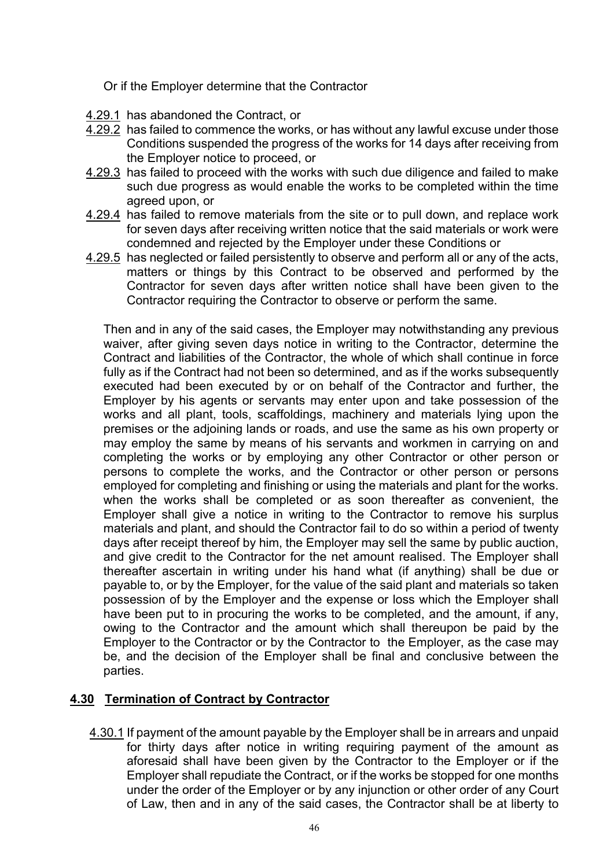Or if the Employer determine that the Contractor

- 4.29.1 has abandoned the Contract, or
- 4.29.2 has failed to commence the works, or has without any lawful excuse under those Conditions suspended the progress of the works for 14 days after receiving from the Employer notice to proceed, or
- 4.29.3 has failed to proceed with the works with such due diligence and failed to make such due progress as would enable the works to be completed within the time agreed upon, or
- 4.29.4 has failed to remove materials from the site or to pull down, and replace work for seven days after receiving written notice that the said materials or work were condemned and rejected by the Employer under these Conditions or
- 4.29.5 has neglected or failed persistently to observe and perform all or any of the acts, matters or things by this Contract to be observed and performed by the Contractor for seven days after written notice shall have been given to the Contractor requiring the Contractor to observe or perform the same.

Then and in any of the said cases, the Employer may notwithstanding any previous waiver, after giving seven days notice in writing to the Contractor, determine the Contract and liabilities of the Contractor, the whole of which shall continue in force fully as if the Contract had not been so determined, and as if the works subsequently executed had been executed by or on behalf of the Contractor and further, the Employer by his agents or servants may enter upon and take possession of the works and all plant, tools, scaffoldings, machinery and materials lying upon the premises or the adjoining lands or roads, and use the same as his own property or may employ the same by means of his servants and workmen in carrying on and completing the works or by employing any other Contractor or other person or persons to complete the works, and the Contractor or other person or persons employed for completing and finishing or using the materials and plant for the works. when the works shall be completed or as soon thereafter as convenient, the Employer shall give a notice in writing to the Contractor to remove his surplus materials and plant, and should the Contractor fail to do so within a period of twenty days after receipt thereof by him, the Employer may sell the same by public auction, and give credit to the Contractor for the net amount realised. The Employer shall thereafter ascertain in writing under his hand what (if anything) shall be due or payable to, or by the Employer, for the value of the said plant and materials so taken possession of by the Employer and the expense or loss which the Employer shall have been put to in procuring the works to be completed, and the amount, if any, owing to the Contractor and the amount which shall thereupon be paid by the Employer to the Contractor or by the Contractor to the Employer, as the case may be, and the decision of the Employer shall be final and conclusive between the parties.

# **4.30 Termination of Contract by Contractor**

4.30.1 If payment of the amount payable by the Employer shall be in arrears and unpaid for thirty days after notice in writing requiring payment of the amount as aforesaid shall have been given by the Contractor to the Employer or if the Employer shall repudiate the Contract, or if the works be stopped for one months under the order of the Employer or by any injunction or other order of any Court of Law, then and in any of the said cases, the Contractor shall be at liberty to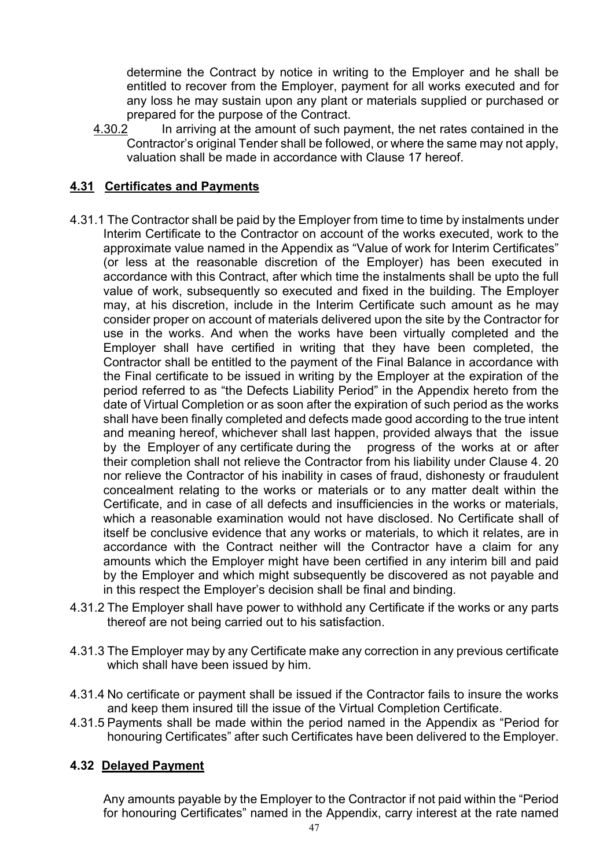determine the Contract by notice in writing to the Employer and he shall be entitled to recover from the Employer, payment for all works executed and for any loss he may sustain upon any plant or materials supplied or purchased or prepared for the purpose of the Contract.

4.30.2 In arriving at the amount of such payment, the net rates contained in the Contractor's original Tender shall be followed, or where the same may not apply, valuation shall be made in accordance with Clause 17 hereof.

# **4.31 Certificates and Payments**

- 4.31.1 The Contractor shall be paid by the Employer from time to time by instalments under Interim Certificate to the Contractor on account of the works executed, work to the approximate value named in the Appendix as "Value of work for Interim Certificates" (or less at the reasonable discretion of the Employer) has been executed in accordance with this Contract, after which time the instalments shall be upto the full value of work, subsequently so executed and fixed in the building. The Employer may, at his discretion, include in the Interim Certificate such amount as he may consider proper on account of materials delivered upon the site by the Contractor for use in the works. And when the works have been virtually completed and the Employer shall have certified in writing that they have been completed, the Contractor shall be entitled to the payment of the Final Balance in accordance with the Final certificate to be issued in writing by the Employer at the expiration of the period referred to as "the Defects Liability Period" in the Appendix hereto from the date of Virtual Completion or as soon after the expiration of such period as the works shall have been finally completed and defects made good according to the true intent and meaning hereof, whichever shall last happen, provided always that the issue by the Employer of any certificate during the progress of the works at or after their completion shall not relieve the Contractor from his liability under Clause 4. 20 nor relieve the Contractor of his inability in cases of fraud, dishonesty or fraudulent concealment relating to the works or materials or to any matter dealt within the Certificate, and in case of all defects and insufficiencies in the works or materials, which a reasonable examination would not have disclosed. No Certificate shall of itself be conclusive evidence that any works or materials, to which it relates, are in accordance with the Contract neither will the Contractor have a claim for any amounts which the Employer might have been certified in any interim bill and paid by the Employer and which might subsequently be discovered as not payable and in this respect the Employer's decision shall be final and binding.
- 4.31.2 The Employer shall have power to withhold any Certificate if the works or any parts thereof are not being carried out to his satisfaction.
- 4.31.3 The Employer may by any Certificate make any correction in any previous certificate which shall have been issued by him.
- 4.31.4 No certificate or payment shall be issued if the Contractor fails to insure the works and keep them insured till the issue of the Virtual Completion Certificate.
- 4.31.5 Payments shall be made within the period named in the Appendix as "Period for honouring Certificates" after such Certificates have been delivered to the Employer.

# **4.32 Delayed Payment**

Any amounts payable by the Employer to the Contractor if not paid within the "Period for honouring Certificates" named in the Appendix, carry interest at the rate named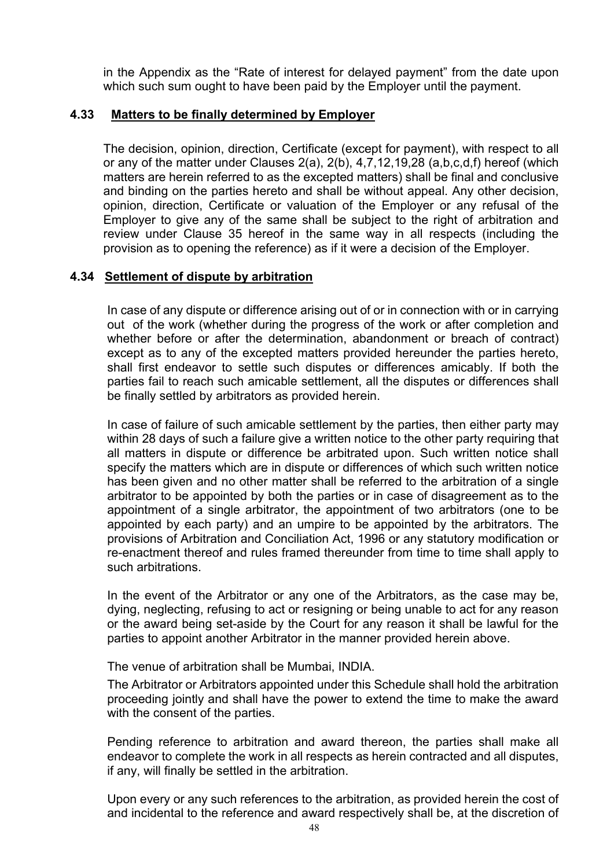in the Appendix as the "Rate of interest for delayed payment" from the date upon which such sum ought to have been paid by the Employer until the payment.

### **4.33 Matters to be finally determined by Employer**

The decision, opinion, direction, Certificate (except for payment), with respect to all or any of the matter under Clauses 2(a), 2(b), 4,7,12,19,28 (a,b,c,d,f) hereof (which matters are herein referred to as the excepted matters) shall be final and conclusive and binding on the parties hereto and shall be without appeal. Any other decision, opinion, direction, Certificate or valuation of the Employer or any refusal of the Employer to give any of the same shall be subject to the right of arbitration and review under Clause 35 hereof in the same way in all respects (including the provision as to opening the reference) as if it were a decision of the Employer.

### **4.34 Settlement of dispute by arbitration**

In case of any dispute or difference arising out of or in connection with or in carrying out of the work (whether during the progress of the work or after completion and whether before or after the determination, abandonment or breach of contract) except as to any of the excepted matters provided hereunder the parties hereto, shall first endeavor to settle such disputes or differences amicably. If both the parties fail to reach such amicable settlement, all the disputes or differences shall be finally settled by arbitrators as provided herein.

In case of failure of such amicable settlement by the parties, then either party may within 28 days of such a failure give a written notice to the other party requiring that all matters in dispute or difference be arbitrated upon. Such written notice shall specify the matters which are in dispute or differences of which such written notice has been given and no other matter shall be referred to the arbitration of a single arbitrator to be appointed by both the parties or in case of disagreement as to the appointment of a single arbitrator, the appointment of two arbitrators (one to be appointed by each party) and an umpire to be appointed by the arbitrators. The provisions of Arbitration and Conciliation Act, 1996 or any statutory modification or re-enactment thereof and rules framed thereunder from time to time shall apply to such arbitrations.

In the event of the Arbitrator or any one of the Arbitrators, as the case may be, dying, neglecting, refusing to act or resigning or being unable to act for any reason or the award being set-aside by the Court for any reason it shall be lawful for the parties to appoint another Arbitrator in the manner provided herein above.

The venue of arbitration shall be Mumbai, INDIA.

The Arbitrator or Arbitrators appointed under this Schedule shall hold the arbitration proceeding jointly and shall have the power to extend the time to make the award with the consent of the parties.

Pending reference to arbitration and award thereon, the parties shall make all endeavor to complete the work in all respects as herein contracted and all disputes, if any, will finally be settled in the arbitration.

Upon every or any such references to the arbitration, as provided herein the cost of and incidental to the reference and award respectively shall be, at the discretion of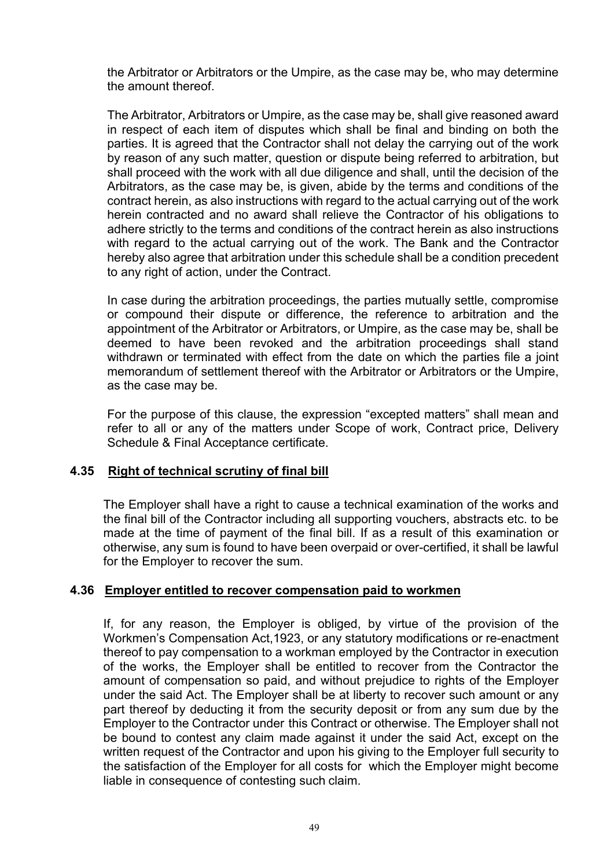the Arbitrator or Arbitrators or the Umpire, as the case may be, who may determine the amount thereof.

The Arbitrator, Arbitrators or Umpire, as the case may be, shall give reasoned award in respect of each item of disputes which shall be final and binding on both the parties. It is agreed that the Contractor shall not delay the carrying out of the work by reason of any such matter, question or dispute being referred to arbitration, but shall proceed with the work with all due diligence and shall, until the decision of the Arbitrators, as the case may be, is given, abide by the terms and conditions of the contract herein, as also instructions with regard to the actual carrying out of the work herein contracted and no award shall relieve the Contractor of his obligations to adhere strictly to the terms and conditions of the contract herein as also instructions with regard to the actual carrying out of the work. The Bank and the Contractor hereby also agree that arbitration under this schedule shall be a condition precedent to any right of action, under the Contract.

In case during the arbitration proceedings, the parties mutually settle, compromise or compound their dispute or difference, the reference to arbitration and the appointment of the Arbitrator or Arbitrators, or Umpire, as the case may be, shall be deemed to have been revoked and the arbitration proceedings shall stand withdrawn or terminated with effect from the date on which the parties file a joint memorandum of settlement thereof with the Arbitrator or Arbitrators or the Umpire, as the case may be.

For the purpose of this clause, the expression "excepted matters" shall mean and refer to all or any of the matters under Scope of work, Contract price, Delivery Schedule & Final Acceptance certificate.

### **4.35 Right of technical scrutiny of final bill**

The Employer shall have a right to cause a technical examination of the works and the final bill of the Contractor including all supporting vouchers, abstracts etc. to be made at the time of payment of the final bill. If as a result of this examination or otherwise, any sum is found to have been overpaid or over-certified, it shall be lawful for the Employer to recover the sum.

### **4.36 Employer entitled to recover compensation paid to workmen**

If, for any reason, the Employer is obliged, by virtue of the provision of the Workmen's Compensation Act,1923, or any statutory modifications or re-enactment thereof to pay compensation to a workman employed by the Contractor in execution of the works, the Employer shall be entitled to recover from the Contractor the amount of compensation so paid, and without prejudice to rights of the Employer under the said Act. The Employer shall be at liberty to recover such amount or any part thereof by deducting it from the security deposit or from any sum due by the Employer to the Contractor under this Contract or otherwise. The Employer shall not be bound to contest any claim made against it under the said Act, except on the written request of the Contractor and upon his giving to the Employer full security to the satisfaction of the Employer for all costs for which the Employer might become liable in consequence of contesting such claim.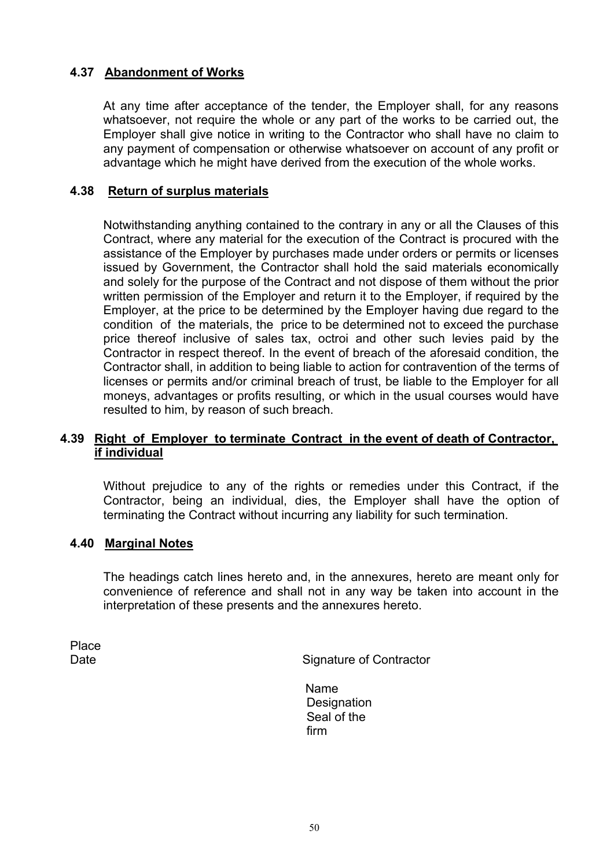# **4.37 Abandonment of Works**

At any time after acceptance of the tender, the Employer shall, for any reasons whatsoever, not require the whole or any part of the works to be carried out, the Employer shall give notice in writing to the Contractor who shall have no claim to any payment of compensation or otherwise whatsoever on account of any profit or advantage which he might have derived from the execution of the whole works.

### **4.38 Return of surplus materials**

Notwithstanding anything contained to the contrary in any or all the Clauses of this Contract, where any material for the execution of the Contract is procured with the assistance of the Employer by purchases made under orders or permits or licenses issued by Government, the Contractor shall hold the said materials economically and solely for the purpose of the Contract and not dispose of them without the prior written permission of the Employer and return it to the Employer, if required by the Employer, at the price to be determined by the Employer having due regard to the condition of the materials, the price to be determined not to exceed the purchase price thereof inclusive of sales tax, octroi and other such levies paid by the Contractor in respect thereof. In the event of breach of the aforesaid condition, the Contractor shall, in addition to being liable to action for contravention of the terms of licenses or permits and/or criminal breach of trust, be liable to the Employer for all moneys, advantages or profits resulting, or which in the usual courses would have resulted to him, by reason of such breach.

### **4.39 Right of Employer to terminate Contract in the event of death of Contractor, if individual**

Without prejudice to any of the rights or remedies under this Contract, if the Contractor, being an individual, dies, the Employer shall have the option of terminating the Contract without incurring any liability for such termination.

#### **4.40 Marginal Notes**

The headings catch lines hereto and, in the annexures, hereto are meant only for convenience of reference and shall not in any way be taken into account in the interpretation of these presents and the annexures hereto.

Place

Date **Signature of Contractor** 

Name **Designation** Seal of the firm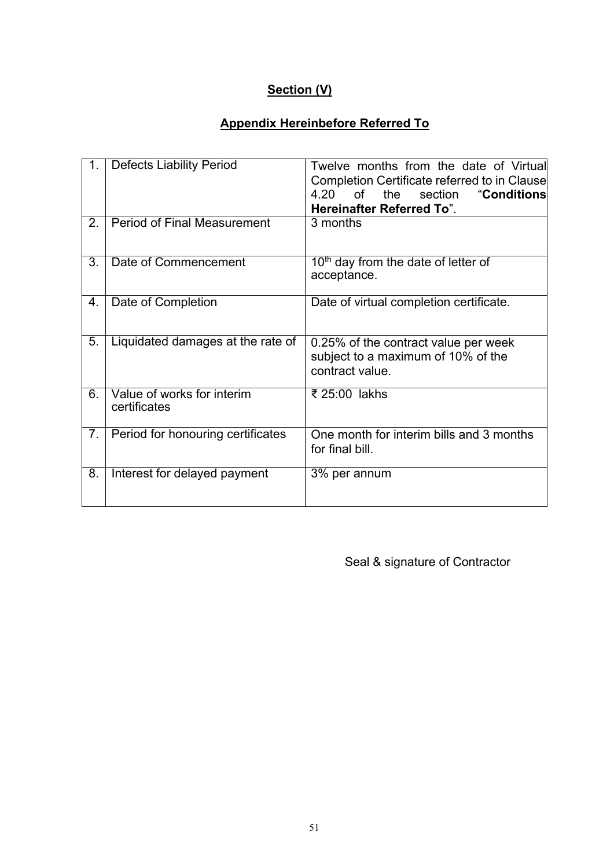# **Section (V)**

# **Appendix Hereinbefore Referred To**

| 1. | <b>Defects Liability Period</b>            | Twelve months from the date of Virtual<br>Completion Certificate referred to in Clause<br>4.20<br>of<br>the<br>section<br>"Conditions<br><b>Hereinafter Referred To".</b> |
|----|--------------------------------------------|---------------------------------------------------------------------------------------------------------------------------------------------------------------------------|
| 2. | <b>Period of Final Measurement</b>         | 3 months                                                                                                                                                                  |
| 3. | Date of Commencement                       | $10th$ day from the date of letter of<br>acceptance.                                                                                                                      |
| 4. | Date of Completion                         | Date of virtual completion certificate.                                                                                                                                   |
| 5. | Liquidated damages at the rate of          | 0.25% of the contract value per week<br>subject to a maximum of 10% of the<br>contract value.                                                                             |
| 6. | Value of works for interim<br>certificates | ₹ 25:00 lakhs                                                                                                                                                             |
| 7. | Period for honouring certificates          | One month for interim bills and 3 months<br>for final bill.                                                                                                               |
| 8. | Interest for delayed payment               | 3% per annum                                                                                                                                                              |

Seal & signature of Contractor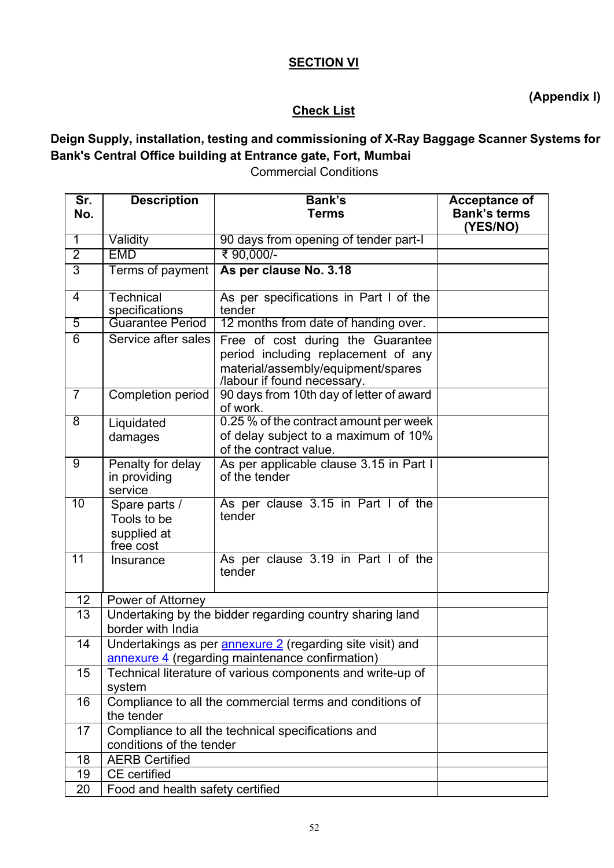# **SECTION VI**

# **(Appendix I)**

# **Check List**

# **Deign Supply, installation, testing and commissioning of X-Ray Baggage Scanner Systems for Bank's Central Office building at Entrance gate, Fort, Mumbai**

Commercial Conditions

| Sr.<br>No.     | <b>Description</b>                                                             | <b>Bank's</b><br><b>Terms</b>                                                                                                                 | Acceptance of<br><b>Bank's terms</b> |
|----------------|--------------------------------------------------------------------------------|-----------------------------------------------------------------------------------------------------------------------------------------------|--------------------------------------|
|                |                                                                                |                                                                                                                                               | (YES/NO)                             |
| $\overline{1}$ | Validity                                                                       | 90 days from opening of tender part-I                                                                                                         |                                      |
| $\overline{2}$ | <b>EMD</b>                                                                     | ₹ 90,000/-                                                                                                                                    |                                      |
| $\overline{3}$ | Terms of payment                                                               | As per clause No. 3.18                                                                                                                        |                                      |
| $\overline{4}$ | Technical<br>specifications                                                    | As per specifications in Part I of the<br>tender                                                                                              |                                      |
| 5              | Guarantee Period                                                               | 12 months from date of handing over.                                                                                                          |                                      |
| $\overline{6}$ | Service after sales                                                            | Free of cost during the Guarantee<br>period including replacement of any<br>material/assembly/equipment/spares<br>/labour if found necessary. |                                      |
| $\overline{7}$ | <b>Completion period</b>                                                       | 90 days from 10th day of letter of award<br>of work.                                                                                          |                                      |
| 8              | Liquidated<br>damages                                                          | 0.25 % of the contract amount per week<br>of delay subject to a maximum of 10%<br>of the contract value.                                      |                                      |
| 9              | Penalty for delay<br>in providing<br>service                                   | As per applicable clause 3.15 in Part I<br>of the tender                                                                                      |                                      |
| 10             | Spare parts /<br>Tools to be<br>supplied at<br>free cost                       | As per clause 3.15 in Part I of the<br>tender                                                                                                 |                                      |
| 11             | Insurance                                                                      | As per clause 3.19 in Part I of the<br>tender                                                                                                 |                                      |
| 12             | Power of Attorney                                                              |                                                                                                                                               |                                      |
| 13             | border with India                                                              | Undertaking by the bidder regarding country sharing land                                                                                      |                                      |
| 14             |                                                                                | Undertakings as per annexure 2 (regarding site visit) and<br>annexure 4 (regarding maintenance confirmation)                                  |                                      |
| 15             | Technical literature of various components and write-up of<br>system           |                                                                                                                                               |                                      |
| 16             | Compliance to all the commercial terms and conditions of<br>the tender         |                                                                                                                                               |                                      |
| 17             | Compliance to all the technical specifications and<br>conditions of the tender |                                                                                                                                               |                                      |
| 18             | <b>AERB Certified</b>                                                          |                                                                                                                                               |                                      |
| 19             | <b>CE</b> certified                                                            |                                                                                                                                               |                                      |
| 20             | Food and health safety certified                                               |                                                                                                                                               |                                      |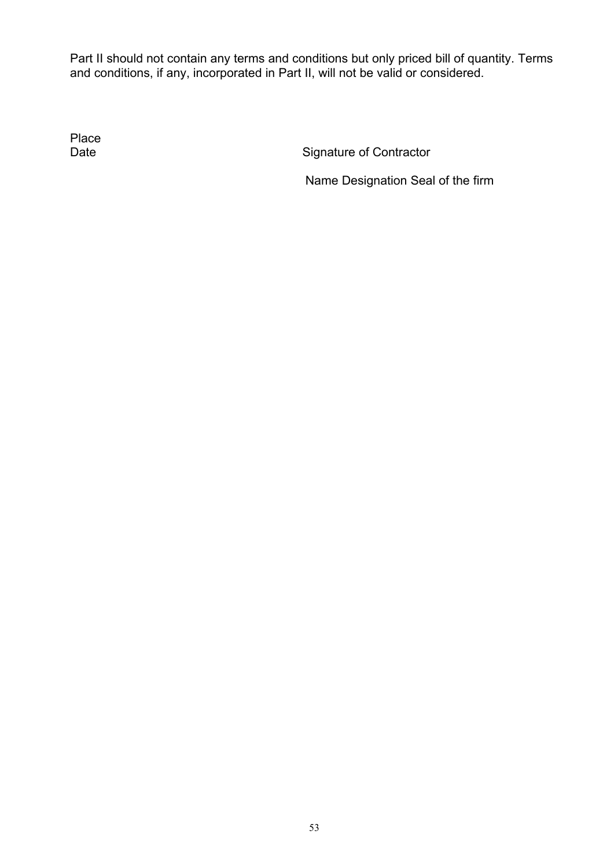Part II should not contain any terms and conditions but only priced bill of quantity. Terms and conditions, if any, incorporated in Part II, will not be valid or considered.

Place<br>Date

Signature of Contractor

Name Designation Seal of the firm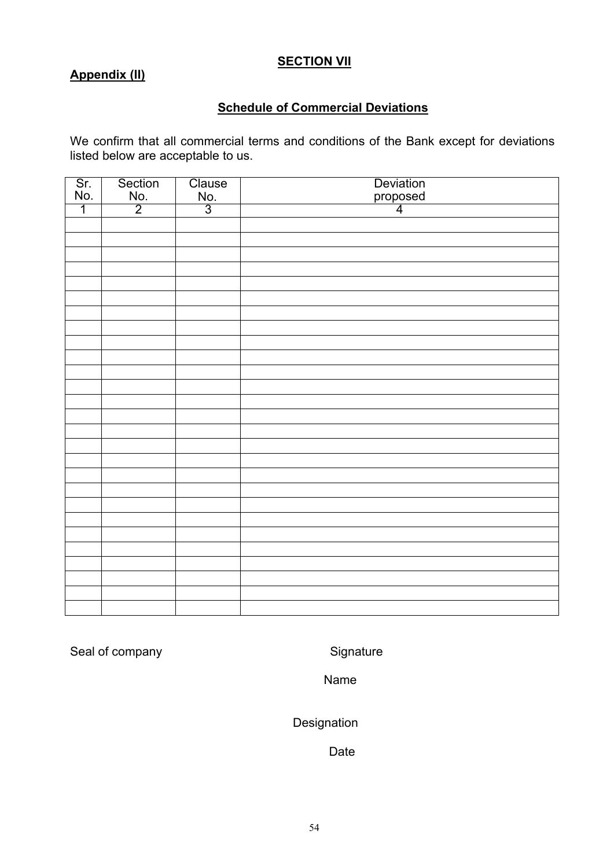### **SECTION VII**

# **Appendix (II)**

# **Schedule of Commercial Deviations**

We confirm that all commercial terms and conditions of the Bank except for deviations listed below are acceptable to us.

| Sr.<br>No.     | Section        | Clause        | Deviation<br>proposed |
|----------------|----------------|---------------|-----------------------|
|                | No.            | $rac{No.}{3}$ |                       |
| $\overline{1}$ | $\overline{2}$ |               | $\overline{4}$        |
|                |                |               |                       |
|                |                |               |                       |
|                |                |               |                       |
|                |                |               |                       |
|                |                |               |                       |
|                |                |               |                       |
|                |                |               |                       |
|                |                |               |                       |
|                |                |               |                       |
|                |                |               |                       |
|                |                |               |                       |
|                |                |               |                       |
|                |                |               |                       |
|                |                |               |                       |
|                |                |               |                       |
|                |                |               |                       |
|                |                |               |                       |
|                |                |               |                       |
|                |                |               |                       |
|                |                |               |                       |
|                |                |               |                       |
|                |                |               |                       |
|                |                |               |                       |
|                |                |               |                       |
|                |                |               |                       |
|                |                |               |                       |
|                |                |               |                       |

Seal of company Signature

Name

Designation

Date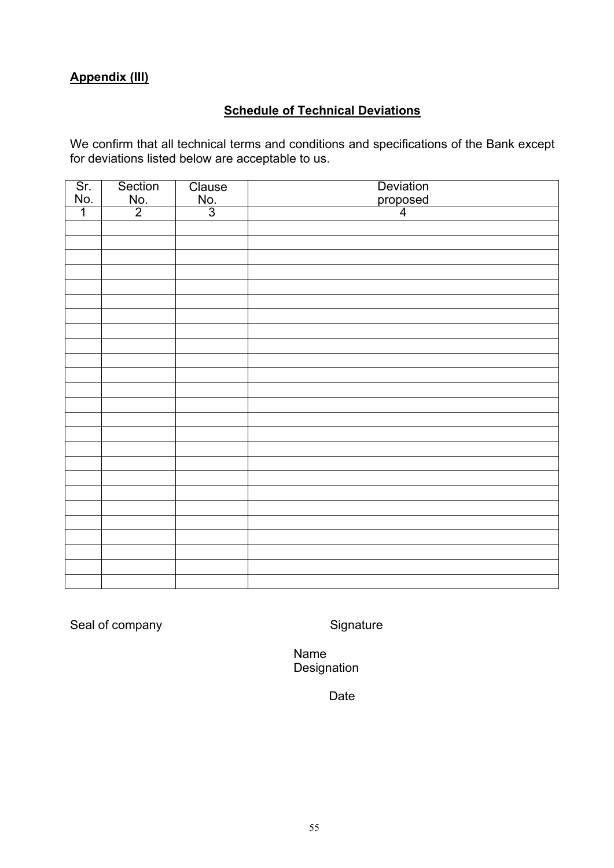# **Appendix (III)**

# **Schedule of Technical Deviations**

We confirm that all technical terms and conditions and specifications of the Bank except for deviations listed below are acceptable to us.

| Sr.<br>No.     | Section                | Clause        | Deviation<br>proposed<br>4 |
|----------------|------------------------|---------------|----------------------------|
|                | $\frac{\text{No.}}{2}$ | $rac{No.}{3}$ |                            |
| $\overline{1}$ |                        |               |                            |
|                |                        |               |                            |
|                |                        |               |                            |
|                |                        |               |                            |
|                |                        |               |                            |
|                |                        |               |                            |
|                |                        |               |                            |
|                |                        |               |                            |
|                |                        |               |                            |
|                |                        |               |                            |
|                |                        |               |                            |
|                |                        |               |                            |
|                |                        |               |                            |
|                |                        |               |                            |
|                |                        |               |                            |
|                |                        |               |                            |
|                |                        |               |                            |
|                |                        |               |                            |
|                |                        |               |                            |
|                |                        |               |                            |
|                |                        |               |                            |
|                |                        |               |                            |
|                |                        |               |                            |
|                |                        |               |                            |
|                |                        |               |                            |
|                |                        |               |                            |

Seal of company Signature

Name Designation

Date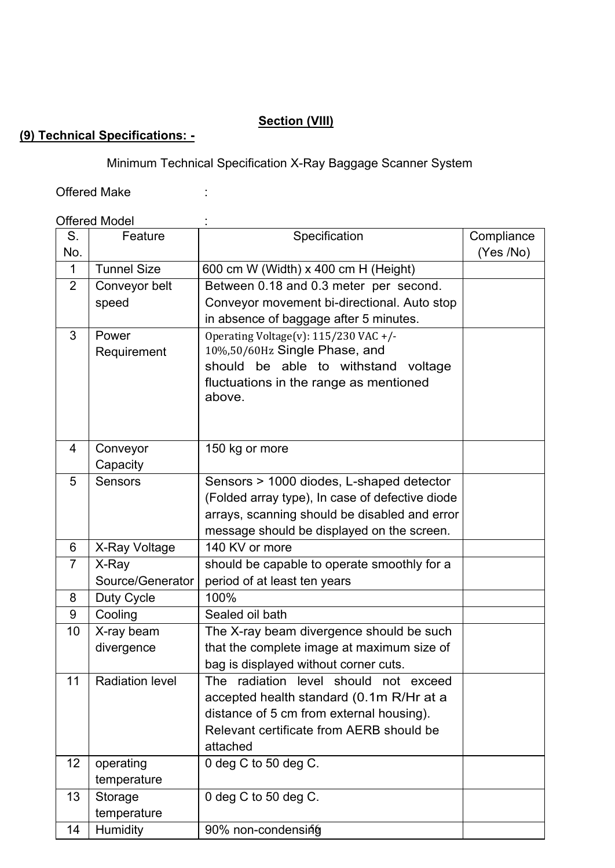# **Section (VIII)**

# **(9) Technical Specifications: -**

Minimum Technical Specification X-Ray Baggage Scanner System

Offered Make in the set of the set of the set of the set of the set of the set of the set of the set of the set of the set of the set of the set of the set of the set of the set of the set of the set of the set of the set

# Offered Model : :

| S.             | Feature                | Specification                                   | Compliance |
|----------------|------------------------|-------------------------------------------------|------------|
| No.            |                        |                                                 | (Yes /No)  |
| $\mathbf{1}$   | <b>Tunnel Size</b>     | 600 cm W (Width) x 400 cm H (Height)            |            |
| $\overline{2}$ | Conveyor belt          | Between 0.18 and 0.3 meter per second.          |            |
|                | speed                  | Conveyor movement bi-directional. Auto stop     |            |
|                |                        | in absence of baggage after 5 minutes.          |            |
| 3              | Power                  | Operating Voltage(v): 115/230 VAC +/-           |            |
|                | Requirement            | 10%,50/60Hz Single Phase, and                   |            |
|                |                        | should be able to withstand<br>voltage          |            |
|                |                        | fluctuations in the range as mentioned          |            |
|                |                        | above.                                          |            |
|                |                        |                                                 |            |
|                |                        |                                                 |            |
| 4              | Conveyor               | 150 kg or more                                  |            |
|                | Capacity               |                                                 |            |
| 5              | <b>Sensors</b>         | Sensors > 1000 diodes, L-shaped detector        |            |
|                |                        | (Folded array type), In case of defective diode |            |
|                |                        | arrays, scanning should be disabled and error   |            |
|                |                        | message should be displayed on the screen.      |            |
| 6              | X-Ray Voltage          | 140 KV or more                                  |            |
| $\overline{7}$ | X-Ray                  | should be capable to operate smoothly for a     |            |
|                | Source/Generator       | period of at least ten years                    |            |
| 8              | Duty Cycle             | 100%                                            |            |
| 9              | Cooling                | Sealed oil bath                                 |            |
| 10             | X-ray beam             | The X-ray beam divergence should be such        |            |
|                | divergence             | that the complete image at maximum size of      |            |
|                |                        | bag is displayed without corner cuts.           |            |
| 11             | <b>Radiation level</b> | The radiation level should not exceed           |            |
|                |                        | accepted health standard (0.1m R/Hr at a        |            |
|                |                        | distance of 5 cm from external housing).        |            |
|                |                        | Relevant certificate from AERB should be        |            |
|                |                        | attached                                        |            |
| 12             | operating              | 0 deg C to 50 deg C.                            |            |
|                | temperature            |                                                 |            |
| 13             | Storage                | 0 deg C to 50 deg C.                            |            |
|                | temperature            |                                                 |            |
| 14             | Humidity               | 90% non-condensing                              |            |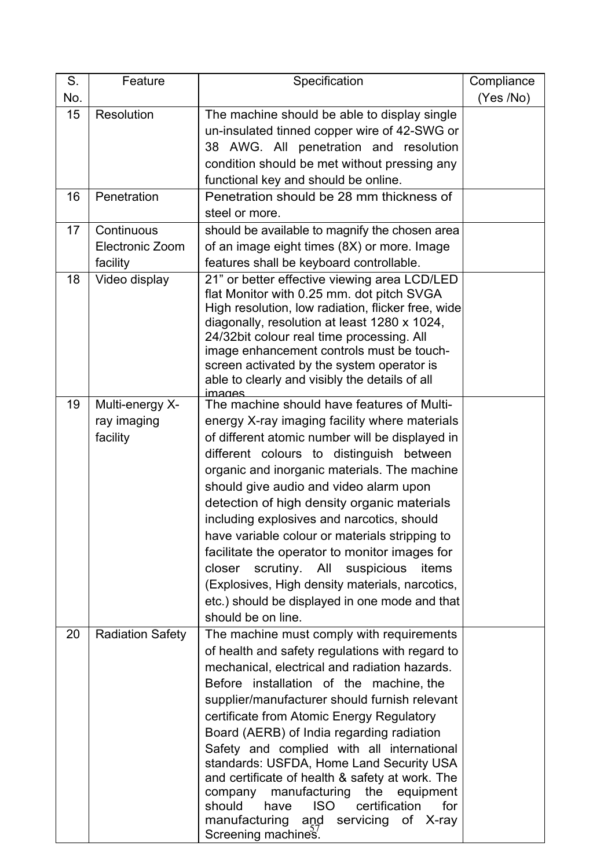| S.  | Feature                 | Specification                                                                                                                                                                                                                                                                                                                                                                                              | Compliance |
|-----|-------------------------|------------------------------------------------------------------------------------------------------------------------------------------------------------------------------------------------------------------------------------------------------------------------------------------------------------------------------------------------------------------------------------------------------------|------------|
| No. |                         |                                                                                                                                                                                                                                                                                                                                                                                                            | (Yes /No)  |
| 15  | Resolution              | The machine should be able to display single<br>un-insulated tinned copper wire of 42-SWG or<br>38 AWG. All penetration and resolution<br>condition should be met without pressing any<br>functional key and should be online.                                                                                                                                                                             |            |
| 16  | Penetration             | Penetration should be 28 mm thickness of                                                                                                                                                                                                                                                                                                                                                                   |            |
|     |                         | steel or more.                                                                                                                                                                                                                                                                                                                                                                                             |            |
| 17  | Continuous              | should be available to magnify the chosen area                                                                                                                                                                                                                                                                                                                                                             |            |
|     | <b>Electronic Zoom</b>  | of an image eight times (8X) or more. Image                                                                                                                                                                                                                                                                                                                                                                |            |
|     | facility                | features shall be keyboard controllable.                                                                                                                                                                                                                                                                                                                                                                   |            |
| 18  | Video display           | 21" or better effective viewing area LCD/LED<br>flat Monitor with 0.25 mm. dot pitch SVGA<br>High resolution, low radiation, flicker free, wide<br>diagonally, resolution at least 1280 x 1024,<br>24/32bit colour real time processing. All<br>image enhancement controls must be touch-<br>screen activated by the system operator is<br>able to clearly and visibly the details of all<br><u>imades</u> |            |
| 19  | Multi-energy X-         | The machine should have features of Multi-                                                                                                                                                                                                                                                                                                                                                                 |            |
|     | ray imaging             | energy X-ray imaging facility where materials                                                                                                                                                                                                                                                                                                                                                              |            |
|     | facility                | of different atomic number will be displayed in                                                                                                                                                                                                                                                                                                                                                            |            |
|     |                         | different colours to distinguish between                                                                                                                                                                                                                                                                                                                                                                   |            |
|     |                         | organic and inorganic materials. The machine                                                                                                                                                                                                                                                                                                                                                               |            |
|     |                         | should give audio and video alarm upon                                                                                                                                                                                                                                                                                                                                                                     |            |
|     |                         | detection of high density organic materials<br>including explosives and narcotics, should                                                                                                                                                                                                                                                                                                                  |            |
|     |                         | have variable colour or materials stripping to                                                                                                                                                                                                                                                                                                                                                             |            |
|     |                         | facilitate the operator to monitor images for                                                                                                                                                                                                                                                                                                                                                              |            |
|     |                         | closer scrutiny. All suspicious<br>items                                                                                                                                                                                                                                                                                                                                                                   |            |
|     |                         | (Explosives, High density materials, narcotics,                                                                                                                                                                                                                                                                                                                                                            |            |
|     |                         | etc.) should be displayed in one mode and that                                                                                                                                                                                                                                                                                                                                                             |            |
|     |                         | should be on line.                                                                                                                                                                                                                                                                                                                                                                                         |            |
| 20  | <b>Radiation Safety</b> | The machine must comply with requirements                                                                                                                                                                                                                                                                                                                                                                  |            |
|     |                         | of health and safety regulations with regard to                                                                                                                                                                                                                                                                                                                                                            |            |
|     |                         | mechanical, electrical and radiation hazards.                                                                                                                                                                                                                                                                                                                                                              |            |
|     |                         | Before installation of the machine, the                                                                                                                                                                                                                                                                                                                                                                    |            |
|     |                         | supplier/manufacturer should furnish relevant                                                                                                                                                                                                                                                                                                                                                              |            |
|     |                         | certificate from Atomic Energy Regulatory                                                                                                                                                                                                                                                                                                                                                                  |            |
|     |                         | Board (AERB) of India regarding radiation                                                                                                                                                                                                                                                                                                                                                                  |            |
|     |                         | Safety and complied with all international                                                                                                                                                                                                                                                                                                                                                                 |            |
|     |                         | standards: USFDA, Home Land Security USA                                                                                                                                                                                                                                                                                                                                                                   |            |
|     |                         | and certificate of health & safety at work. The<br>manufacturing<br>the<br>company<br>equipment                                                                                                                                                                                                                                                                                                            |            |
|     |                         | should<br>ISO.<br>certification<br>for<br>have                                                                                                                                                                                                                                                                                                                                                             |            |
|     |                         | manufacturing and servicing of X-ray                                                                                                                                                                                                                                                                                                                                                                       |            |
|     |                         | Screening machines.                                                                                                                                                                                                                                                                                                                                                                                        |            |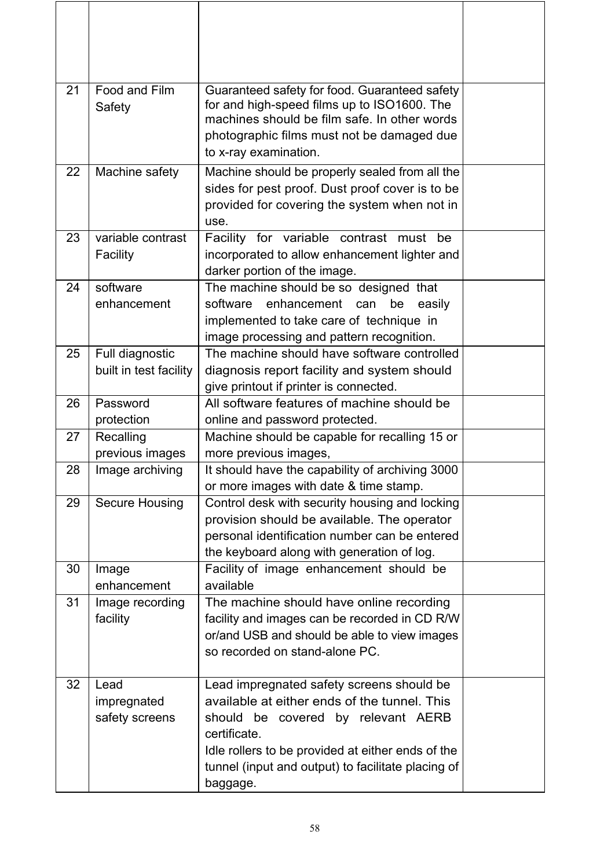| 21 | Food and Film<br>Safety                   | Guaranteed safety for food. Guaranteed safety<br>for and high-speed films up to ISO1600. The<br>machines should be film safe. In other words<br>photographic films must not be damaged due<br>to x-ray examination.                                                    |  |
|----|-------------------------------------------|------------------------------------------------------------------------------------------------------------------------------------------------------------------------------------------------------------------------------------------------------------------------|--|
| 22 | Machine safety                            | Machine should be properly sealed from all the<br>sides for pest proof. Dust proof cover is to be<br>provided for covering the system when not in<br>use.                                                                                                              |  |
| 23 | variable contrast<br>Facility             | Facility for variable contrast must be<br>incorporated to allow enhancement lighter and<br>darker portion of the image.                                                                                                                                                |  |
| 24 | software<br>enhancement                   | The machine should be so designed that<br>software enhancement can<br>be<br>easily<br>implemented to take care of technique in<br>image processing and pattern recognition.                                                                                            |  |
| 25 | Full diagnostic<br>built in test facility | The machine should have software controlled<br>diagnosis report facility and system should<br>give printout if printer is connected.                                                                                                                                   |  |
| 26 | Password<br>protection                    | All software features of machine should be<br>online and password protected.                                                                                                                                                                                           |  |
| 27 | Recalling<br>previous images              | Machine should be capable for recalling 15 or<br>more previous images,                                                                                                                                                                                                 |  |
| 28 | Image archiving                           | It should have the capability of archiving 3000<br>or more images with date & time stamp.                                                                                                                                                                              |  |
| 29 | <b>Secure Housing</b>                     | Control desk with security housing and locking<br>provision should be available. The operator<br>personal identification number can be entered<br>the keyboard along with generation of log.                                                                           |  |
| 30 | Image<br>enhancement                      | Facility of image enhancement should be<br>available                                                                                                                                                                                                                   |  |
| 31 | Image recording<br>facility               | The machine should have online recording<br>facility and images can be recorded in CD R/W<br>or/and USB and should be able to view images<br>so recorded on stand-alone PC.                                                                                            |  |
| 32 | Lead<br>impregnated<br>safety screens     | Lead impregnated safety screens should be<br>available at either ends of the tunnel. This<br>should be covered by relevant AERB<br>certificate.<br>Idle rollers to be provided at either ends of the<br>tunnel (input and output) to facilitate placing of<br>baggage. |  |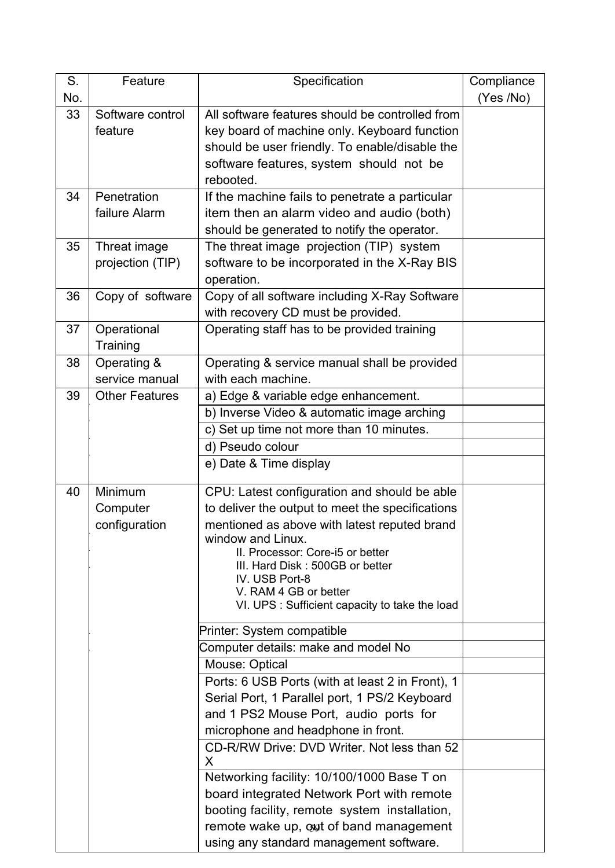| $S_{1}$ | Feature               | Specification                                     | Compliance |
|---------|-----------------------|---------------------------------------------------|------------|
| No.     |                       |                                                   | (Yes /No)  |
| 33      | Software control      | All software features should be controlled from   |            |
|         | feature               | key board of machine only. Keyboard function      |            |
|         |                       | should be user friendly. To enable/disable the    |            |
|         |                       | software features, system should not be           |            |
|         |                       | rebooted.                                         |            |
| 34      | Penetration           | If the machine fails to penetrate a particular    |            |
|         | failure Alarm         | item then an alarm video and audio (both)         |            |
|         |                       | should be generated to notify the operator.       |            |
| 35      | Threat image          | The threat image projection (TIP) system          |            |
|         | projection (TIP)      | software to be incorporated in the X-Ray BIS      |            |
|         |                       | operation.                                        |            |
| 36      | Copy of software      | Copy of all software including X-Ray Software     |            |
|         |                       | with recovery CD must be provided.                |            |
| 37      | Operational           | Operating staff has to be provided training       |            |
|         | Training              |                                                   |            |
| 38      | Operating &           | Operating & service manual shall be provided      |            |
|         | service manual        | with each machine.                                |            |
| 39      | <b>Other Features</b> | a) Edge & variable edge enhancement.              |            |
|         |                       | b) Inverse Video & automatic image arching        |            |
|         |                       | c) Set up time not more than 10 minutes.          |            |
|         |                       | d) Pseudo colour                                  |            |
|         |                       | e) Date & Time display                            |            |
| 40      | Minimum               | CPU: Latest configuration and should be able      |            |
|         | Computer              | to deliver the output to meet the specifications  |            |
|         | configuration         | mentioned as above with latest reputed brand      |            |
|         |                       | window and Linux.                                 |            |
|         |                       | II. Processor: Core-i5 or better                  |            |
|         |                       | III. Hard Disk: 500GB or better<br>IV. USB Port-8 |            |
|         |                       | V. RAM 4 GB or better                             |            |
|         |                       | VI. UPS : Sufficient capacity to take the load    |            |
|         |                       | Printer: System compatible                        |            |
|         |                       | Computer details: make and model No               |            |
|         |                       | Mouse: Optical                                    |            |
|         |                       | Ports: 6 USB Ports (with at least 2 in Front), 1  |            |
|         |                       | Serial Port, 1 Parallel port, 1 PS/2 Keyboard     |            |
|         |                       | and 1 PS2 Mouse Port, audio ports for             |            |
|         |                       | microphone and headphone in front.                |            |
|         |                       | CD-R/RW Drive: DVD Writer, Not less than 52       |            |
|         |                       | X                                                 |            |
|         |                       | Networking facility: 10/100/1000 Base T on        |            |
|         |                       | board integrated Network Port with remote         |            |
|         |                       | booting facility, remote system installation,     |            |
|         |                       | remote wake up, out of band management            |            |
|         |                       | using any standard management software.           |            |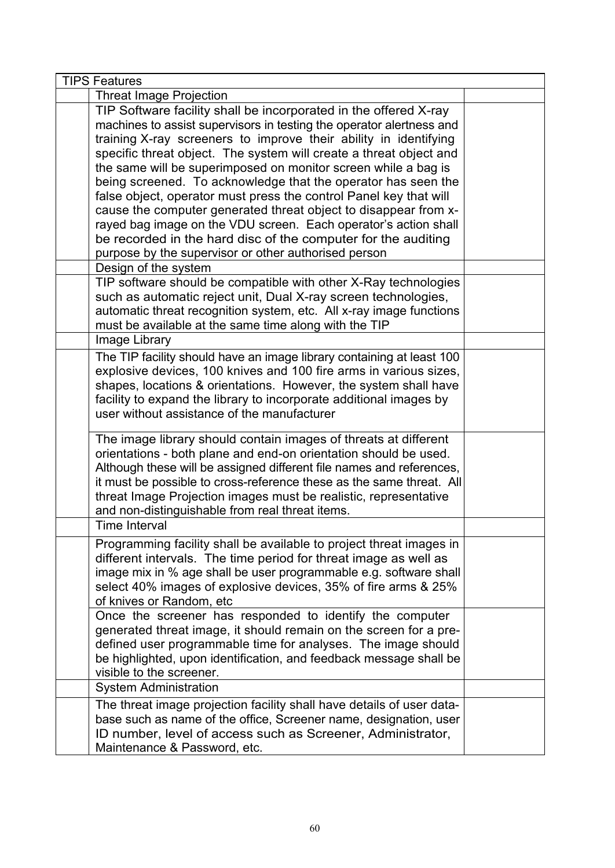| <b>TIPS Features</b>                                                                                                                                                                                                                                                                                                                                                                                                                                                                                                                                                                                                                                                                                                                                                              |  |
|-----------------------------------------------------------------------------------------------------------------------------------------------------------------------------------------------------------------------------------------------------------------------------------------------------------------------------------------------------------------------------------------------------------------------------------------------------------------------------------------------------------------------------------------------------------------------------------------------------------------------------------------------------------------------------------------------------------------------------------------------------------------------------------|--|
| <b>Threat Image Projection</b>                                                                                                                                                                                                                                                                                                                                                                                                                                                                                                                                                                                                                                                                                                                                                    |  |
| TIP Software facility shall be incorporated in the offered X-ray<br>machines to assist supervisors in testing the operator alertness and<br>training X-ray screeners to improve their ability in identifying<br>specific threat object. The system will create a threat object and<br>the same will be superimposed on monitor screen while a bag is<br>being screened. To acknowledge that the operator has seen the<br>false object, operator must press the control Panel key that will<br>cause the computer generated threat object to disappear from x-<br>rayed bag image on the VDU screen. Each operator's action shall<br>be recorded in the hard disc of the computer for the auditing<br>purpose by the supervisor or other authorised person<br>Design of the system |  |
| TIP software should be compatible with other X-Ray technologies<br>such as automatic reject unit, Dual X-ray screen technologies,<br>automatic threat recognition system, etc. All x-ray image functions<br>must be available at the same time along with the TIP                                                                                                                                                                                                                                                                                                                                                                                                                                                                                                                 |  |
| Image Library                                                                                                                                                                                                                                                                                                                                                                                                                                                                                                                                                                                                                                                                                                                                                                     |  |
| The TIP facility should have an image library containing at least 100<br>explosive devices, 100 knives and 100 fire arms in various sizes,<br>shapes, locations & orientations. However, the system shall have<br>facility to expand the library to incorporate additional images by<br>user without assistance of the manufacturer                                                                                                                                                                                                                                                                                                                                                                                                                                               |  |
| The image library should contain images of threats at different<br>orientations - both plane and end-on orientation should be used.<br>Although these will be assigned different file names and references,<br>it must be possible to cross-reference these as the same threat. All<br>threat Image Projection images must be realistic, representative<br>and non-distinguishable from real threat items.                                                                                                                                                                                                                                                                                                                                                                        |  |
| <b>Time Interval</b>                                                                                                                                                                                                                                                                                                                                                                                                                                                                                                                                                                                                                                                                                                                                                              |  |
| Programming facility shall be available to project threat images in<br>different intervals. The time period for threat image as well as<br>image mix in % age shall be user programmable e.g. software shall<br>select 40% images of explosive devices, 35% of fire arms & 25%<br>of knives or Random, etc                                                                                                                                                                                                                                                                                                                                                                                                                                                                        |  |
| Once the screener has responded to identify the computer<br>generated threat image, it should remain on the screen for a pre-<br>defined user programmable time for analyses. The image should<br>be highlighted, upon identification, and feedback message shall be<br>visible to the screener.                                                                                                                                                                                                                                                                                                                                                                                                                                                                                  |  |
| <b>System Administration</b>                                                                                                                                                                                                                                                                                                                                                                                                                                                                                                                                                                                                                                                                                                                                                      |  |
| The threat image projection facility shall have details of user data-<br>base such as name of the office, Screener name, designation, user<br>ID number, level of access such as Screener, Administrator,<br>Maintenance & Password, etc.                                                                                                                                                                                                                                                                                                                                                                                                                                                                                                                                         |  |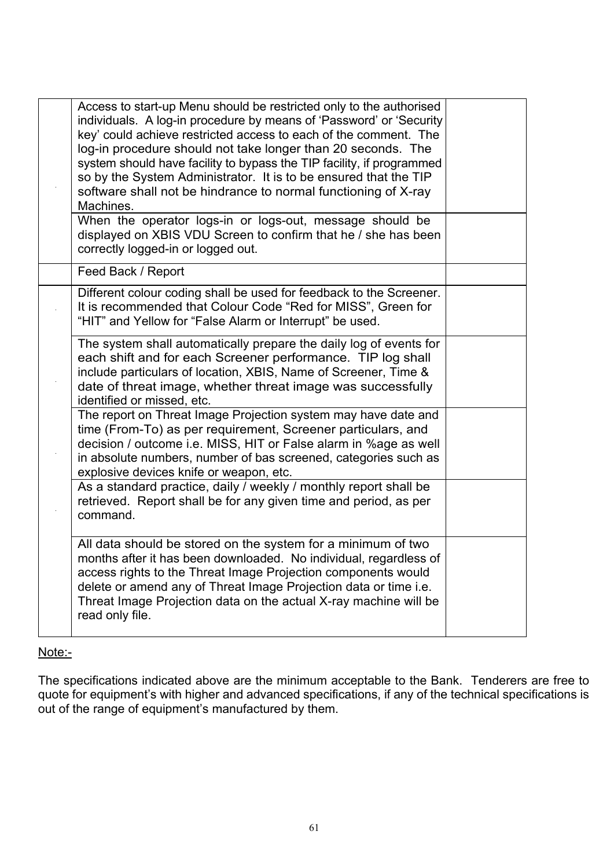| Access to start-up Menu should be restricted only to the authorised<br>individuals. A log-in procedure by means of 'Password' or 'Security<br>key' could achieve restricted access to each of the comment. The<br>log-in procedure should not take longer than 20 seconds. The<br>system should have facility to bypass the TIP facility, if programmed<br>so by the System Administrator. It is to be ensured that the TIP<br>software shall not be hindrance to normal functioning of X-ray<br>Machines.<br>When the operator logs-in or logs-out, message should be<br>displayed on XBIS VDU Screen to confirm that he / she has been<br>correctly logged-in or logged out. |  |
|--------------------------------------------------------------------------------------------------------------------------------------------------------------------------------------------------------------------------------------------------------------------------------------------------------------------------------------------------------------------------------------------------------------------------------------------------------------------------------------------------------------------------------------------------------------------------------------------------------------------------------------------------------------------------------|--|
| Feed Back / Report                                                                                                                                                                                                                                                                                                                                                                                                                                                                                                                                                                                                                                                             |  |
| Different colour coding shall be used for feedback to the Screener.<br>It is recommended that Colour Code "Red for MISS", Green for<br>"HIT" and Yellow for "False Alarm or Interrupt" be used.                                                                                                                                                                                                                                                                                                                                                                                                                                                                                |  |
| The system shall automatically prepare the daily log of events for<br>each shift and for each Screener performance. TIP log shall<br>include particulars of location, XBIS, Name of Screener, Time &<br>date of threat image, whether threat image was successfully<br>identified or missed, etc.                                                                                                                                                                                                                                                                                                                                                                              |  |
| The report on Threat Image Projection system may have date and<br>time (From-To) as per requirement, Screener particulars, and<br>decision / outcome i.e. MISS, HIT or False alarm in %age as well<br>in absolute numbers, number of bas screened, categories such as<br>explosive devices knife or weapon, etc.                                                                                                                                                                                                                                                                                                                                                               |  |
| As a standard practice, daily / weekly / monthly report shall be<br>retrieved. Report shall be for any given time and period, as per<br>command.                                                                                                                                                                                                                                                                                                                                                                                                                                                                                                                               |  |
| All data should be stored on the system for a minimum of two<br>months after it has been downloaded. No individual, regardless of<br>access rights to the Threat Image Projection components would<br>delete or amend any of Threat Image Projection data or time i.e.<br>Threat Image Projection data on the actual X-ray machine will be<br>read only file.                                                                                                                                                                                                                                                                                                                  |  |

# Note:-

The specifications indicated above are the minimum acceptable to the Bank. Tenderers are free to quote for equipment's with higher and advanced specifications, if any of the technical specifications is out of the range of equipment's manufactured by them.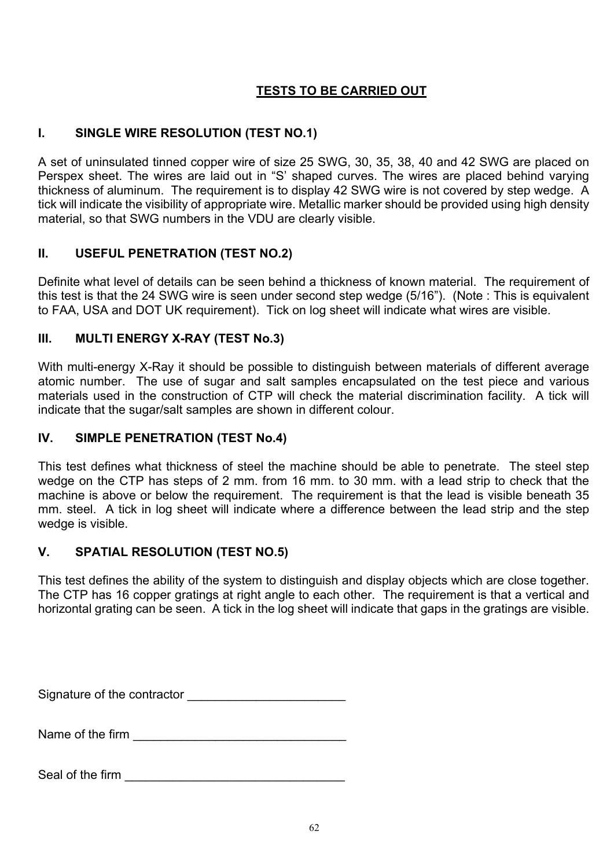# **TESTS TO BE CARRIED OUT**

# **I. SINGLE WIRE RESOLUTION (TEST NO.1)**

A set of uninsulated tinned copper wire of size 25 SWG, 30, 35, 38, 40 and 42 SWG are placed on Perspex sheet. The wires are laid out in "S' shaped curves. The wires are placed behind varying thickness of aluminum. The requirement is to display 42 SWG wire is not covered by step wedge. A tick will indicate the visibility of appropriate wire. Metallic marker should be provided using high density material, so that SWG numbers in the VDU are clearly visible.

# **II. USEFUL PENETRATION (TEST NO.2)**

Definite what level of details can be seen behind a thickness of known material. The requirement of this test is that the 24 SWG wire is seen under second step wedge (5/16"). (Note : This is equivalent to FAA, USA and DOT UK requirement). Tick on log sheet will indicate what wires are visible.

# **III. MULTI ENERGY X-RAY (TEST No.3)**

With multi-energy X-Ray it should be possible to distinguish between materials of different average atomic number. The use of sugar and salt samples encapsulated on the test piece and various materials used in the construction of CTP will check the material discrimination facility. A tick will indicate that the sugar/salt samples are shown in different colour.

# **IV. SIMPLE PENETRATION (TEST No.4)**

This test defines what thickness of steel the machine should be able to penetrate. The steel step wedge on the CTP has steps of 2 mm. from 16 mm. to 30 mm. with a lead strip to check that the machine is above or below the requirement. The requirement is that the lead is visible beneath 35 mm. steel. A tick in log sheet will indicate where a difference between the lead strip and the step wedge is visible.

# **V. SPATIAL RESOLUTION (TEST NO.5)**

This test defines the ability of the system to distinguish and display objects which are close together. The CTP has 16 copper gratings at right angle to each other. The requirement is that a vertical and horizontal grating can be seen. A tick in the log sheet will indicate that gaps in the gratings are visible.

Signature of the contractor \_\_\_\_\_\_\_\_\_\_\_\_\_\_\_\_\_\_\_\_\_\_\_

Name of the firm **Name of the firm** 

Seal of the firm **Exercise 2008**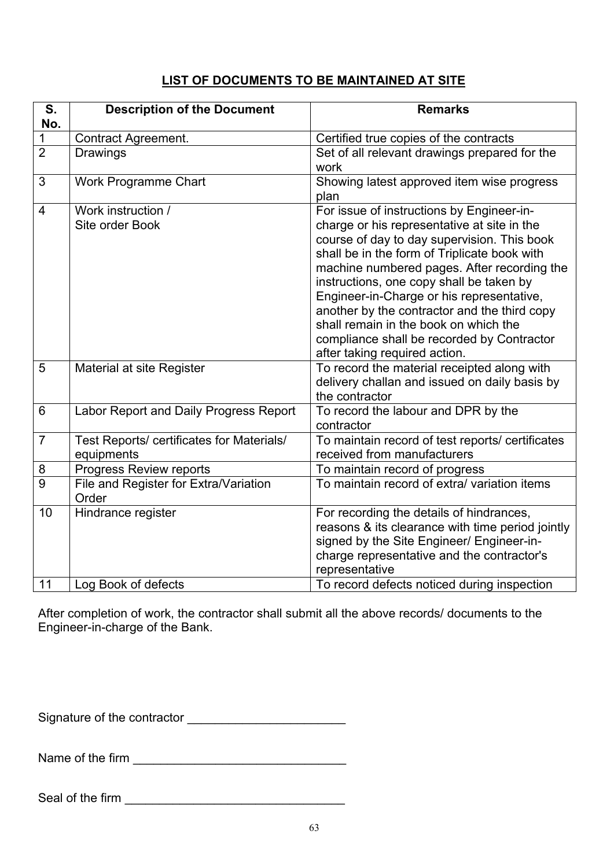# **LIST OF DOCUMENTS TO BE MAINTAINED AT SITE**

| S.<br>No.       | <b>Description of the Document</b>                      | <b>Remarks</b>                                                                                                                                                                                                                                                                                                                                                                                                                                                                                          |
|-----------------|---------------------------------------------------------|---------------------------------------------------------------------------------------------------------------------------------------------------------------------------------------------------------------------------------------------------------------------------------------------------------------------------------------------------------------------------------------------------------------------------------------------------------------------------------------------------------|
|                 | <b>Contract Agreement.</b>                              | Certified true copies of the contracts                                                                                                                                                                                                                                                                                                                                                                                                                                                                  |
| $\overline{2}$  | <b>Drawings</b>                                         | Set of all relevant drawings prepared for the<br>work                                                                                                                                                                                                                                                                                                                                                                                                                                                   |
| 3               | <b>Work Programme Chart</b>                             | Showing latest approved item wise progress<br>plan                                                                                                                                                                                                                                                                                                                                                                                                                                                      |
| $\overline{4}$  | Work instruction /<br>Site order Book                   | For issue of instructions by Engineer-in-<br>charge or his representative at site in the<br>course of day to day supervision. This book<br>shall be in the form of Triplicate book with<br>machine numbered pages. After recording the<br>instructions, one copy shall be taken by<br>Engineer-in-Charge or his representative,<br>another by the contractor and the third copy<br>shall remain in the book on which the<br>compliance shall be recorded by Contractor<br>after taking required action. |
| $\overline{5}$  | Material at site Register                               | To record the material receipted along with<br>delivery challan and issued on daily basis by<br>the contractor                                                                                                                                                                                                                                                                                                                                                                                          |
| $6\phantom{1}6$ | Labor Report and Daily Progress Report                  | To record the labour and DPR by the<br>contractor                                                                                                                                                                                                                                                                                                                                                                                                                                                       |
| $\overline{7}$  | Test Reports/ certificates for Materials/<br>equipments | To maintain record of test reports/ certificates<br>received from manufacturers                                                                                                                                                                                                                                                                                                                                                                                                                         |
| 8               | Progress Review reports                                 | To maintain record of progress                                                                                                                                                                                                                                                                                                                                                                                                                                                                          |
| $\overline{9}$  | File and Register for Extra/Variation<br>Order          | To maintain record of extra/ variation items                                                                                                                                                                                                                                                                                                                                                                                                                                                            |
| 10<br>11        | Hindrance register                                      | For recording the details of hindrances,<br>reasons & its clearance with time period jointly<br>signed by the Site Engineer/ Engineer-in-<br>charge representative and the contractor's<br>representative                                                                                                                                                                                                                                                                                               |
|                 | Log Book of defects                                     | To record defects noticed during inspection                                                                                                                                                                                                                                                                                                                                                                                                                                                             |

After completion of work, the contractor shall submit all the above records/ documents to the Engineer-in-charge of the Bank.

Signature of the contractor \_\_\_\_\_\_\_\_\_\_\_\_\_\_\_\_\_\_\_\_\_\_\_

Name of the firm \_\_\_\_\_\_\_\_\_\_\_\_\_\_\_\_\_\_\_\_\_\_\_\_\_\_\_\_\_\_\_

Seal of the firm  $\Box$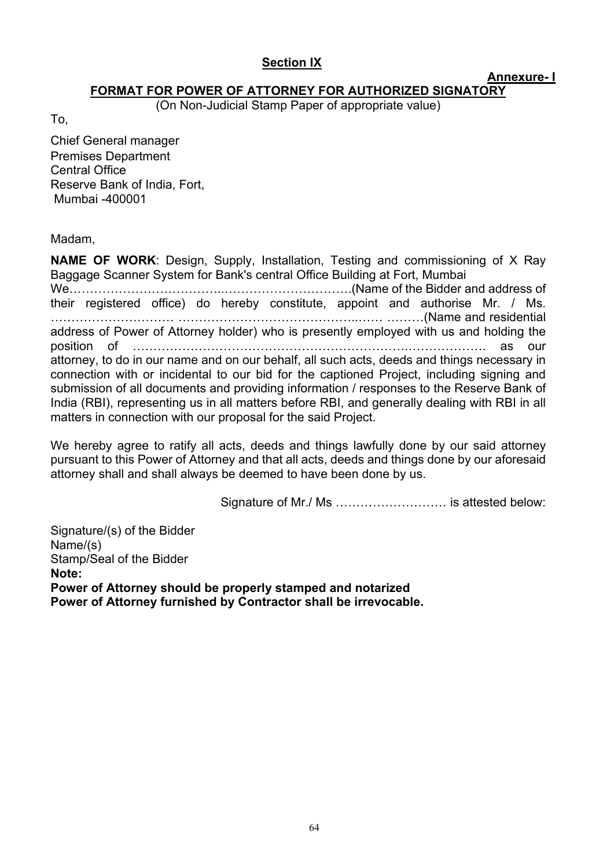# **Section IX**

**Annexure- I** 

### **FORMAT FOR POWER OF ATTORNEY FOR AUTHORIZED SIGNATORY**

(On Non-Judicial Stamp Paper of appropriate value)

To,

Chief General manager Premises Department Central Office Reserve Bank of India, Fort, Mumbai -400001

Madam,

**NAME OF WORK**: Design, Supply, Installation, Testing and commissioning of X Ray Baggage Scanner System for Bank's central Office Building at Fort, Mumbai We………………………………..………………………….(Name of the Bidder and address of their registered office) do hereby constitute, appoint and authorise Mr. / Ms. ………………………… ……………………………………..…… ………(Name and residential address of Power of Attorney holder) who is presently employed with us and holding the position of ………………………………………………………….………………. as our attorney, to do in our name and on our behalf, all such acts, deeds and things necessary in connection with or incidental to our bid for the captioned Project, including signing and submission of all documents and providing information / responses to the Reserve Bank of India (RBI), representing us in all matters before RBI, and generally dealing with RBI in all matters in connection with our proposal for the said Project.

We hereby agree to ratify all acts, deeds and things lawfully done by our said attorney pursuant to this Power of Attorney and that all acts, deeds and things done by our aforesaid attorney shall and shall always be deemed to have been done by us.

Signature of Mr./ Ms ……………………… is attested below:

Signature/(s) of the Bidder Name/(s) Stamp/Seal of the Bidder **Note: Power of Attorney should be properly stamped and notarized Power of Attorney furnished by Contractor shall be irrevocable.**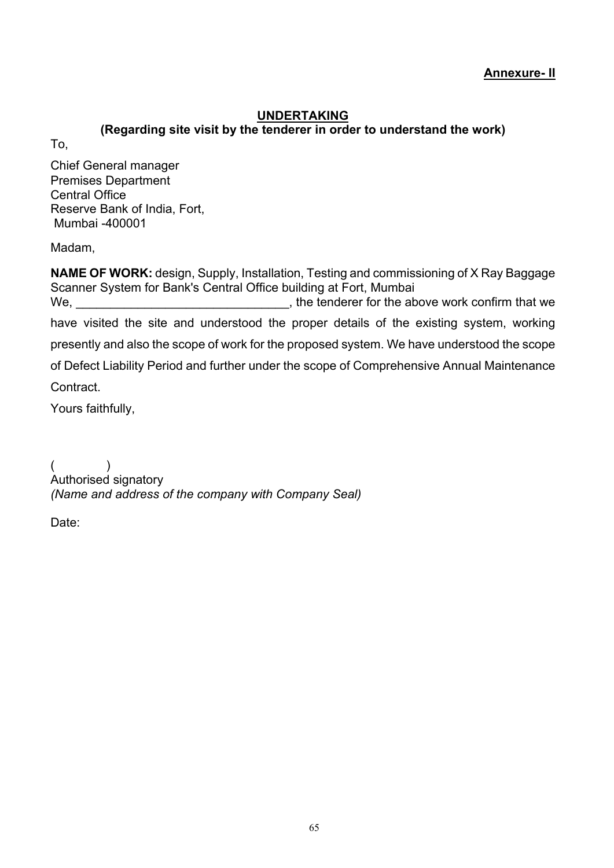**Annexure- II** 

# **UNDERTAKING**

<span id="page-64-0"></span>**(Regarding site visit by the tenderer in order to understand the work)**

To,

Chief General manager Premises Department Central Office Reserve Bank of India, Fort, Mumbai -400001

Madam,

**NAME OF WORK:** design, Supply, Installation, Testing and commissioning of X Ray Baggage Scanner System for Bank's Central Office building at Fort, Mumbai We, we settled the state of the tenderer for the above work confirm that we have visited the site and understood the proper details of the existing system, working presently and also the scope of work for the proposed system. We have understood the scope of Defect Liability Period and further under the scope of Comprehensive Annual Maintenance Contract. Yours faithfully,

 $($ Authorised signatory *(Name and address of the company with Company Seal)*

Date: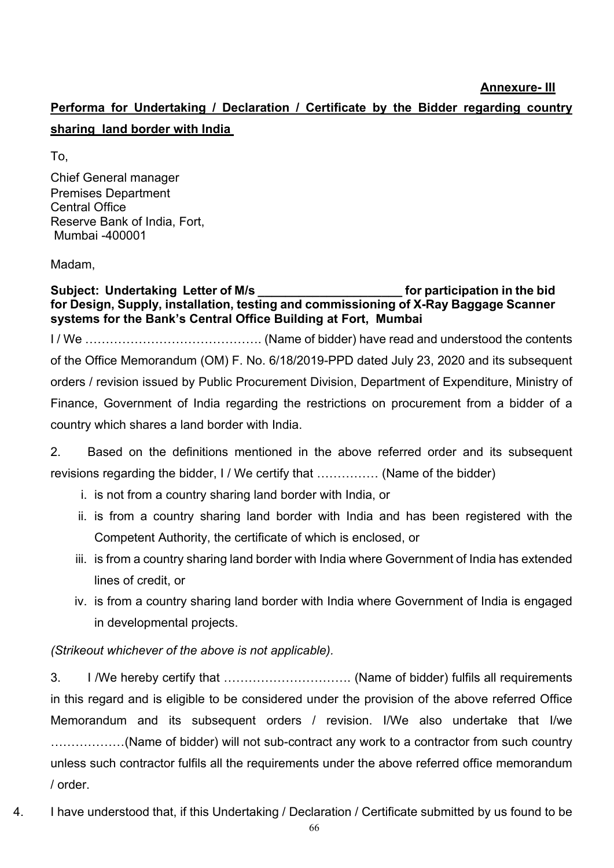**Performa for Undertaking / Declaration / Certificate by the Bidder regarding country sharing land border with India** 

To,

Chief General manager Premises Department Central Office Reserve Bank of India, Fort, Mumbai -400001

Madam,

Subject: Undertaking Letter of M/s **Example 20 and Subject**: Undertaking Letter of M/s **for Design, Supply, installation, testing and commissioning of X-Ray Baggage Scanner systems for the Bank's Central Office Building at Fort, Mumbai**  I / We ……………………………………. (Name of bidder) have read and understood the contents of the Office Memorandum (OM) F. No. 6/18/2019-PPD dated July 23, 2020 and its subsequent orders / revision issued by Public Procurement Division, Department of Expenditure, Ministry of Finance, Government of India regarding the restrictions on procurement from a bidder of a country which shares a land border with India.

2. Based on the definitions mentioned in the above referred order and its subsequent revisions regarding the bidder, I / We certify that …………… (Name of the bidder)

- i. is not from a country sharing land border with India, or
- ii. is from a country sharing land border with India and has been registered with the Competent Authority, the certificate of which is enclosed, or
- iii. is from a country sharing land border with India where Government of India has extended lines of credit, or
- iv. is from a country sharing land border with India where Government of India is engaged in developmental projects.

# *(Strikeout whichever of the above is not applicable).*

3. I /We hereby certify that …………………………. (Name of bidder) fulfils all requirements in this regard and is eligible to be considered under the provision of the above referred Office Memorandum and its subsequent orders / revision. I/We also undertake that I/we ………………(Name of bidder) will not sub-contract any work to a contractor from such country unless such contractor fulfils all the requirements under the above referred office memorandum / order.

4. I have understood that, if this Undertaking / Declaration / Certificate submitted by us found to be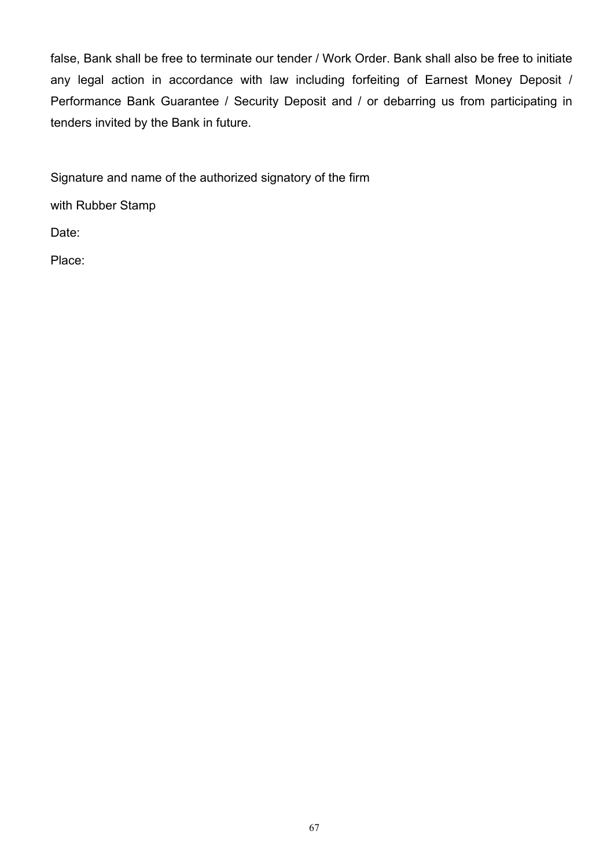false, Bank shall be free to terminate our tender / Work Order. Bank shall also be free to initiate any legal action in accordance with law including forfeiting of Earnest Money Deposit / Performance Bank Guarantee / Security Deposit and / or debarring us from participating in tenders invited by the Bank in future.

Signature and name of the authorized signatory of the firm

with Rubber Stamp

Date:

Place: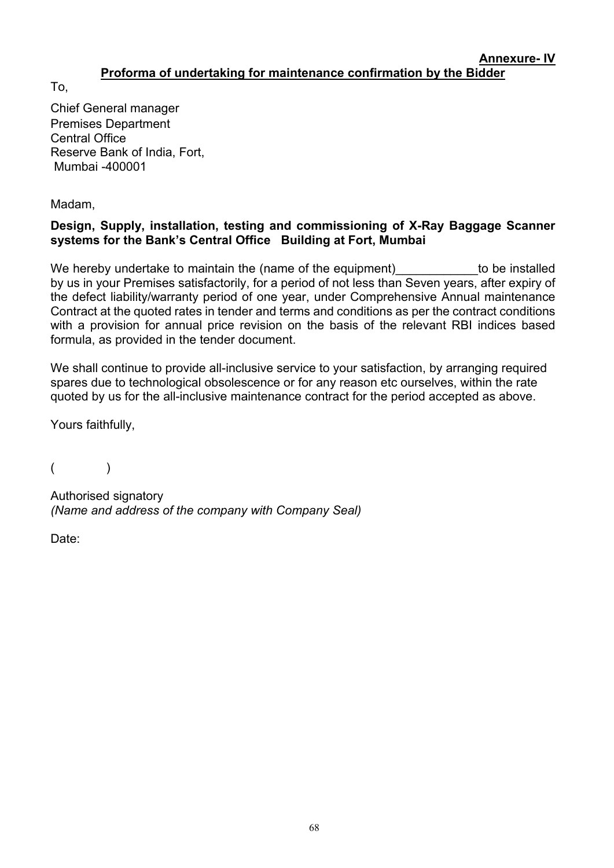#### **Annexure- IV Proforma of undertaking for maintenance confirmation by the Bidder**

<span id="page-67-0"></span>To,

Chief General manager Premises Department Central Office Reserve Bank of India, Fort, Mumbai -400001

Madam,

# **Design, Supply, installation, testing and commissioning of X-Ray Baggage Scanner systems for the Bank's Central Office Building at Fort, Mumbai**

We hereby undertake to maintain the (name of the equipment) to be installed by us in your Premises satisfactorily, for a period of not less than Seven years, after expiry of the defect liability/warranty period of one year, under Comprehensive Annual maintenance Contract at the quoted rates in tender and terms and conditions as per the contract conditions with a provision for annual price revision on the basis of the relevant RBI indices based formula, as provided in the tender document.

We shall continue to provide all-inclusive service to your satisfaction, by arranging required spares due to technological obsolescence or for any reason etc ourselves, within the rate quoted by us for the all-inclusive maintenance contract for the period accepted as above.

Yours faithfully.

 $($ 

Authorised signatory *(Name and address of the company with Company Seal)*

Date: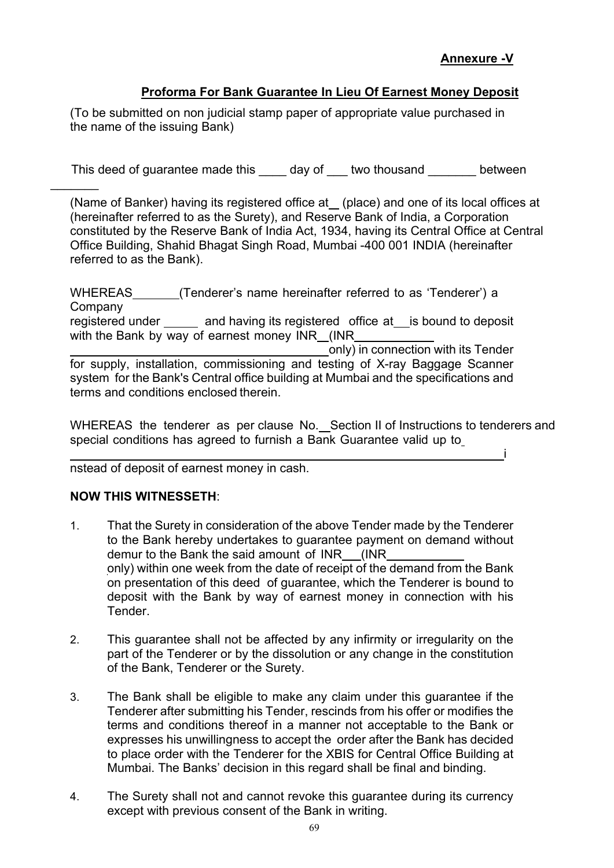i

# **Proforma For Bank Guarantee In Lieu Of Earnest Money Deposit**

(To be submitted on non judicial stamp paper of appropriate value purchased in the name of the issuing Bank)

This deed of guarantee made this day of two thousand between

(Name of Banker) having its registered office at\_ (place) and one of its local offices at (hereinafter referred to as the Surety), and Reserve Bank of India, a Corporation constituted by the Reserve Bank of India Act, 1934, having its Central Office at Central Office Building, Shahid Bhagat Singh Road, Mumbai -400 001 INDIA (hereinafter referred to as the Bank).

WHEREAS (Tenderer's name hereinafter referred to as 'Tenderer') a Company registered under \_\_\_\_\_ and having its registered office at \_\_ is bound to deposit with the Bank by way of earnest money  $\overline{\text{INR}}$  (INR  $\overline{\text{In}}$  connection with its Tender only) in connection with its Tender for supply, installation, commissioning and testing of X-ray Baggage Scanner system for the Bank's Central office building at Mumbai and the specifications and terms and conditions enclosed therein.

WHEREAS the tenderer as per clause No. Section II of Instructions to tenderers and special conditions has agreed to furnish a Bank Guarantee valid up to

nstead of deposit of earnest money in cash.

### **NOW THIS WITNESSETH**:

 $\overline{\phantom{a}}$ 

- 1. That the Surety in consideration of the above Tender made by the Tenderer to the Bank hereby undertakes to guarantee payment on demand without demur to the Bank the said amount of INR (INR only) within one week from the date of receipt of the demand from the Bank on presentation of this deed of guarantee, which the Tenderer is bound to deposit with the Bank by way of earnest money in connection with his **Tender**
- 2. This guarantee shall not be affected by any infirmity or irregularity on the part of the Tenderer or by the dissolution or any change in the constitution of the Bank, Tenderer or the Surety.
- 3. The Bank shall be eligible to make any claim under this guarantee if the Tenderer after submitting his Tender, rescinds from his offer or modifies the terms and conditions thereof in a manner not acceptable to the Bank or expresses his unwillingness to accept the order after the Bank has decided to place order with the Tenderer for the XBIS for Central Office Building at Mumbai. The Banks' decision in this regard shall be final and binding.
- 4. The Surety shall not and cannot revoke this guarantee during its currency except with previous consent of the Bank in writing.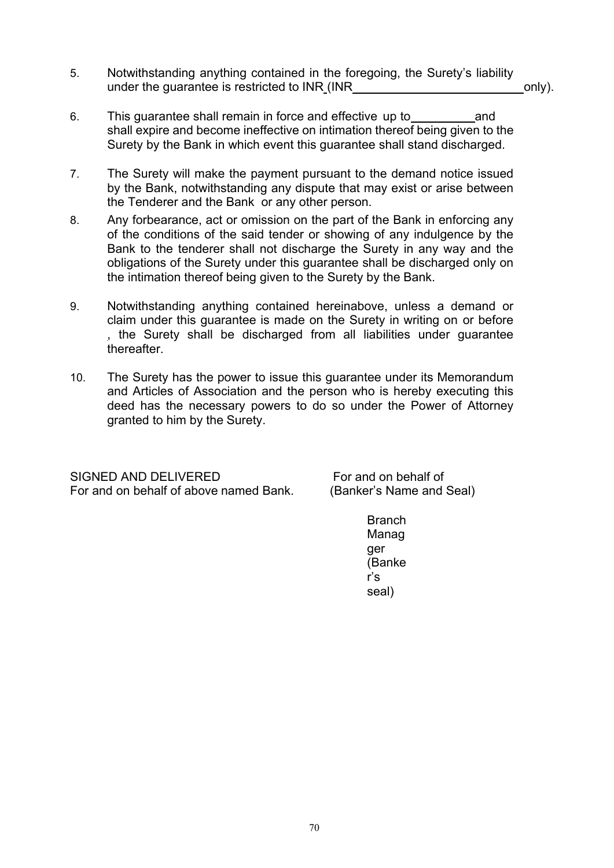- 5. Notwithstanding anything contained in the foregoing, the Surety's liability under the quarantee is restricted to  $INR$  ( $INR$  only).
- 6. This guarantee shall remain in force and effective up to and shall expire and become ineffective on intimation thereof being given to the Surety by the Bank in which event this guarantee shall stand discharged.
- 7. The Surety will make the payment pursuant to the demand notice issued by the Bank, notwithstanding any dispute that may exist or arise between the Tenderer and the Bank or any other person.
- 8. Any forbearance, act or omission on the part of the Bank in enforcing any of the conditions of the said tender or showing of any indulgence by the Bank to the tenderer shall not discharge the Surety in any way and the obligations of the Surety under this guarantee shall be discharged only on the intimation thereof being given to the Surety by the Bank.
- 9. Notwithstanding anything contained hereinabove, unless a demand or claim under this guarantee is made on the Surety in writing on or before , the Surety shall be discharged from all liabilities under guarantee thereafter.
- 10. The Surety has the power to issue this guarantee under its Memorandum and Articles of Association and the person who is hereby executing this deed has the necessary powers to do so under the Power of Attorney granted to him by the Surety.

For and on behalf of above named Bank.

SIGNED AND DELIVERED<br>For and on behalf of above named Bank. (Banker's Name and Seal)

**Branch** Manag ger (Banke r's seal)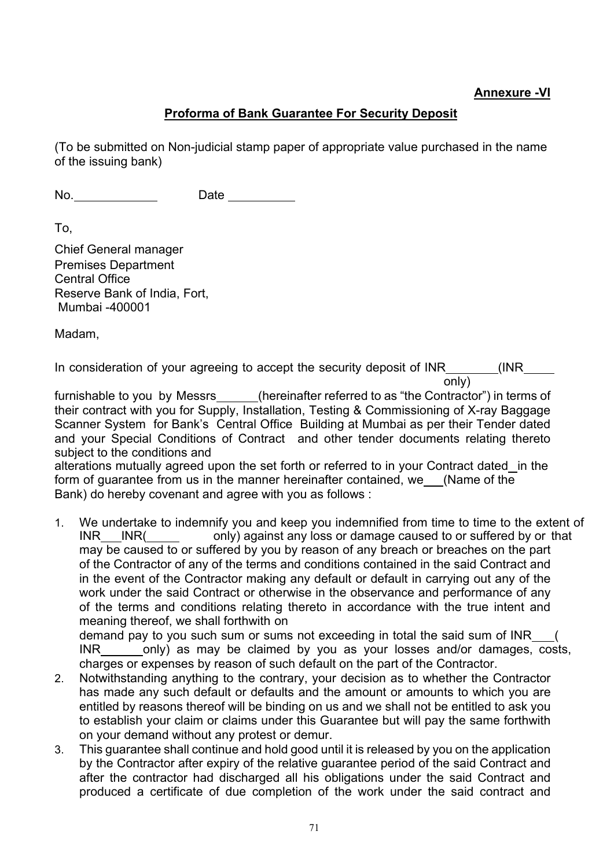### **Annexure -VI**

# **Proforma of Bank Guarantee For Security Deposit**

(To be submitted on Non-judicial stamp paper of appropriate value purchased in the name of the issuing bank)

No. Date

To,

Chief General manager Premises Department Central Office Reserve Bank of India, Fort, Mumbai -400001

Madam,

In consideration of your agreeing to accept the security deposit of INR (INR only)

furnishable to you by Messrs (hereinafter referred to as "the Contractor") in terms of their contract with you for Supply, Installation, Testing & Commissioning of X-ray Baggage Scanner System for Bank's Central Office Building at Mumbai as per their Tender dated and your Special Conditions of Contract and other tender documents relating thereto subject to the conditions and

alterations mutually agreed upon the set forth or referred to in your Contract dated in the form of guarantee from us in the manner hereinafter contained, we (Name of the Bank) do hereby covenant and agree with you as follows :

1. We undertake to indemnify you and keep you indemnified from time to time to the extent of  $INR$  INR( only) against any loss or damage caused to or suffered by or that may be caused to or suffered by you by reason of any breach or breaches on the part of the Contractor of any of the terms and conditions contained in the said Contract and in the event of the Contractor making any default or default in carrying out any of the work under the said Contract or otherwise in the observance and performance of any of the terms and conditions relating thereto in accordance with the true intent and meaning thereof, we shall forthwith on

demand pay to you such sum or sums not exceeding in total the said sum of INR\_\_\_( INR only) as may be claimed by you as your losses and/or damages, costs, charges or expenses by reason of such default on the part of the Contractor.

- 2. Notwithstanding anything to the contrary, your decision as to whether the Contractor has made any such default or defaults and the amount or amounts to which you are entitled by reasons thereof will be binding on us and we shall not be entitled to ask you to establish your claim or claims under this Guarantee but will pay the same forthwith on your demand without any protest or demur.
- 3. This guarantee shall continue and hold good until it is released by you on the application by the Contractor after expiry of the relative guarantee period of the said Contract and after the contractor had discharged all his obligations under the said Contract and produced a certificate of due completion of the work under the said contract and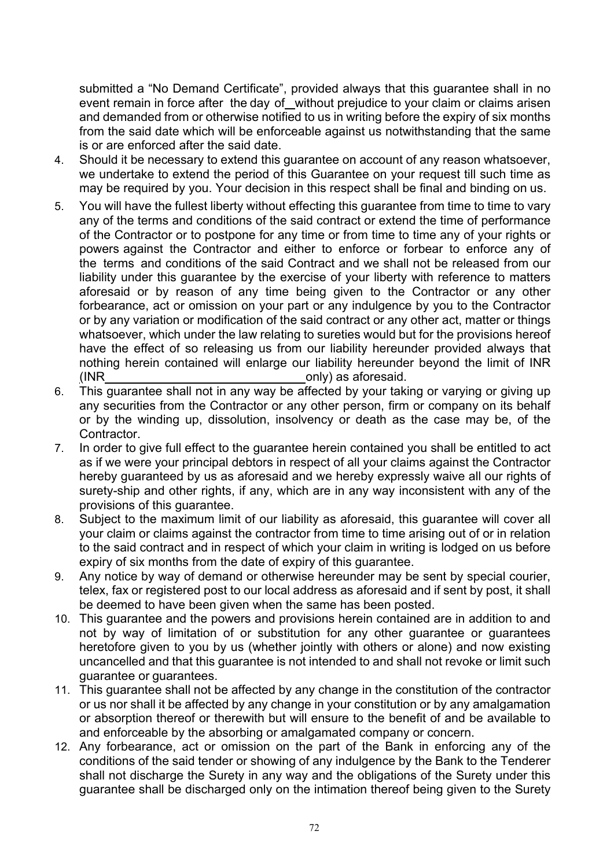submitted a "No Demand Certificate", provided always that this guarantee shall in no event remain in force after the day of without prejudice to your claim or claims arisen and demanded from or otherwise notified to us in writing before the expiry of six months from the said date which will be enforceable against us notwithstanding that the same is or are enforced after the said date.

- 4. Should it be necessary to extend this guarantee on account of any reason whatsoever, we undertake to extend the period of this Guarantee on your request till such time as may be required by you. Your decision in this respect shall be final and binding on us.
- 5. You will have the fullest liberty without effecting this guarantee from time to time to vary any of the terms and conditions of the said contract or extend the time of performance of the Contractor or to postpone for any time or from time to time any of your rights or powers against the Contractor and either to enforce or forbear to enforce any of the terms and conditions of the said Contract and we shall not be released from our liability under this guarantee by the exercise of your liberty with reference to matters aforesaid or by reason of any time being given to the Contractor or any other forbearance, act or omission on your part or any indulgence by you to the Contractor or by any variation or modification of the said contract or any other act, matter or things whatsoever, which under the law relating to sureties would but for the provisions hereof have the effect of so releasing us from our liability hereunder provided always that nothing herein contained will enlarge our liability hereunder beyond the limit of INR (INR only) as aforesaid.
- 6. This guarantee shall not in any way be affected by your taking or varying or giving up any securities from the Contractor or any other person, firm or company on its behalf or by the winding up, dissolution, insolvency or death as the case may be, of the Contractor.
- 7. In order to give full effect to the guarantee herein contained you shall be entitled to act as if we were your principal debtors in respect of all your claims against the Contractor hereby guaranteed by us as aforesaid and we hereby expressly waive all our rights of surety-ship and other rights, if any, which are in any way inconsistent with any of the provisions of this guarantee.
- 8. Subject to the maximum limit of our liability as aforesaid, this guarantee will cover all your claim or claims against the contractor from time to time arising out of or in relation to the said contract and in respect of which your claim in writing is lodged on us before expiry of six months from the date of expiry of this guarantee.
- 9. Any notice by way of demand or otherwise hereunder may be sent by special courier, telex, fax or registered post to our local address as aforesaid and if sent by post, it shall be deemed to have been given when the same has been posted.
- 10. This guarantee and the powers and provisions herein contained are in addition to and not by way of limitation of or substitution for any other guarantee or guarantees heretofore given to you by us (whether jointly with others or alone) and now existing uncancelled and that this guarantee is not intended to and shall not revoke or limit such guarantee or guarantees.
- 11. This guarantee shall not be affected by any change in the constitution of the contractor or us nor shall it be affected by any change in your constitution or by any amalgamation or absorption thereof or therewith but will ensure to the benefit of and be available to and enforceable by the absorbing or amalgamated company or concern.
- 12. Any forbearance, act or omission on the part of the Bank in enforcing any of the conditions of the said tender or showing of any indulgence by the Bank to the Tenderer shall not discharge the Surety in any way and the obligations of the Surety under this guarantee shall be discharged only on the intimation thereof being given to the Surety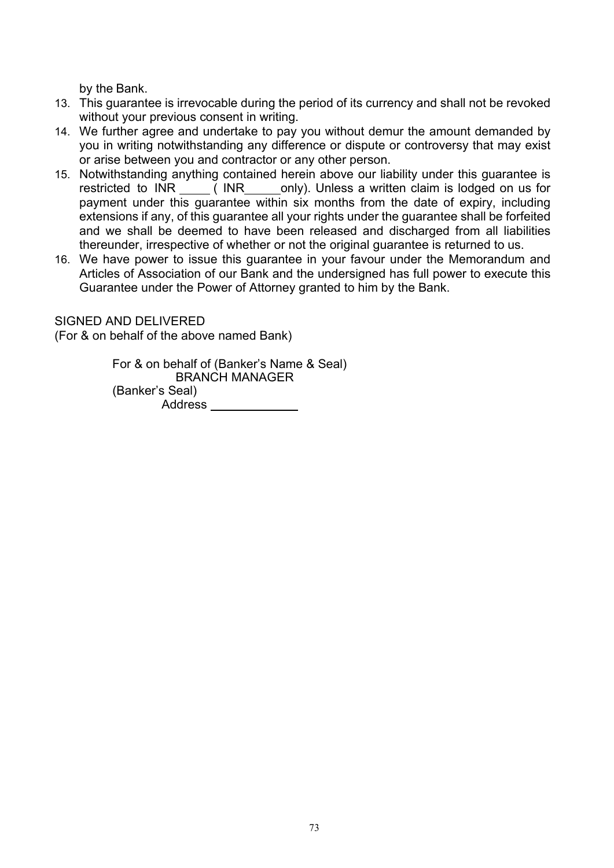by the Bank.

- 13. This guarantee is irrevocable during the period of its currency and shall not be revoked without your previous consent in writing.
- 14. We further agree and undertake to pay you without demur the amount demanded by you in writing notwithstanding any difference or dispute or controversy that may exist or arise between you and contractor or any other person.
- 15. Notwithstanding anything contained herein above our liability under this guarantee is restricted to INR (INR only). Unless a written claim is lodged on us for payment under this guarantee within six months from the date of expiry, including extensions if any, of this guarantee all your rights under the guarantee shall be forfeited and we shall be deemed to have been released and discharged from all liabilities thereunder, irrespective of whether or not the original guarantee is returned to us.
- 16. We have power to issue this guarantee in your favour under the Memorandum and Articles of Association of our Bank and the undersigned has full power to execute this Guarantee under the Power of Attorney granted to him by the Bank.

SIGNED AND DELIVERED

(For & on behalf of the above named Bank)

For & on behalf of (Banker's Name & Seal) BRANCH MANAGER (Banker's Seal) Address<sub>\_\_\_\_\_\_\_\_\_\_</sub>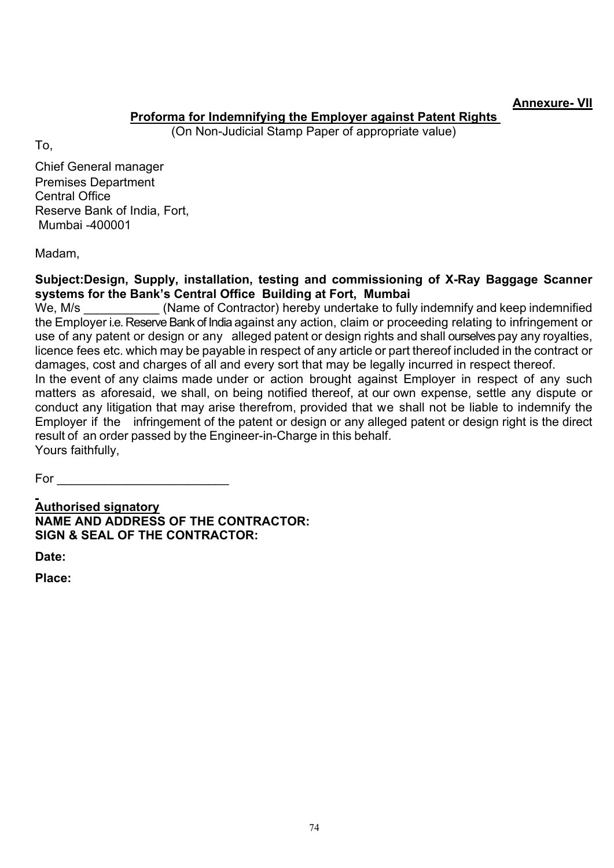#### **Annexure- VII**

## **Proforma for Indemnifying the Employer against Patent Rights**

(On Non-Judicial Stamp Paper of appropriate value)

To,

Chief General manager Premises Department Central Office Reserve Bank of India, Fort, Mumbai -400001

Madam,

## **Subject:Design, Supply, installation, testing and commissioning of X-Ray Baggage Scanner systems for the Bank's Central Office Building at Fort, Mumbai**

We, M/s (Name of Contractor) hereby undertake to fully indemnify and keep indemnified the Employer i.e. Reserve Bank of India against any action, claim or proceeding relating to infringement or use of any patent or design or any alleged patent or design rights and shall ourselves pay any royalties, licence fees etc. which may be payable in respect of any article or part thereof included in the contract or damages, cost and charges of all and every sort that may be legally incurred in respect thereof.

In the event of any claims made under or action brought against Employer in respect of any such matters as aforesaid, we shall, on being notified thereof, at our own expense, settle any dispute or conduct any litigation that may arise therefrom, provided that we shall not be liable to indemnify the Employer if the infringement of the patent or design or any alleged patent or design right is the direct result of an order passed by the Engineer-in-Charge in this behalf. Yours faithfully,

For \_\_\_\_\_\_\_\_\_\_\_\_\_\_\_\_\_\_\_\_\_\_\_\_\_

 **Authorised signatory NAME AND ADDRESS OF THE CONTRACTOR: SIGN & SEAL OF THE CONTRACTOR:**

**Date:**

**Place:**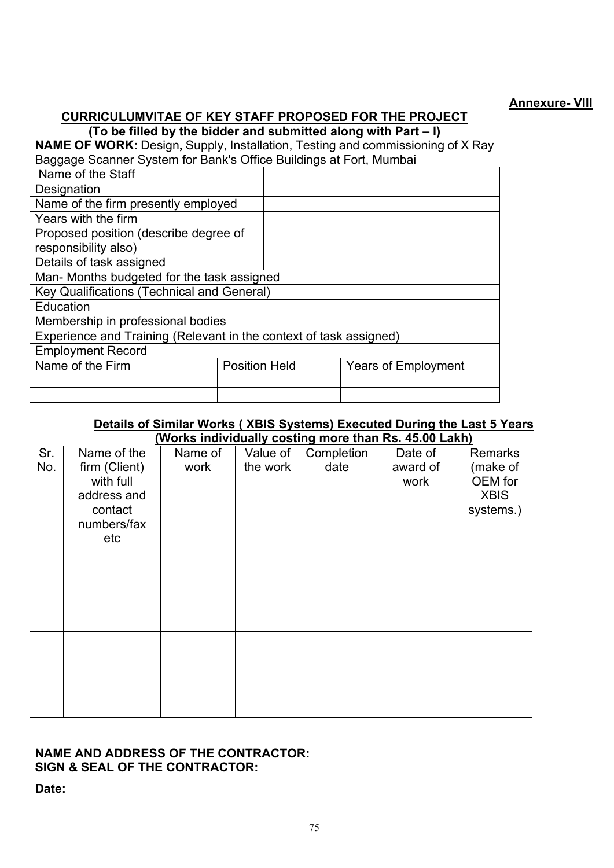## **CURRICULUMVITAE OF KEY STAFF PROPOSED FOR THE PROJECT**

**(To be filled by the bidder and submitted along with Part – I)**

**NAME OF WORK:** Design**,** Supply, Installation, Testing and commissioning of X Ray Baggage Scanner System for Bank's Office Buildings at Fort, Mumbai

| <u> پ ټ</u>                                                        |                      |  |                            |  |  |
|--------------------------------------------------------------------|----------------------|--|----------------------------|--|--|
| Name of the Staff                                                  |                      |  |                            |  |  |
| Designation                                                        |                      |  |                            |  |  |
| Name of the firm presently employed                                |                      |  |                            |  |  |
| Years with the firm                                                |                      |  |                            |  |  |
| Proposed position (describe degree of                              |                      |  |                            |  |  |
| responsibility also)                                               |                      |  |                            |  |  |
| Details of task assigned                                           |                      |  |                            |  |  |
| Man- Months budgeted for the task assigned                         |                      |  |                            |  |  |
| <b>Key Qualifications (Technical and General)</b>                  |                      |  |                            |  |  |
| Education                                                          |                      |  |                            |  |  |
| Membership in professional bodies                                  |                      |  |                            |  |  |
| Experience and Training (Relevant in the context of task assigned) |                      |  |                            |  |  |
| <b>Employment Record</b>                                           |                      |  |                            |  |  |
| Name of the Firm                                                   | <b>Position Held</b> |  | <b>Years of Employment</b> |  |  |
|                                                                    |                      |  |                            |  |  |
|                                                                    |                      |  |                            |  |  |

#### **Details of Similar Works ( XBIS Systems) Executed During the Last 5 Years (Works individually costing more than Rs. 45.00 Lakh)**

| Sr.<br>No. | Name of the<br>firm (Client)<br>with full<br>address and<br>contact<br>numbers/fax<br>etc | Name of<br>work | Value of<br>the work | Completion<br>date | Date of<br>award of<br>work | <b>Remarks</b><br>(make of<br>OEM for<br><b>XBIS</b><br>systems.) |
|------------|-------------------------------------------------------------------------------------------|-----------------|----------------------|--------------------|-----------------------------|-------------------------------------------------------------------|
|            |                                                                                           |                 |                      |                    |                             |                                                                   |
|            |                                                                                           |                 |                      |                    |                             |                                                                   |

#### **NAME AND ADDRESS OF THE CONTRACTOR: SIGN & SEAL OF THE CONTRACTOR:**

**Date:**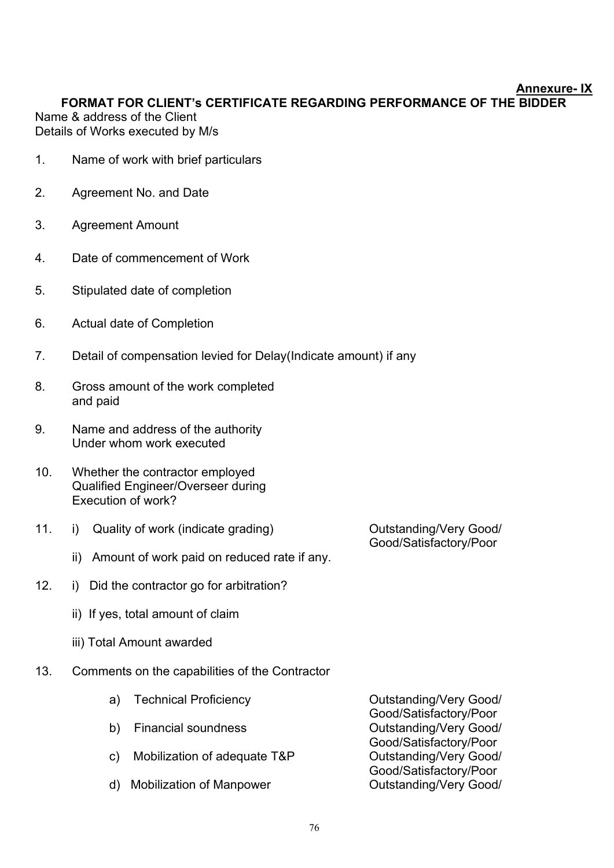#### **Annexure- IX**

**FORMAT FOR CLIENT's CERTIFICATE REGARDING PERFORMANCE OF THE BIDDER** Name & address of the Client

Details of Works executed by M/s

- 1.Name of work with brief particulars
- 2. Agreement No. and Date
- 3. Agreement Amount
- 4. Date of commencement of Work
- 5. Stipulated date of completion
- 6. Actual date of Completion
- 7. Detail of compensation levied for Delay(Indicate amount) if any
- 8. Gross amount of the work completed and paid
- 9. Name and address of the authority Under whom work executed
- 10. Whether the contractor employed Qualified Engineer/Overseer during Execution of work?
- 11. i) Quality of work (indicate grading) Cutstanding/Very Good/

Good/Satisfactory/Poor

- ii) Amount of work paid on reduced rate if any.
- 12. i) Did the contractor go for arbitration?
	- ii) If yes, total amount of claim
	- iii) Total Amount awarded
- 13. Comments on the capabilities of the Contractor
	- a) Technical Proficiency **Constructs** Outstanding/Very Good/ Good/Satisfactory/Poor b) Financial soundness Cutstanding/Very Good/ Good/Satisfactory/Poor<br>Outstanding/Very Good/ c) Mobilization of adequate T&P Good/Satisfactory/Poor d) Mobilization of Manpower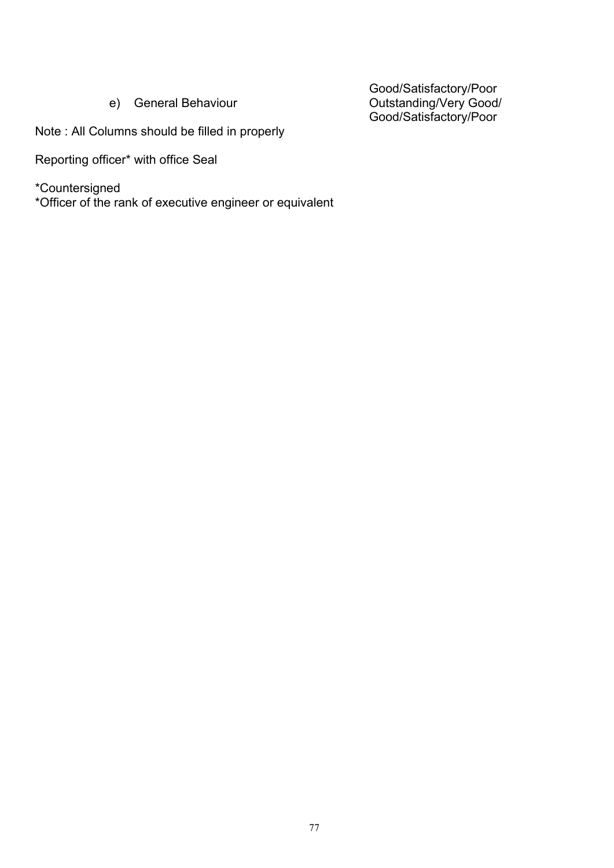Good/Satisfactory/Poor e) General Behaviour Outstanding/Very Good/ Good/Satisfactory/Poor

Note : All Columns should be filled in properly

Reporting officer\* with office Seal

\*Countersigned

\*Officer of the rank of executive engineer or equivalent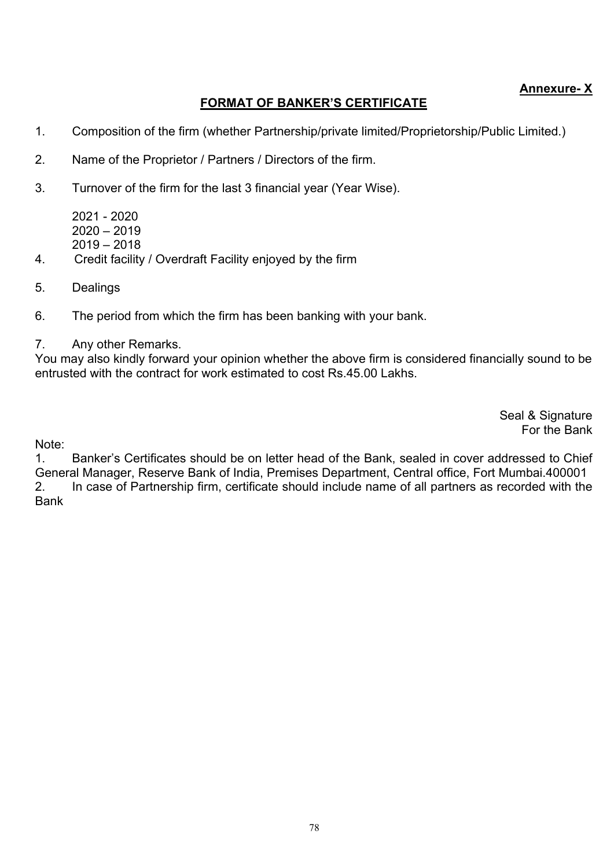## **Annexure- X**

## **FORMAT OF BANKER'S CERTIFICATE**

- 1. Composition of the firm (whether Partnership/private limited/Proprietorship/Public Limited.)
- 2. Name of the Proprietor / Partners / Directors of the firm.
- 3. Turnover of the firm for the last 3 financial year (Year Wise).

2021 - 2020  $2020 - 2019$ 2019 – 2018

- 4. Credit facility / Overdraft Facility enjoyed by the firm
- 5. Dealings
- 6. The period from which the firm has been banking with your bank.
- 7. Any other Remarks.

You may also kindly forward your opinion whether the above firm is considered financially sound to be entrusted with the contract for work estimated to cost Rs.45.00 Lakhs.

> Seal & Signature For the Bank

Note:

1. Banker's Certificates should be on letter head of the Bank, sealed in cover addressed to Chief General Manager, Reserve Bank of India, Premises Department, Central office, Fort Mumbai.400001 2. In case of Partnership firm, certificate should include name of all partners as recorded with the Bank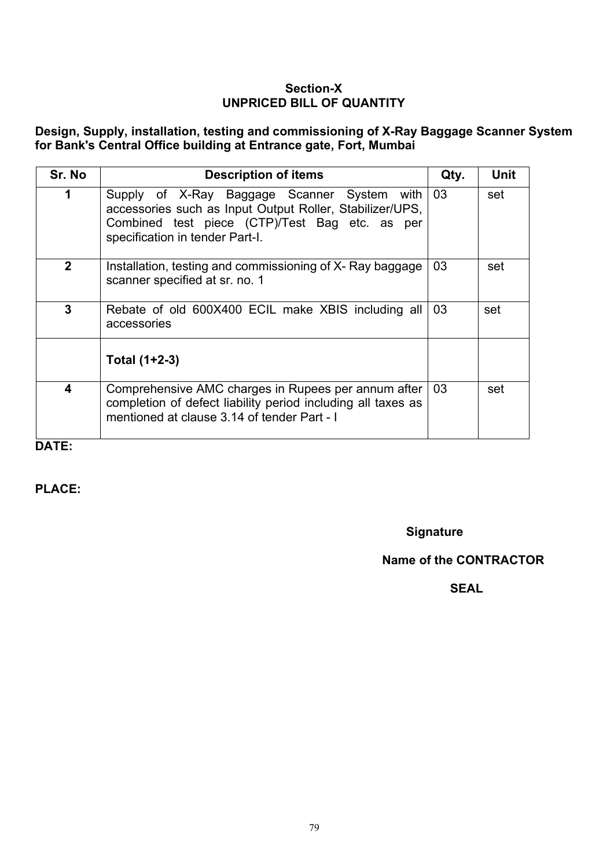#### **Section-X UNPRICED BILL OF QUANTITY**

**Design, Supply, installation, testing and commissioning of X-Ray Baggage Scanner System for Bank's Central Office building at Entrance gate, Fort, Mumbai**

| Sr. No                  | <b>Description of items</b>                                                                                                                                                                       | Qty. | <b>Unit</b> |
|-------------------------|---------------------------------------------------------------------------------------------------------------------------------------------------------------------------------------------------|------|-------------|
|                         | Supply of X-Ray Baggage Scanner System<br>with I<br>accessories such as Input Output Roller, Stabilizer/UPS,<br>Combined test piece (CTP)/Test Bag etc. as per<br>specification in tender Part-I. | 03   | set         |
| $\mathbf{2}$            | Installation, testing and commissioning of X- Ray baggage<br>scanner specified at sr. no. 1                                                                                                       | 03   | set         |
| 3                       | Rebate of old 600X400 ECIL make XBIS including all<br>accessories                                                                                                                                 | 03   | set         |
|                         | Total (1+2-3)                                                                                                                                                                                     |      |             |
| $\overline{\mathbf{4}}$ | Comprehensive AMC charges in Rupees per annum after<br>completion of defect liability period including all taxes as<br>mentioned at clause 3.14 of tender Part - I                                | 03   | set         |
| DATE:                   |                                                                                                                                                                                                   |      |             |

**PLACE:** 

## **Signature**

#### **Name of the CONTRACTOR**

المستخدم المستخدم المستخدم المستخدم المستخدم المستخدم المستخدم المستخدم المستخدم المستخدم المستخدم المستخدم ال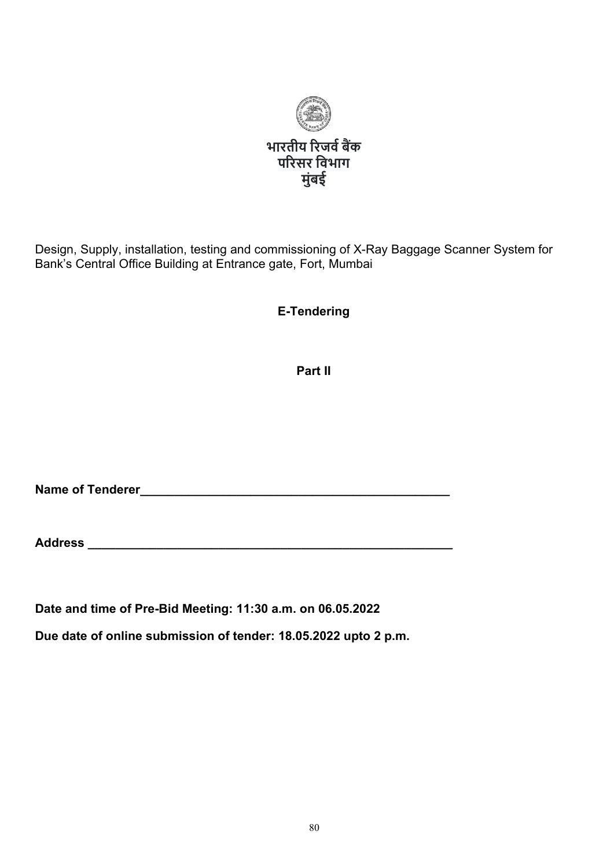

Design, Supply, installation, testing and commissioning of X-Ray Baggage Scanner System for Bank's Central Office Building at Entrance gate, Fort, Mumbai

**E-Tendering**

**Part II**

**Name of Tenderer\_\_\_\_\_\_\_\_\_\_\_\_\_\_\_\_\_\_\_\_\_\_\_\_\_\_\_\_\_\_\_\_\_\_\_\_\_\_\_\_\_\_\_\_\_**

**Address \_\_\_\_\_\_\_\_\_\_\_\_\_\_\_\_\_\_\_\_\_\_\_\_\_\_\_\_\_\_\_\_\_\_\_\_\_\_\_\_\_\_\_\_\_\_\_\_\_\_\_\_\_**

**Date and time of Pre-Bid Meeting: 11:30 a.m. on 06.05.2022**

**Due date of online submission of tender: 18.05.2022 upto 2 p.m.**